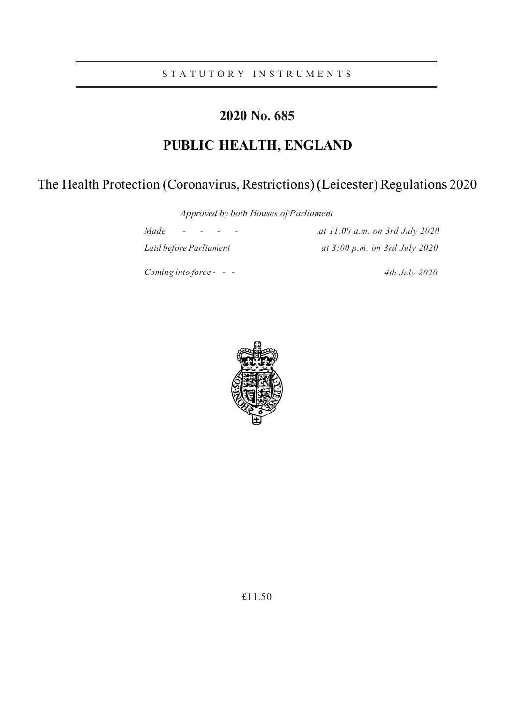S T A T U T O R Y I N S T R U M E N T S

# **2020 No. 685**

# **PUBLIC HEALTH, ENGLAND**

# The Health Protection (Coronavirus, Restrictions) (Leicester) Regulations 2020

*Approved by both Houses of Parliament*

*Made - - - - at 11.00 a.m. on 3rd July 2020*

*Coming into force - - - 4th July 2020*

*Laid before Parliament at 3:00 p.m. on 3rd July 2020*

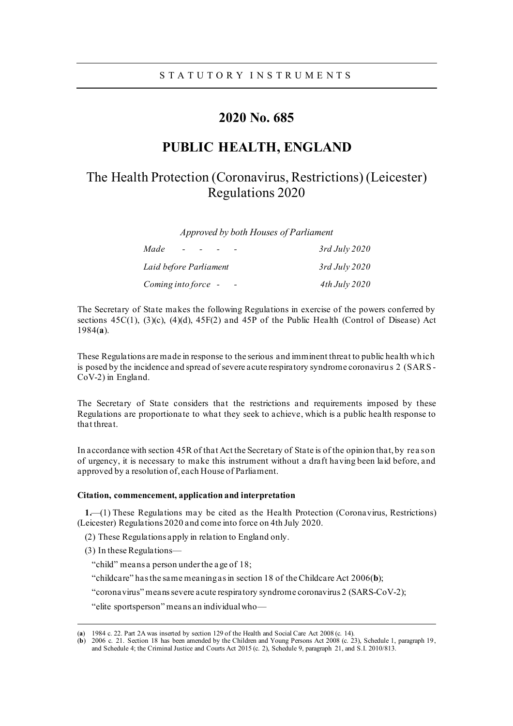# **2020 No. 685**

# **PUBLIC HEALTH, ENGLAND**

# The Health Protection (Coronavirus, Restrictions) (Leicester) Regulations 2020

*Approved by both Houses of Parliament*

| Made<br>$\sim$         | $3$ rd July 2020 |
|------------------------|------------------|
| Laid before Parliament | $3$ rd July 2020 |
| Coming into force -    | $4th$ July 2020  |

The Secretary of State makes the following Regulations in exercise of the powers conferred by sections  $45C(1)$ ,  $(3)(c)$ ,  $(4)(d)$ ,  $45F(2)$  and  $45P$  of the Public Health (Control of Disease) Act 1984(**a**).

These Regulations are made in response to the serious and imminent threat to public health which is posed by the incidence and spread of severe acute respiratory syndrome coronavirus 2 (SARS - CoV-2) in England.

The Secretary of State considers that the restrictions and requirements imposed by these Regulations are proportionate to what they seek to achieve, which is a public health response to that threat.

In accordance with section 45R of that Act the Secretary of State is of the opinion that, by rea son of urgency, it is necessary to make this instrument without a draft having been laid before, and approved by a resolution of, each House of Parliament.

#### **Citation, commencement, application and interpretation**

**1.**—(1) These Regulations may be cited as the Health Protection (Coronavirus, Restrictions) (Leicester) Regulations 2020 and come into force on 4th July 2020.

(2) These Regulations apply in relation to England only.

(3) In these Regulations—

"child" means a person under the a ge of 18;

"childcare" has the same meaning as in section 18 of the Childcare Act 2006(**b**);

"coronavirus" means severe acute respiratory syndrome coronavirus 2 (SARS-CoV-2);

"elite sportsperson" means an individual who—

<sup>(</sup>**a**) 1984 c. 22. Part 2A was inserted by section 129 of the Health and Social Care Act 2008 (c. 14).

<sup>(</sup>**b**) 2006 c. 21. Section 18 has been amended by the Children and Young Persons Act 2008 (c. 23), Schedule 1, paragraph 19, and Schedule 4; the Criminal Justice and Courts Act 2015 (c. 2), Schedule 9, paragraph 21, and S.I. 2010/813.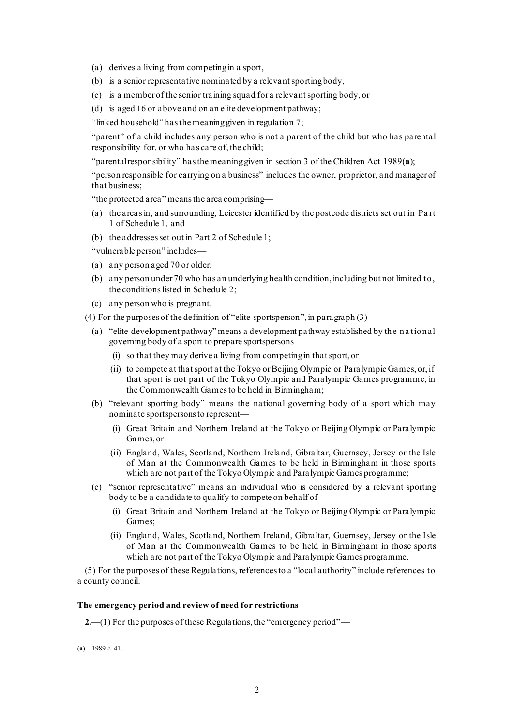(a) derives a living from competing in a sport,

- (b) is a senior representative nominated by a relevant sporting body,
- (c) is a member of the senior training squad for a relevant sporting body, or
- (d) is aged 16 or above and on an elite development pathway;

"linked household" has the meaning given in regulation [7;](#page-9-0)

"parent" of a child includes any person who is not a parent of the child but who has parental responsibility for, or who ha s care of, the child;

"parental responsibility" has the meaning given in section 3 of the Children Act 1989(**a**);

"person responsible for carrying on a business" includes the owner, proprietor, and manager of that business;

"the protected area" means the area comprising—

- (a) the areas in, and surrounding, Leicester identified by the postcode districts set out in Pa rt 1 of Schedule 1, and
- (b) the addresses set out in Part 2 of Schedule 1;

"vulnerable person" includes—

- (a) any person aged 70 or older;
- (b) any person under 70 who has an underlying health condition, including but not limited to, the conditions listed in Schedule 2;
- (c) any person who is pregnant.

(4) For the purposes of the definition of "elite sportsperson", in paragraph  $(3)$ —

- (a) "elite development pathway" means a development pathway established by the na tional governing body of a sport to prepare sportspersons—
	- (i) so that they may derive a living from competing in that sport, or
	- (ii) to compete at that sport at the Tokyo or Beijing Olympic or Paralympic Games, or, if that sport is not part of the Tokyo Olympic and Paralympic Games programme, in the Commonwealth Games to be held in Birmingham;
- (b) "relevant sporting body" means the national governing body of a sport which may nominate sportspersons to represent—
	- (i) Great Britain and Northern Ireland at the Tokyo or Beijing Olympic or Paralympic Games, or
	- (ii) England, Wales, Scotland, Northern Ireland, Gibraltar, Guernsey, Jersey or the Isle of Man at the Commonwealth Games to be held in Birmingham in those sports which are not part of the Tokyo Olympic and Paralympic Games programme;
- (c) "senior representative" means an individual who is considered by a relevant sporting body to be a candidate to qualify to compete on behalf of—
	- (i) Great Britain and Northern Ireland at the Tokyo or Beijing Olympic or Paralympic Games;
	- (ii) England, Wales, Scotland, Northern Ireland, Gibraltar, Guernsey, Jersey or the Isle of Man at the Commonwealth Games to be held in Birmingham in those sports which are not part of the Tokyo Olympic and Paralympic Games programme.

(5) For the purposes of these Regulations, references to a "local authority" include references to a county council.

#### **The emergency period and review of need for restrictions**

**2.**—(1) For the purposes of these Regulations, the "emergency period"—

<sup>(</sup>**a**) 1989 c. 41.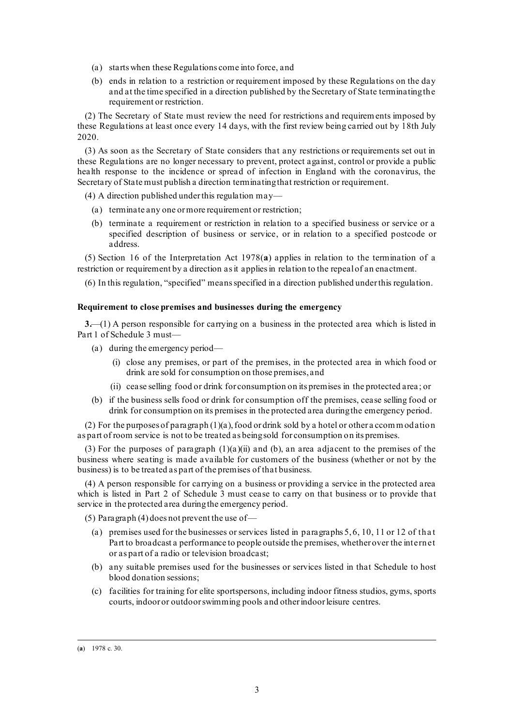- (a) starts when these Regulations come into force, and
- (b) ends in relation to a restriction or requirement imposed by these Regulations on the day and at the time specified in a direction published by the Secretary of State terminating the requirement or restriction.

(2) The Secretary of State must review the need for restrictions and requirements imposed by these Regulations at least once every 14 days, with the first review being carried out by 18th July 2020.

(3) As soon as the Secretary of State considers that any restrictions or requirements set out in these Regulations are no longer necessary to prevent, protect against, control or provide a public health response to the incidence or spread of infection in England with the coronavirus, the Secretary of State must publish a direction terminating that restriction or requirement.

(4) A direction published under this regulation may—

- (a) terminate any one or more requirement or restriction;
- (b) terminate a requirement or restriction in relation to a specified business or service or a specified description of business or service, or in relation to a specified postcode or address.

(5) Section 16 of the Interpretation Act 1978(**a**) applies in relation to the termination of a restriction or requirement by a direction as it applies in relation to the repeal of an enactment.

(6) In this regulation, "specified" means specified in a direction published under this regulation.

#### **Requirement to close premises and businesses during the emergency**

<span id="page-4-0"></span>**3.**—(1) A person responsible for carrying on a business in the protected area which is listed in Part 1 of Schedule 3 must—

- (a) during the emergency period—
	- (i) close any premises, or part of the premises, in the protected area in which food or drink are sold for consumption on those premises, and
	- (ii) cease selling food or drink for consumption on its premises in the protected area ; or
- (b) if the business sells food or drink for consumption off the premises, cease selling food or drink for consumption on its premises in the protected area during the emergency period.

(2) For the purposes of paragraph (1)(a), food or drink sold by a hotel or other a ccom m odation as part of room service is not to be treated as being sold for consumption on its premises.

(3) For the purposes of paragraph  $(1)(a)(ii)$  and (b), an area adjacent to the premises of the business where seating is made available for customers of the business (whether or not by the business) is to be treated as part of the premises of that business.

(4) A person responsible for carrying on a business or providing a service in the protected area which is listed in Part 2 of Schedule 3 must cease to carry on that business or to provide that service in the protected area during the emergency period.

(5) Paragraph (4) does not prevent the use of—

- (a) premises used for the businesses or services listed in paragraphs  $5, 6, 10, 11$  or 12 of that Part to broadcast a performance to people outside the premises, whether over the internet or as part of a radio or television broadcast;
- (b) any suitable premises used for the businesses or services listed in that Schedule to host blood donation sessions;
- (c) facilities for training for elite sportspersons, including indoor fitness studios, gyms, sports courts, indoor or outdoor swimming pools and other indoor leisure centres.

<sup>(</sup>**a**) 1978 c. 30.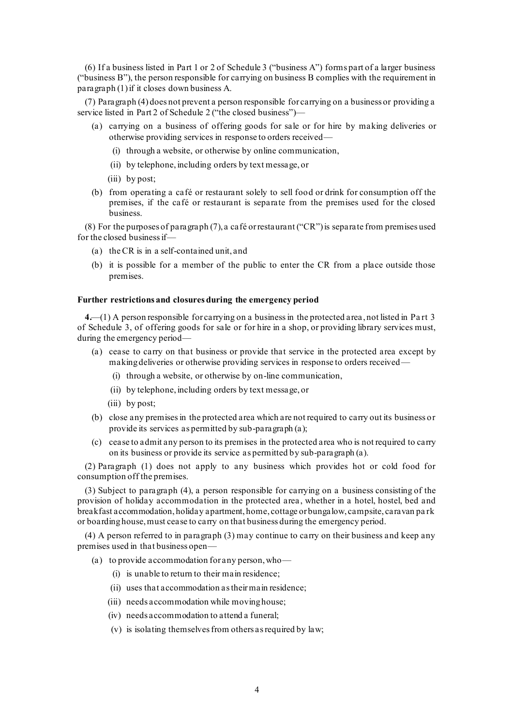(6) If a business listed in Part 1 or 2 of Schedule 3 ("business A") forms part of a larger business ("business B"), the person responsible for carrying on business B complies with the requirement in paragraph (1) if it closes down business A.

(7) Paragraph (4) does not prevent a person responsible for carrying on a business or providing a service listed in Part 2 of Schedule 2 ("the closed business")—

- (a) carrying on a business of offering goods for sale or for hire by making deliveries or otherwise providing services in response to orders received—
	- (i) through a website, or otherwise by online communication,
	- (ii) by telephone, including orders by text message, or
	- (iii) by post;
- (b) from operating a café or restaurant solely to sell food or drink for consumption off the premises, if the café or restaurant is separate from the premises used for the closed business.

(8) For the purposes of paragraph (7), a café or restaurant ("CR") is separate from premises used for the closed business if—

- (a) the CR is in a self-contained unit, and
- (b) it is possible for a member of the public to enter the CR from a place outside those premises.

#### **Further restrictions and closures during the emergency period**

<span id="page-5-0"></span>**4.**—(1) A person responsible for carrying on a businessin the protected area , not listed in Pa rt 3 of Schedule 3, of offering goods for sale or for hire in a shop, or providing library services must, during the emergency period—

- (a) cease to carry on that business or provide that service in the protected area except by making deliveries or otherwise providing services in response to orders received—
	- (i) through a website, or otherwise by on-line communication,
	- (ii) by telephone, including orders by text message, or
	- (iii) by post;
- (b) close any premises in the protected area which are not required to carry out its business or provide its services as permitted by sub-paragraph (a);
- (c) cease to admit any person to its premises in the protected area who is not required to carry on its business or provide its service as permitted by sub-paragraph (a).

(2) Paragraph (1) does not apply to any business which provides hot or cold food for consumption off the premises.

(3) Subject to paragraph (4), a person responsible for carrying on a business consisting of the provision of holiday accommodation in the protected area , whether in a hotel, hostel, bed and breakfast accommodation, holiday apartment, home, cottage or bungalow, campsite, caravan pa rk or boarding house, must cease to carry on that business during the emergency period.

(4) A person referred to in paragraph (3) may continue to carry on their business and keep any premises used in that business open—

- (a) to provide accommodation for any person, who—
	- (i) is unable to return to their main residence;
	- (ii) uses that accommodation as their main residence;
	- (iii) needs accommodation while moving house;
	- (iv) needs accommodation to attend a funeral;
	- (v) is isolating themselves from others as required by law;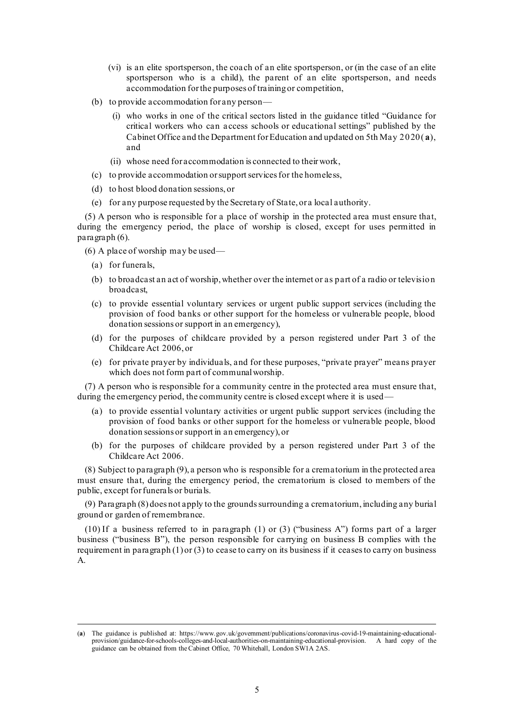- (vi) is an elite sportsperson, the coach of an elite sportsperson, or (in the case of an elite sportsperson who is a child), the parent of an elite sportsperson, and needs accommodation for the purposes of training or competition,
- (b) to provide accommodation for any person—
	- (i) who works in one of the critical sectors listed in the guidance titled "Guidance for critical workers who can a ccess schools or educational settings" published by the Cabinet Office and the Department for Education and updated on 5th May 2020( **a**), and
	- (ii) whose need for accommodation is connected to their work,
- (c) to provide accommodation or support services for the homeless,
- (d) to host blood donation sessions, or
- (e) for any purpose requested by the Secretary of State, or a local authority.

(5) A person who is responsible for a place of worship in the protected area must ensure that, during the emergency period, the place of worship is closed, except for uses permitted in paragraph (6).

- (6) A place of worship may be used—
	- (a) for funerals,
	- (b) to broadcast an act of worship, whether over the internet or as part of a radio or television broadcast,
	- (c) to provide essential voluntary services or urgent public support services (including the provision of food banks or other support for the homeless or vulnerable people, blood donation sessions or support in an emergency),
	- (d) for the purposes of childcare provided by a person registered under Part 3 of the Childcare Act 2006, or
	- (e) for private prayer by individuals, and for these purposes, "private prayer" means prayer which does not form part of communal worship.

(7) A person who is responsible for a community centre in the protected area must ensure that, during the emergency period, the community centre is closed except where it is used—

- (a) to provide essential voluntary activities or urgent public support services (including the provision of food banks or other support for the homeless or vulnerable people, blood donation sessions or support in an emergency), or
- (b) for the purposes of childcare provided by a person registered under Part 3 of the Childcare Act 2006.

(8) Subject to paragraph (9), a person who is responsible for a crematorium in the protected area must ensure that, during the emergency period, the crematorium is closed to members of the public, except for funerals or burials.

(9) Paragraph (8) does not apply to the grounds surrounding a crematorium, including any burial ground or garden of remembrance.

(10) If a business referred to in paragraph (1) or (3) ("business A") forms part of a larger business ("business B"), the person responsible for carrying on business B complies with the requirement in paragraph  $(1)$  or  $(3)$  to cease to carry on its business if it ceases to carry on business A.

<sup>(</sup>**a**) The guidance is published at[: https://www.gov.uk/government/publications/coronavirus-covid-19-maintaining-educational](https://www.gov.uk/government/publications/coronavirus-covid-19-maintaining-educational-provision/guidance-for-schools-colleges-and-local-authorities-on-maintaining-educational-provision)[provision/guidance-for-schools-colleges-and-local-authorities-on-maintaining-educational-provision.](https://www.gov.uk/government/publications/coronavirus-covid-19-maintaining-educational-provision/guidance-for-schools-colleges-and-local-authorities-on-maintaining-educational-provision) A hard copy of the guidance can be obtained from the Cabinet Office, 70 Whitehall, London SW1A 2AS.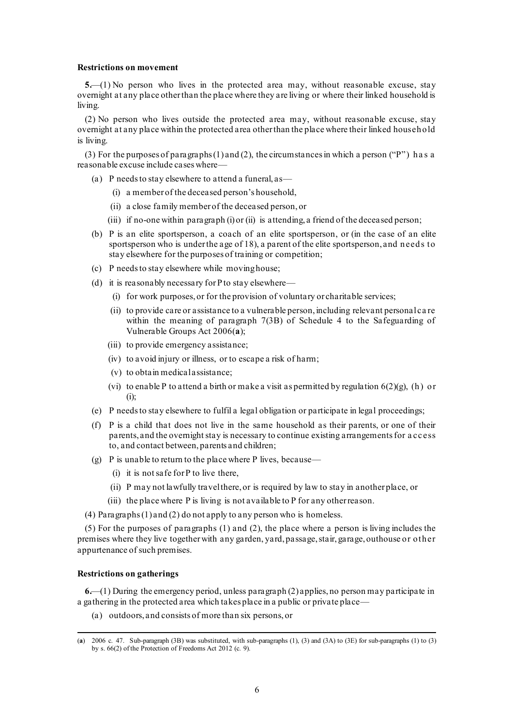#### **Restrictions on movement**

<span id="page-7-2"></span><span id="page-7-1"></span>**5.**—(1) No person who lives in the protected area may, without reasonable excuse, stay overnight at any place other than the place where they are living or where their linked household is living.

(2) No person who lives outside the protected area may, without reasonable excuse, stay overnight at any place within the protected area other than the place where their linked household is living.

(3) For the purposes of paragraphs (1) and (2), the circumstances in which a person ( $\mathbb{P}$ ") has a reasonable excuse include cases where—

- (a) P needs to stay elsewhere to attend a funeral, as—
	- (i) a member of the deceased person's household,
	- (ii) a close family member of the deceased person, or
	- (iii) if no-one within paragraph (i) or (ii) is attending, a friend of the deceased person;
- (b) P is an elite sportsperson, a coach of an elite sportsperson, or (in the case of an elite sportsperson who is under the age of 18), a parent of the elite sportsperson, and needs to stay elsewhere for the purposes of training or competition;
- (c) P needs to stay elsewhere while moving house;
- (d) it is reasonably necessary for P to stay elsewhere—
	- (i) for work purposes, or for the provision of voluntary or charitable services;
	- (ii) to provide care or assistance to a vulnerable person, including relevant personal ca re within the meaning of paragraph 7(3B) of Schedule 4 to the Safeguarding of Vulnerable Groups Act 2006(**a**);
	- (iii) to provide emergency assistance;
	- (iv) to avoid injury or illness, or to escape a risk of harm;
	- (v) to obtain medical assistance;
	- (vi) to enable P to attend a birth or make a visit as permitted by regulation  $6(2)(g)$ , [\(h\)](#page-8-1) or [\(i\);](#page-8-2)
- (e) P needs to stay elsewhere to fulfil a legal obligation or participate in legal proceedings;
- (f) P is a child that does not live in the same household as their parents, or one of their parents, and the overnight stay is necessary to continue existing arrangements for a cc ess to, and contact between, parents and children;
- (g) P is unable to return to the place where P lives, because—
	- (i) it is not safe for P to live there,
	- (ii) P may not lawfully travel there, or is required by law to stay in another place, or
	- (iii) the place where P is living is not available to P for any other reason.
- (4) Paragraphs(1) and (2) do not apply to any person who is homeless.

(5) For the purposes of paragraphs (1) and (2), the place where a person is living includes the premises where they live together with any garden, yard, passage, stair, garage, outhouse or other appurtenance of such premises.

### **Restrictions on gatherings**

<span id="page-7-0"></span>**6.**—(1) During the emergency period, unless paragraph (2) applies, no person may participate in a gathering in the protected area which takes place in a public or private place—

(a) outdoors, and consists of more than six persons, or

<sup>(</sup>**a**) 2006 c. 47. Sub-paragraph (3B) was substituted, with sub-paragraphs (1), (3) and (3A) to (3E) for sub-paragraphs (1) to (3) by s. 66(2) of the Protection of Freedoms Act 2012 (c. 9).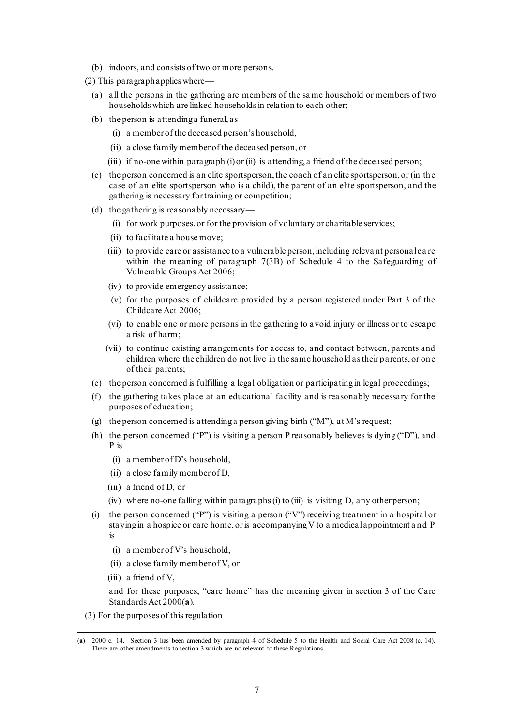- (b) indoors, and consists of two or more persons.
- (2) This paragraph applies where—
	- (a) all the persons in the gathering are members of the same household or members of two households which are linked households in relation to each other;
	- (b) the person is attending a funeral,  $as$ 
		- (i) a member of the deceased person's household,
		- (ii) a close family member of the deceased person, or
		- (iii) if no-one within paragraph (i) or (ii) is attending, a friend of the deceased person;
	- (c) the person concerned is an elite sportsperson, the coach of an elite sportsperson, or (in the case of an elite sportsperson who is a child), the parent of an elite sportsperson, and the gathering is necessary for training or competition;
	- (d) the gathering is reasonably necessary—
		- (i) for work purposes, or for the provision of voluntary or charitable services;
		- (ii) to facilitate a house move;
		- (iii) to provide care or assistance to a vulnerable person, including releva nt personal ca re within the meaning of paragraph 7(3B) of Schedule 4 to the Safeguarding of Vulnerable Groups Act 2006;
		- (iv) to provide emergency assistance;
		- (v) for the purposes of childcare provided by a person registered under Part 3 of the Childcare Act 2006;
		- (vi) to enable one or more persons in the gathering to avoid injury or illness or to escape a risk of harm;
		- (vii) to continue existing arrangements for access to, and contact between, parents and children where the children do not live in the same household as their parents, or one of their parents;
	- (e) the person concerned is fulfilling a legal obligation or participating in legal proceedings;
	- (f) the gathering takes place at an educational facility and is reasonably necessary for the purposes of education;
	- (g) the person concerned is attending a person giving birth ("M"), at M's request;
	- (h) the person concerned ("P") is visiting a person P reasonably believes is dying ("D"), and P is—
		- (i) a member of D's household,
		- (ii) a close family member of D,
		- (iii) a friend of D, or
		- (iv) where no-one falling within paragraphs (i) to (iii) is visiting D, any other person;
	- (i) the person concerned ("P") is visiting a person ("V") receiving treatment in a hospital or staying in a hospice or care home, or is accompanying V to a medical appointment and P is—
		- (i) a member of V's household,
		- (ii) a close family member of V, or
		- (iii) a friend of V,

<span id="page-8-2"></span><span id="page-8-1"></span><span id="page-8-0"></span>and for these purposes, "care home" has the meaning given in section 3 of the Care Standards Act 2000(**a**).

(3) For the purposes of this regulation—

<sup>(</sup>**a**) 2000 c. 14. Section 3 has been amended by paragraph 4 of Schedule 5 to the Health and Social Care Act 2008 (c. 14). There are other amendments to section 3 which are no relevant to these Regulations.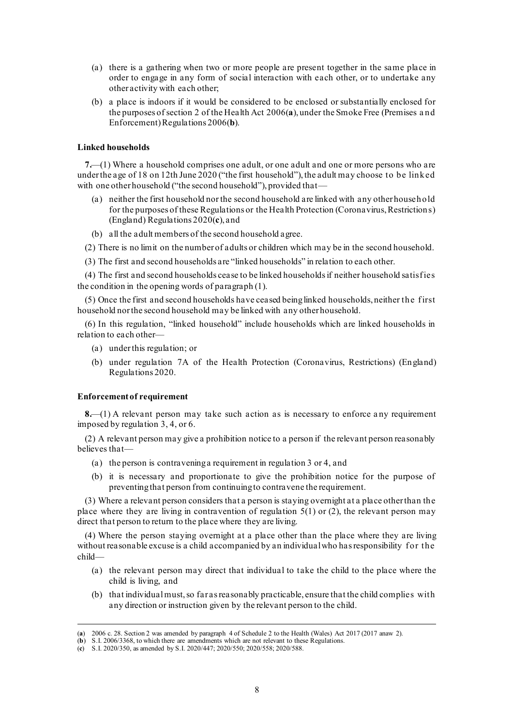- (a) there is a gathering when two or more people are present together in the same place in order to engage in any form of social interaction with each other, or to undertake any other activity with each other;
- (b) a place is indoors if it would be considered to be enclosed or substantially enclosed for the purposes of section 2 of the Health Act 2006(**a**), under the Smoke Free (Premises a nd Enforcement) Regulations 2006(**b**).

#### **Linked households**

<span id="page-9-0"></span>**7.**—(1) Where a household comprises one adult, or one adult and one or more persons who are under the age of 18 on 12th June 2020 ("the first household"), the adult may choose to be linked with one other household ("the second household"), provided that—

- (a) neither the first household nor the second household are linked with any other household for the purposes of these Regulations or the Health Protection (Coronavirus, Restrictions) (England) Regulations 2020(**c**), and
- (b) all the adult members of the second household agree.

(2) There is no limit on the number of adults or children which may be in the second household.

(3) The first and second households are "linked households" in relation to each other.

(4) The first and second households cease to be linked households if neither household satisf ies the condition in the opening words of paragraph (1).

(5) Once the first and second households have ceased being linked households, neither the f irst household nor the second household may be linked with any other household.

(6) In this regulation, "linked household" include households which are linked households in relation to each other—

- (a) under this regulation; or
- (b) under regulation 7A of the Health Protection (Coronavirus, Restrictions) (England) Regulations 2020.

#### **Enforcement of requirement**

**8.**—(1) A relevant person may take such action as is necessary to enforce any requirement imposed by regulation [3,](#page-4-0) [4,](#page-5-0) o[r 6.](#page-7-0)

(2) A relevant person may give a prohibition notice to a person if the relevant person reasonably believes that—

- (a) the person is contravening a requirement in regulatio[n 3](#page-4-0) o[r 4,](#page-5-0) and
- (b) it is necessary and proportionate to give the prohibition notice for the purpose of preventing that person from continuing to contravene the requirement.

(3) Where a relevant person considers that a person is staying overnight at a place other than the place where they are living in contravention of regulation [5\(1\)](#page-7-1) or (2), the relevant person may direct that person to return to the place where they are living.

(4) Where the person staying overnight at a place other than the place where they are living without reasonable excuse is a child accompanied by an individual who has responsibility for the child—

- (a) the relevant person may direct that individual to take the child to the place where the child is living, and
- (b) that individualmust, so far asreasonably practicable, ensure that the child complies with any direction or instruction given by the relevant person to the child.

<sup>(</sup>**a**) 2006 c. 28. Section 2 was amended by paragraph 4 of Schedule 2 to the Health (Wales) Act 2017 (2017 anaw 2).

<sup>(</sup>**b**) S.I. 2006/3368, to which there are amendments which are not relevant to these Regulations.

<sup>(</sup>**c**) S.I. 2020/350, as amended by S.I. 2020/447; 2020/550; 2020/558; 2020/588.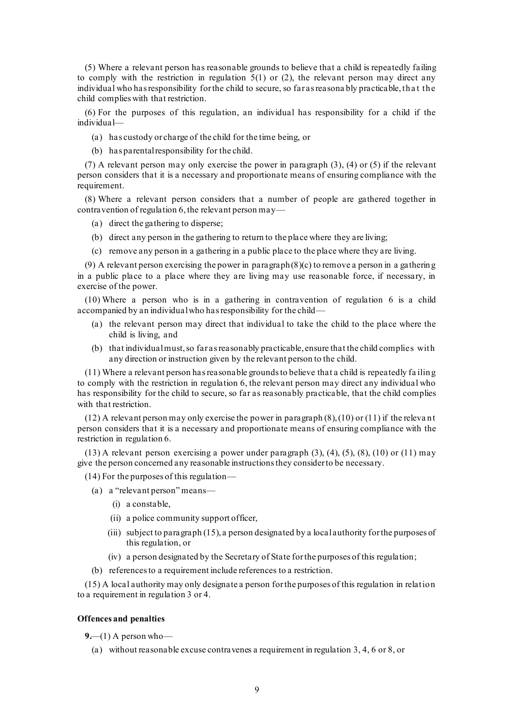(5) Where a relevant person has reasonable grounds to believe that a child is repeatedly failing to comply with the restriction in regulation  $5(1)$  or (2), the relevant person may direct any individual who has responsibility for the child to secure, so far as reasona bly practicable, tha t the child complies with that restriction.

(6) For the purposes of this regulation, an individual has responsibility for a child if the individual—

- (a) has custody or charge of the child for the time being, or
- (b) has parental responsibility for the child.

(7) A relevant person may only exercise the power in paragraph (3), (4) or (5) if the relevant person considers that it is a necessary and proportionate means of ensuring compliance with the requirement.

(8) Where a relevant person considers that a number of people are gathered together in contravention of regulatio[n 6,](#page-7-0)the relevant person may—

- (a) direct the gathering to disperse;
- (b) direct any person in the gathering to return to the place where they are living;
- (c) remove any person in a gathering in a public place to the place where they are living.

(9) A relevant person exercising the power in paragraph  $(8)(c)$  to remove a person in a gathering in a public place to a place where they are living may use reasonable force, if necessary, in exercise of the power.

(10) Where a person who is in a gathering in contravention of regulation [6](#page-7-0) is a child accompanied by an individual who has responsibility for the child—

- (a) the relevant person may direct that individual to take the child to the place where the child is living, and
- (b) that individual must, so far as reasonably practicable, ensure that the child complies with any direction or instruction given by the relevant person to the child.

(11) Where a relevant person has reasonable grounds to believe that a child is repeatedly fa iling to comply with the restriction in regulation [6,](#page-7-0) the relevant person may direct any individual who has responsibility for the child to secure, so far as reasonably practicable, that the child complies with that restriction.

 $(12)$  A relevant person may only exercise the power in paragraph  $(8)$ ,  $(10)$  or  $(11)$  if the relevant person considers that it is a necessary and proportionate means of ensuring compliance with the restriction in regulation 6.

 $(13)$  A relevant person exercising a power under paragraph  $(3)$ ,  $(4)$ ,  $(5)$ ,  $(8)$ ,  $(10)$  or  $(11)$  may give the person concerned any reasonable instructions they consider to be necessary.

<span id="page-10-0"></span>(14) For the purposes of this regulation—

- (a) a "relevant person" means—
	- (i) a constable,
	- (ii) a police community support officer,
	- (iii) subject to paragraph  $(15)$ , a person designated by a local authority for the purposes of this regulation, or
	- (iv) a person designated by the Secretary of State for the purposes of this regulation;
- (b) references to a requirement include references to a restriction.

(15) A local authority may only designate a person for the purposes of this regulation in relation to a requirement in regulation [3](#page-4-0) o[r 4.](#page-5-0)

#### **Offences and penalties**

**9.**—(1) A person who—

(a) without reasonable excuse contravenes a requirement in regulatio[n 3,](#page-4-0) [4,](#page-5-0) [6](#page-7-0) or 8, or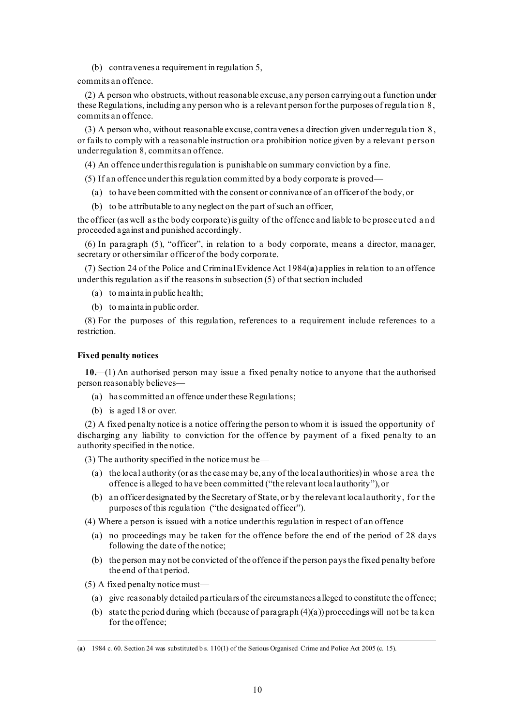(b) contravenes a requirement in regulation [5,](#page-7-2)

commits an offence.

(2) A person who obstructs, without reasonable excuse, any person carrying out a function under these Regulations, including any person who is a relevant person for the purposes of regula tion 8, commits an offence.

(3) A person who, without reasonable excuse, contravenes a direction given under regula tion 8 , or fails to comply with a reasonable instruction or a prohibition notice given by a relevant person under regulation 8, commits an offence.

(4) An offence under this regulation is punishable on summary conviction by a fine.

- (5) If an offence under thisregulation committed by a body corporate is proved—
	- (a) to have been committed with the consent or connivance of an officer of the body, or
	- (b) to be attributable to any neglect on the part of such an officer,

the officer (as well as the body corporate) is guilty of the offence and liable to be prosecuted a nd proceeded against and punished accordingly.

(6) In paragraph (5), "officer", in relation to a body corporate, means a director, manager, secretary or other similar officer of the body corporate.

(7) Section 24 of the Police and Criminal Evidence Act 1984(**a**) applies in relation to an offence under this regulation as if the reasons in subsection  $(5)$  of that section included-

- (a) to maintain public health;
- (b) to maintain public order.

(8) For the purposes of this regulation, references to a requirement include references to a restriction.

#### **Fixed penalty notices**

**10.**—(1) An authorised person may issue a fixed penalty notice to anyone that the authorised person reasonably believes—

- (a) has committed an offence under these Regulations;
- (b) is aged 18 or over.

(2) A fixed penalty notice is a notice offering the person to whom it is issued the opportunity of discharging any liability to conviction for the offence by payment of a fixed pena lty to an authority specified in the notice.

(3) The authority specified in the notice must be—

- (a) the local authority (or as the case may be, any of the local authorities) in whose a rea the offence is alleged to have been committed ("the relevant local authority"), or
- <span id="page-11-0"></span>(b) an officer designated by the Secretary of State, or by the relevant local authority, f or the purposes of this regulation ("the designated officer").

(4) Where a person is issued with a notice under this regulation in respect of an offence—

- (a) no proceedings may be taken for the offence before the end of the period of 28 days following the date of the notice;
- (b) the person may not be convicted of the offence if the person pays the fixed penalty before the end of that period.
- (5) A fixed penalty notice must—
	- (a) give reasonably detailed particulars of the circumstances alleged to constitute the offence;
	- (b) state the period during which (because of paragraph  $(4)(a)$ ) proceedings will not be taken for the offence;

<sup>(</sup>**a**) 1984 c. 60. Section 24 was substituted b s. 110(1) of the Serious Organised Crime and Police Act 2005 (c. 15).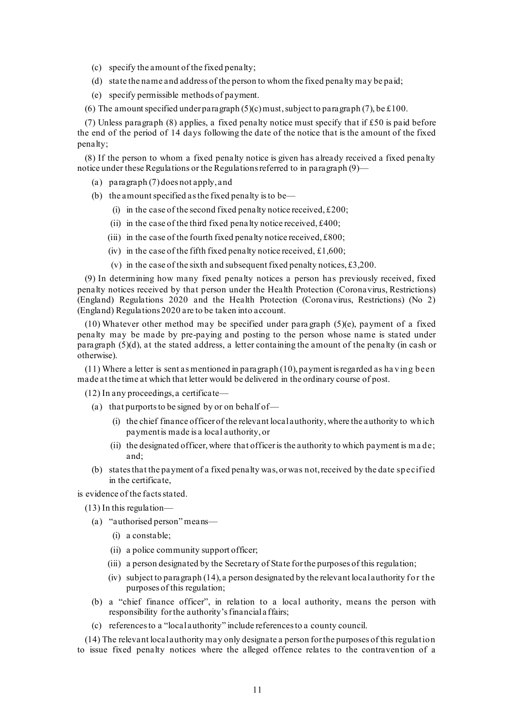- (c) specify the amount of the fixed penalty;
- (d) state the name and address of the person to whom the fixed penalty may be paid;
- (e) specify permissible methods of payment.

(6) The amount specified under paragraph  $(5)(c)$  must, subject to paragraph  $(7)$ , be £100.

(7) Unless paragraph (8) applies, a fixed penalty notice must specify that if  $£50$  is paid before the end of the period of 14 days following the date of the notice that is the amount of the fixed penalty;

(8) If the person to whom a fixed penalty notice is given has already received a fixed penalty notice under these Regulations or the Regulations referred to in paragraph (9)—

- (a) paragraph (7) does not apply, and
- (b) the amount specified asthe fixed penalty isto be—
	- (i) in the case of the second fixed penalty notice received,  $£200;$
	- (ii) in the case of the third fixed penalty notice received,  $\text{\pounds}400$ ;
	- (iii) in the case of the fourth fixed penalty notice received,  $£800;$
	- (iv) in the case of the fifth fixed penalty notice received,  $\pounds1,600;$
	- (v) in the case of the sixth and subsequent fixed penalty notices,  $\pounds 3,200$ .

(9) In determining how many fixed penalty notices a person has previously received, fixed penalty notices received by that person under the Health Protection (Coronavirus, Restrictions) (England) Regulations 2020 and the Health Protection (Coronavirus, Restrictions) (No 2) (England) Regulations 2020 are to be taken into account.

(10) Whatever other method may be specified under para graph (5)(e), payment of a fixed penalty may be made by pre-paying and posting to the person whose name is stated under paragraph (5)(d), at the stated address, a letter containing the amount of the penalty (in cash or otherwise).

(11) Where a letter is sent as mentioned in paragraph (10), payment is regarded as ha ving been made at the time at which that letter would be delivered in the ordinary course of post.

(12) In any proceedings, a certificate—

- (a) that purports to be signed by or on behalf of
	- (i) the chief finance officer of the relevant local authority, where the authority to which payment is made is a local authority, or
	- (ii) the designated officer, where that officer is the authority to which payment is made; and;
- (b) states that the payment of a fixed penalty was, or was not, received by the date specif ied in the certificate,

is evidence of the facts stated.

- <span id="page-12-0"></span>(13) In this regulation—
	- (a) "authorised person" means—
		- (i) a constable;
		- (ii) a police community support officer;
		- (iii) a person designated by the Secretary of State for the purposes of this regulation;
		- (iv) subject to paragraph  $(14)$ , a person designated by the relevant local authority for the purposes of this regulation;
	- (b) a "chief finance officer", in relation to a local authority, means the person with responsibility for the authority's financial a ffairs;
	- (c) references to a "local authority" include references to a county council.

(14) The relevant local authority may only designate a person for the purposes of this regulation to issue fixed penalty notices where the alleged offence relates to the contravention of a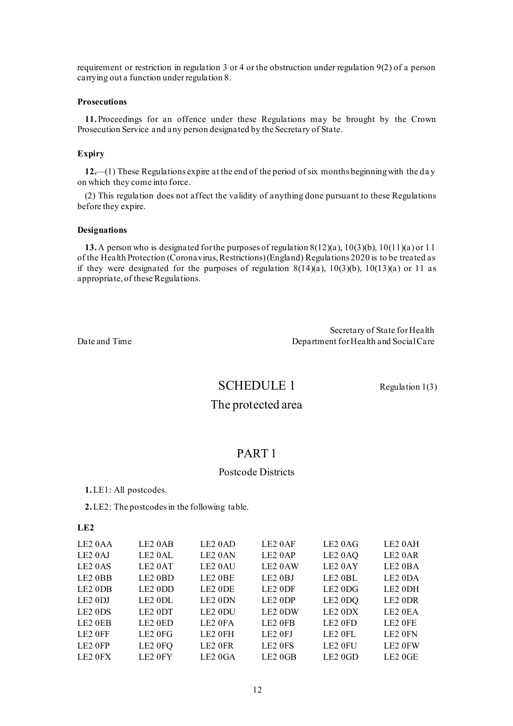requirement or restriction in regulation [3](#page-4-0) or [4](#page-5-0) or the obstruction under regulation 9(2) of a person carrying out a function underregulation 8.

#### **Prosecutions**

<span id="page-13-0"></span>**11.**Proceedings for an offence under these Regulations may be brought by the Crown Prosecution Service and any person designated by the Secretary of State.

#### **Expiry**

**12.**—(1) These Regulations expire at the end of the period of six months beginningwith the da y on which they come into force.

(2) This regulation does not affect the validity of anything done pursuant to these Regulations before they expire.

#### **Designations**

**13.**A person who is designated for the purposes of regulation 8(12)(a), 10(3)(b), 10(11)(a) or 11 of the Health Protection (Coronavirus, Restrictions) (England) Regulations 2020 is to be treated as if they were designated for the purposes of regulation  $8(14)(a)$ ,  $10(3)(b)$ ,  $10(13)(a)$  or [11](#page-13-0) as appropriate, of these Regulations.

Secretary of State for Health Date and Time **Department for Health and Social Care** 

## SCHEDULE 1 Regulation 1(3)

## The protected area

### PART 1

### Postcode Districts

**1.**LE1: All postcodes.

**2.**LE2: The postcodes in the following table.

| LE <sub>2</sub> 0AA | LE2 0AB | LE2 0AD             | LE2 0AF             | LE2 0AG             | LE2 0AH             |
|---------------------|---------|---------------------|---------------------|---------------------|---------------------|
| LE <sub>2</sub> 0AJ | LE2 0AL | LE2 0AN             | LE <sub>2</sub> 0AP | LE <sub>2</sub> 0AQ | LE2 0AR             |
| LE <sub>2</sub> 0AS | LE2 0AT | LE2 0AU             | LE2 0AW             | LE2 0AY             | LE2 0BA             |
| LE2 0BB             | LE2 0BD | LE2 0BE             | LE2 0BJ             | LE2 0BL             | LE2 0DA             |
| LE2 0DB             | LE2 0DD | LE2 0DE             | LE2 0DF             | LE2 0DG             | LE2 0DH             |
| LE2 0DJ             | LE2 0DL | LE2 0DN             | LE2 0DP             | LE2 0DQ             | LE2 0DR             |
| LE <sub>2</sub> 0DS | LE2 0DT | LE2 0DU             | LE2 0DW             | LE2 0DX             | LE2 0EA             |
| LE2 0EB             | LE2 0ED | LE2 0FA             | LE2 OFB             | LE2 0FD             | LE2 OFE             |
| LE2 OFF             | LE2 0FG | LE2 0FH             | LE2 0FJ             | LE2 OFL             | LE2 0FN             |
| LE2 OFP             | LE2 0FQ | LE <sub>2</sub> OFR | LE2 0FS             | LE <sub>2</sub> OFU | LE <sub>2</sub> 0FW |
| LE <sub>2</sub> OFX | LE2 0FY | LE2 0GA             | LE20GB              | LE2 0GD             | LE2 0GE             |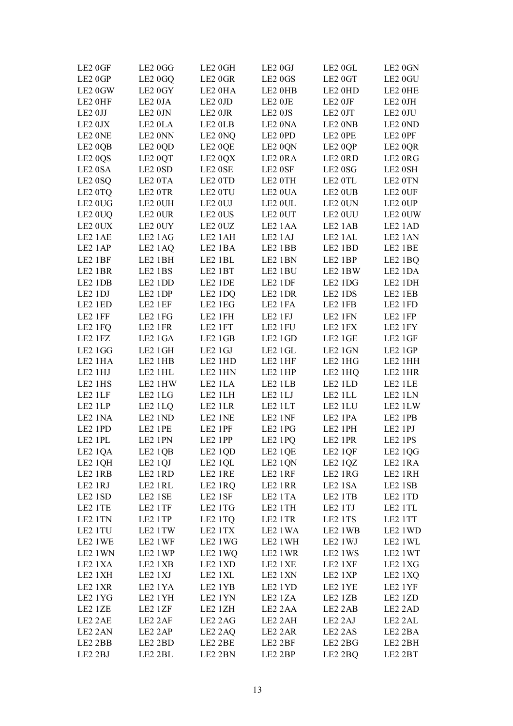| LE2 0GF             | LE2 0GG             | LE2 0GH           | LE2 0GJ | LE2 0GL         | LE2 0GN |
|---------------------|---------------------|-------------------|---------|-----------------|---------|
| LE2 0GP             | LE <sub>2</sub> 0GQ | LE2 0GR           | LE2 0GS | LE2 0GT         | LE2 0GU |
| LE2 0GW             | LE2 0GY             | LE2 0HA           | LE2 0HB | LE2 0HD         | LE2 OHE |
| LE2 0HF             | LE2 0JA             | LE2 0JD           | LE2 OJE | LE2 0JF         | LE2 0JH |
| LE2 0JJ             | LE2 0JN             | LE2 0JR           | LE2 0JS | LE2 0JT         | LE2 0JU |
| LE2 0JX             | LE2 0LA             | LE2 OLB           | LE2 0NA | LE2 0NB         | LE2 0ND |
| LE2 ONE             | LE2 0NN             | LE2 0NQ           | LE2 0PD | LE2 OPE         | LE2 OPF |
| LE <sub>2</sub> 0QB | LE2 0QD             | LE2 0QE           | LE2 0QN | LE2 0QP         | LE2 0QR |
| LE2 0QS             | LE2 0QT             | LE2 0QX           | LE2 ORA | LE2 ORD         | LE2 0RG |
| LE2 0SA             | LE2 0SD             | LE2 0SE           | LE2 0SF | LE2 0SG         | LE2 0SH |
| LE <sub>2</sub> 0SQ | LE2 0TA             | LE2 0TD           | LE2 0TH | LE2 OTL         | LE2 0TN |
| LE2 0TQ             | LE2 0TR             | LE2 0TU           | LE2 0UA | LE2 OUB         | LE2 OUF |
| LE2 0UG             | LE2 0UH             | LE2 0UJ           | LE2 OUL | LE2 0UN         | LE2 OUP |
|                     | LE2 0UR             | LE2 0US           | LE2 0UT |                 | LE2 0UW |
| LE <sub>2</sub> OUQ |                     |                   |         | LE2 0UU         |         |
| LE2 0UX             | LE2 0UY             | LE2 0UZ           | LE2 1AA | LE2 1AB         | LE2 1AD |
| LE2 1AE             | LE2 1AG             | LE2 1AH           | LE2 1AJ | LE2 1AL         | LE2 1AN |
| LE2 1AP             | LE <sub>2</sub> 1AQ | LE2 1BA           | LE2 1BB | LE2 1BD         | LE2 1BE |
| LE2 1BF             | LE2 1BH             | LE2 1BL           | LE2 1BN | LE2 1BP         | LE2 1BQ |
| LE2 1BR             | LE2 1BS             | LE2 1BT           | LE2 1BU | LE2 1BW         | LE2 1DA |
| LE2 1DB             | LE2 1DD             | LE2 1DE           | LE2 1DF | LE2 1DG         | LE2 1DH |
| LE2 1DJ             | LE2 1DP             | LE2 1DQ           | LE2 1DR | LE2 1DS         | LE2 1EB |
| LE2 1ED             | LE2 1EF             | LE2 1EG           | LE2 1FA | LE2 1FB         | LE2 1FD |
| LE2 1FF             | LE2 1FG             | LE2 1FH           | LE2 1FJ | LE2 1FN         | LE2 1FP |
| LE2 1FQ             | LE2 1FR             | LE2 1FT           | LE2 1FU | LE2 1FX         | LE2 1FY |
| LE2 1FZ             | LE2 1GA             | LE2 1GB           | LE2 1GD | LE2 1GE         | LE2 1GF |
| LE2 1GG             | LE2 1GH             | LE2 1GJ           | LE2 1GL | LE2 1GN         | LE2 1GP |
| LE2 1HA             | LE2 1HB             | LE2 1HD           | LE2 1HF | LE2 1HG         | LE2 1HH |
| LE2 1HJ             | LE2 1HL             | LE2 1HN           | LE2 1HP | LE2 1HQ         | LE2 1HR |
| LE2 1HS             | LE2 1HW             | LE2 1LA           | LE2 1LB | LE2 1LD         | LE2 1LE |
| LE2 1LF             | LE2 1LG             | LE2 1LH           | LE2 1LJ | LE2 1LL         | LE2 1LN |
| LE2 1LP             | LE2 1LQ             | LE2 1LR           | LE2 1LT | LE2 1LU         | LE2 1LW |
| LE2 1NA             | LE2 1ND             | LE2 1NE           | LE2 1NF | LE2 1PA         | LE2 1PB |
| LE2 1PD             | LE2 1PE             | LE2 1PF           | LE2 1PG | LE2 1PH         | LE2 1PJ |
| LE2 1PL             | LE2 1PN             | LE2 1PP           | LE2 1PQ | LE2 1PR         | LE2 1PS |
| LE2 1QA             | LE2 1QB             | LE2 1QD           | LE2 1QE | LE2 1QF         | LE2 1QG |
| LE2 1QH             | LE2 1QJ             | LE2 1QL           | LE2 1QN | LE2 1QZ         | LE2 1RA |
| LE2 1RB             | LE2 1RD             | LE2 1RE           | LE2 1RF | LE2 1RG         | LE2 1RH |
| LE2 1RJ             | LE2 1RL             | LE2 1RQ           | LE2 1RR | LE2 1SA         | LE2 1SB |
| LE2 1SD             | LE2 1SE             | LE2 1SF           | LE2 1TA | LE2 1TB         | LE2 1TD |
| LE2 1TE             | LE2 1TF             | LE2 1TG           | LE2 1TH | LE2 1TJ         | LE2 1TL |
| LE2 1TN             |                     | LE2 1TP LE2 1TQ   | LE2 1TR | LE2 1TS         | LE2 1TT |
| LE2 1TU             |                     | LE2 1TW LE2 1TX   | LE2 1WA | LE2 1WB         | LE2 1WD |
| LE2 1WE             | LE2 1WF             | LE2 1WG           | LE2 1WH | LE2 1WJ         | LE2 1WL |
| LE2 1WN             |                     | LE2 1 WP LE2 1 WQ | LE2 1WR | LE2 1WS         | LE2 1WT |
| LE2 1XA             | LE2 1XB             | LE2 1XD           | LE2 1XE | LE2 1XF         | LE2 1XG |
| LE2 1XH             | LE2 1XJ             | LE2 1XL           | LE2 1XN | LE2 1XP         | LE2 1XQ |
| LE2 1XR             | LE2 1YA             | LE2 1YB           | LE2 1YD | LE2 1YE         | LE2 1YF |
| LE2 1YG             | LE2 1YH             | LE2 1YN           | LE2 1ZA | LE2 1ZB         | LE2 1ZD |
| LE2 1ZE             | LE2 1ZF             | LE2 1ZH           | LE2 2AA | LE2 2AB         | LE2 2AD |
| LE2 2AE             |                     | LE2 2AF LE2 2AG   | LE2 2AH | LE2 2AJ         | LE2 2AL |
| LE2 2AN             |                     | LE2 2AP LE2 2AQ   | LE2 2AR | LE2 2AS         | LE2 2BA |
| LE2 2BB             |                     | LE2 2BD LE2 2BE   | LE2 2BF | LE2 2BG LE2 2BH |         |
| LE2 2BJ             | LE2 2BL             | LE2 2BN           | LE2 2BP | LE2 2BQ         | LE2 2BT |
|                     |                     |                   |         |                 |         |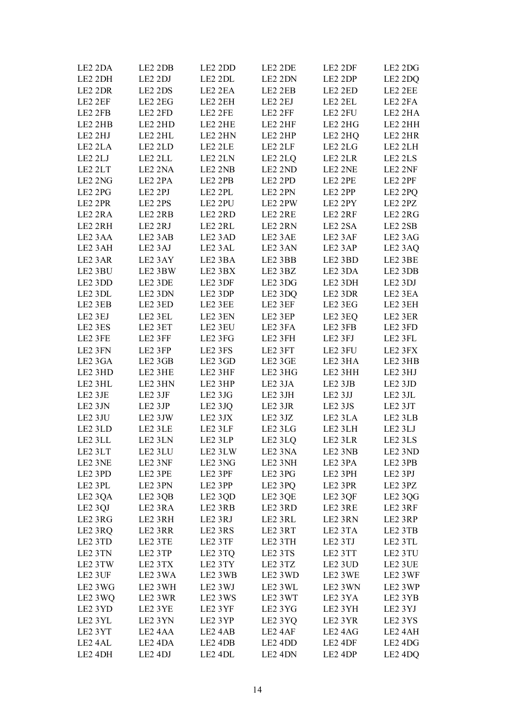| LE2 2DA             | LE2 2DB             | LE2 2DD             | LE2 2DE                        | LE2 2DF | LE2 2DG                         |
|---------------------|---------------------|---------------------|--------------------------------|---------|---------------------------------|
| LE2 2DH             | LE2 2DJ             | LE2 2DL             | LE2 2DN                        | LE2 2DP | LE2 2DQ                         |
| LE2 2DR             | LE2 2DS             | LE2 2EA             | LE2 2EB                        | LE2 2ED | LE2 2EE                         |
| LE2 2EF             | LE2 2EG             | LE2 2EH             | LE2 2EJ                        | LE2 2EL | LE2 2FA                         |
| LE2 2FB             | LE2 2FD             | LE2 2FE             | LE2 2FF                        | LE2 2FU | LE2 2HA                         |
| LE2 2HB             | LE2 2HD             | LE2 2HE             | LE2 2HF                        | LE2 2HG | LE2 2HH                         |
| LE2 2HJ             | LE2 2HL             | LE2 2HN             | LE2 2HP                        | LE2 2HQ | LE2 2HR                         |
| LE2 2LA             | LE2 2LD             | LE2 2LE             | LE2 2LF                        | LE2 2LG | LE2 2LH                         |
| LE2 2LJ             | LE2 2LL             | LE2 2LN             |                                | LE2 2LR | LE2 2LS                         |
| LE2 2LT             | LE2 2NA             | LE2 2NB             | LE <sub>2</sub> 2LQ<br>LE2 2ND | LE2 2NE | LE2 2NF                         |
| LE2 2NG             | LE2 2PA             | LE2 2PB             |                                |         |                                 |
|                     |                     |                     | LE2 2PD                        | LE2 2PE | LE2 2PF                         |
| LE2 2PG             | LE2 2PJ             | LE2 2PL             | LE2 2PN                        | LE2 2PP | LE2 2PQ                         |
| LE2 2PR             | LE2 2PS             | LE2 2PU             | LE2 2PW                        | LE2 2PY | LE2 2PZ                         |
| LE2 2RA             | LE2 2RB             | LE2 2RD             | LE2 2RE                        | LE2 2RF | LE2 2RG                         |
| LE2 2RH             | LE2 2RJ             | LE2 2RL             | LE2 2RN                        | LE2 2SA | LE2 2SB                         |
| LE <sub>2</sub> 3AA | LE <sub>2</sub> 3AB | LE2 3AD             | LE2 3AE                        | LE2 3AF | LE2 3AG                         |
| LE2 3AH             | LE2 3AJ             | LE2 3AL             | LE2 3AN                        | LE2 3AP | LE2 3AQ                         |
| LE2 3AR             | LE2 3AY             | LE2 3BA             | LE2 3BB                        | LE2 3BD | LE2 3BE                         |
| LE2 3BU             | LE2 3BW             | LE2 3BX             | LE2 3BZ                        | LE2 3DA | LE2 3DB                         |
| LE2 3DD             | LE2 3DE             | LE2 3DF             | LE2 3DG                        | LE2 3DH | LE2 3DJ                         |
| LE2 3DL             | LE2 3DN             | LE2 3DP             | LE2 3DQ                        | LE2 3DR | LE2 3EA                         |
| LE2 3EB             | LE2 3ED             | LE2 3EE             | LE2 3EF                        | LE2 3EG | LE2 3EH                         |
| LE2 3EJ             | LE2 3EL             | LE2 3EN             | LE2 3EP                        | LE2 3EQ | LE2 3ER                         |
| LE2 3ES             | LE2 3ET             | LE2 3EU             | LE2 3FA                        | LE2 3FB | LE2 3FD                         |
| LE2 3FE             | LE2 3FF             | LE2 3FG             | LE2 3FH                        | LE2 3FJ | LE2 3FL                         |
| LE2 3FN             | LE2 3FP             | LE2 3FS             | LE2 3FT                        | LE2 3FU | LE2 3FX                         |
| LE2 3GA             | LE <sub>2</sub> 3GB | LE2 3GD             | LE2 3GE                        | LE2 3HA | LE2 3HB                         |
| LE2 3HD             | LE2 3HE             | LE2 3HF             | LE2 3HG                        | LE2 3HH | LE2 3HJ                         |
| LE2 3HL             | LE2 3HN             | LE2 3HP             | LE2 3JA                        | LE2 3JB | LE2 3JD                         |
| LE2 3JE             | LE2 3JF             | LE2 3JG             | LE2 3JH                        | LE2 3JJ | LE2 3JL                         |
| LE2 3JN             | LE2 3JP             | LE2 3JQ             | LE2 3JR                        | LE2 3JS | LE2 3JT                         |
| LE2 3JU             | LE2 3JW             | LE2 3JX             | LE2 3JZ                        | LE2 3LA | LE2 3LB                         |
| LE2 3LD             | LE2 3LE             | LE2 3LF             | LE2 3LG                        | LE2 3LH | LE2 3LJ                         |
| LE2 3LL             | LE2 3LN             | LE2 3LP             | LE2 3LQ                        | LE2 3LR | LE2 3LS                         |
|                     |                     |                     |                                |         |                                 |
| LE2 3LT             | LE <sub>2</sub> 3LU | LE2 3LW             | LE <sub>2</sub> 3NA            | LE2 3NB | LE2 3ND                         |
| LE2 3NE             | LE2 3NF             | LE2 3NG             | LE2 3NH                        | LE2 3PA | LE2 3PB                         |
| LE2 3PD             | LE2 3PE             | LE2 3PF             | LE2 3PG                        | LE2 3PH | LE2 3PJ                         |
| LE2 3PL             | LE2 3PN             | LE2 3PP             | LE2 3PQ                        | LE2 3PR | LE2 3PZ                         |
| LE <sub>2</sub> 3QA | LE2 3QB             | LE2 3QD             | LE2 3QE                        | LE2 3QF | LE2 3QG                         |
| LE2 3QJ             | LE2 3RA             | LE2 3RB             | LE2 3RD                        | LE2 3RE | LE2 3RF                         |
| LE2 3RG             | LE2 3RH             | LE2 3RJ             | LE2 3RL                        | LE2 3RN | LE2 3RP                         |
| LE2 3RQ             | LE2 3RR             | LE2 3RS             | LE2 3RT                        | LE2 3TA | LE2 3TB                         |
| LE2 3TD             | LE2 3TE             | LE2 3TF             | LE2 3TH                        | LE2 3TJ | LE2 3TL                         |
| LE2 3TN             | LE2 3TP             | LE2 3TQ             | LE2 3TS                        | LE2 3TT | LE2 3TU                         |
| LE2 3TW             | LE2 3TX             | LE2 3TY             | LE2 3TZ                        | LE2 3UD | LE2 3UE                         |
| LE2 3UF             | LE2 3WA             | LE2 3WB             | LE2 3WD                        | LE2 3WE | LE2 3WF                         |
| LE2 3WG             | LE2 3WH             | LE2 3WJ             | LE2 3WL                        | LE2 3WN | LE2 3WP                         |
| LE2 3 WQ            | LE2 3WR             | LE2 3WS             | LE2 3WT                        | LE2 3YA | LE2 3YB                         |
| LE2 3YD             | LE2 3YE             | LE2 3YF             | LE2 3YG                        | LE2 3YH | LE2 3YJ                         |
| LE2 3YL             | LE2 3YN             | LE2 3YP             | LE2 3YQ                        | LE2 3YR | LE2 3YS                         |
| LE2 3YT             | LE24AA              | LE2 4AB             | LE2 4AF                        | LE2 4AG | LE2 4AH                         |
| LE2 4AL             | LE2 4DA             | LE <sub>2</sub> 4DB | LE2 4DD                        | LE2 4DF | LE2 4DG                         |
| LE2 4DH             | LE <sub>2</sub> 4DJ | LE2 4DL             | LE2 4DN                        | LE2 4DP | LE <sub>2</sub> 4D <sub>Q</sub> |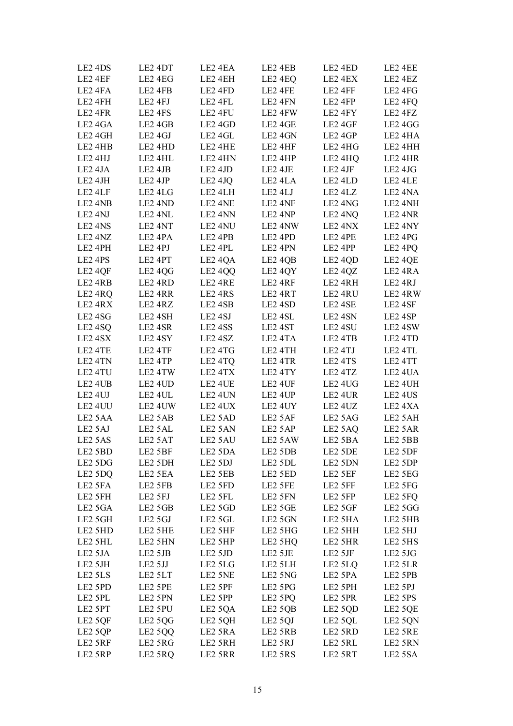| LE2 4DS             | LE2 4DT             | LE2 4EA             | LE2 4EB             | LE2 4ED             | LE2 4EE             |
|---------------------|---------------------|---------------------|---------------------|---------------------|---------------------|
| LE2 4EF             | LE2 4EG             | LE2 4EH             | LE <sub>2</sub> 4EQ | LE2 4EX             | LE2 4EZ             |
| LE2 4FA             | LE2 4FB             | LE2 4FD             | LE2 4FE             | LE2 4FF             | LE2 4FG             |
| LE2 4FH             | LE2 4FJ             | LE2 4FL             | LE2 4FN             | LE2 4FP             | LE2 4FQ             |
| LE2 4FR             | LE2 4FS             | LE2 4FU             | LE2 4FW             | LE2 4FY             | LE2 4FZ             |
| LE2 4GA             | LE <sub>2</sub> 4GB | LE2 4GD             | LE2 4GE             | LE2 4GF             | LE2 4GG             |
| LE2 4GH             | LE2 4GJ             | LE2 4GL             | LE2 4GN             | LE2 4GP             | LE2 4HA             |
| LE2 4HB             | LE2 4HD             | LE2 4HE             | LE2 4HF             | LE2 4HG             | LE2 4HH             |
| LE2 4HJ             | LE2 4HL             | LE2 4HN             | LE2 4HP             | LE2 4HQ             | LE2 4HR             |
| LE <sub>2</sub> 4JA | LE2 4JB             | LE2 4JD             | LE2 4JE             | LE2 4JF             | LE2 4JG             |
| LE2 4JH             | LE2 4JP             | LE <sub>2</sub> 4JQ | LE2 4LA             | LE2 4LD             | LE2 4LE             |
| LE2 4LF             | LE2 4LG             | LE2 4LH             | LE2 4LJ             | LE2 4LZ             | LE2 4NA             |
| LE2 4NB             | LE2 4ND             | LE2 4NE             | LE2 4NF             | LE2 4NG             | LE2 4NH             |
| LE2 4NJ             | LE2 4NL             | LE2 4NN             | LE2 4NP             | LE2 4NQ             | LE2 4NR             |
| LE2 4NS             | LE2 4NT             | LE2 4NU             | LE2 4NW             | LE2 4NX             | LE2 4NY             |
| LE2 4NZ             | LE <sub>2</sub> 4PA | LE2 4PB             | LE2 4PD             | LE2 4PE             | LE2 4PG             |
| LE2 4PH             | LE2 4PJ             | LE2 4PL             | LE2 4PN             | LE2 4PP             | LE2 4PQ             |
| LE2 4PS             | LE2 4PT             | LE <sub>2</sub> 4QA | LE <sub>2</sub> 4QB | LE2 4QD             | LE2 4QE             |
| LE2 4QF             | LE <sub>2</sub> 4QG | LE2 4QQ             | LE2 4QY             | LE2 4QZ             | LE2 4RA             |
| LE2 4RB             | LE2 4RD             | LE2 4RE             | LE2 4RF             | LE2 4RH             | LE2 4RJ             |
| LE2 4RQ             | LE2 4RR             | LE2 4RS             | LE2 4RT             | LE2 4RU             | LE2 4RW             |
| LE2 4RX             | LE2 4RZ             | LE2 4SB             | LE2 4SD             | LE2 4SE             | LE2 4SF             |
| LE2 4SG             | LE2 4SH             | LE <sub>2</sub> 4SJ | LE2 4SL             | LE2 4SN             | LE2 4SP             |
| LE <sub>2</sub> 4SQ | LE2 4SR             | LE <sub>2</sub> 4SS | LE2 4ST             | LE2 4SU             | LE2 4SW             |
| LE2 4SX             | LE2 4SY             | LE2 4SZ             | LE2 4TA             | LE2 4TB             | LE2 4TD             |
| LE2 4TE             | LE2 4TF             | LE2 4TG             | LE2 4TH             | LE2 4TJ             | LE2 4TL             |
| LE2 4TN             | LE2 4TP             | LE <sub>2</sub> 4TQ | LE2 4TR             | LE2 4TS             | LE2 4TT             |
| LE2 4TU             | LE2 4TW             | LE2 4TX             | LE2 4TY             | LE2 4TZ             | LE2 4UA             |
| LE2 4UB             | LE2 4UD             | LE2 4UE             | LE2 4UF             | LE2 4UG             | LE2 4UH             |
| LE2 4UJ             | LE2 4UL             | LE2 4UN             | LE2 4UP             | LE2 4UR             | LE2 4US             |
| LE2 4UU             | LE2 4UW             | LE2 4UX             | LE2 4UY             | LE2 4UZ             | LE2 4XA             |
| LE <sub>2</sub> 5AA | LE2 5AB             | LE2 5AD             | LE2 5AF             | LE2 5AG             | LE2 5AH             |
| LE2 5AJ             | LE2 5AL             | LE2 5AN             | LE2 5AP             | LE2 5AQ             | LE2 5AR             |
| LE2 5AS             | LE2 5AT             | LE2 5AU             | LE2 5AW             | LE2 5BA             | LE2 5BB             |
| LE2 5BD             | LE2 5BF             | LE <sub>2</sub> 5DA | LE <sub>2</sub> 5DB | LE2 5DE             | LE2 5DF             |
| LE2 5DG             | LE2 5DH             | LE2 5DJ             | LE2 5DL             | LE2 5DN             | LE2 5DP             |
| LE2 5DQ             | LE2 5EA             | LE2 5EB             | LE2 5ED             | LE2 5EF             | LE2 5EG             |
| LE2 5FA             | LE2 5FB             | LE2 5FD             | LE2 5FE             | LE2 5FF             | LE <sub>2</sub> 5FG |
| LE2 5FH             | LE2 5FJ             | LE2 5FL             | LE2 5FN             | LE2 5FP             | LE2 5FQ             |
| LE2 5GA             | LE2 5GB             | LE2 5GD             | LE2 5GE             | LE2 5GF             | LE <sub>2</sub> 5GG |
| LE2 5GH             | LE2 5GJ             | LE2 5GL             | LE2 5GN             | LE2 5HA             | LE2 5HB             |
| LE2 5HD             | LE2 5HE             | LE2 5HF             | LE2 5HG             | LE2 5HH             | LE2 5HJ             |
| LE2 5HL             | LE2 5HN             | LE2 5HP             | LE2 5HQ             | LE2 5HR             | LE2 5HS             |
| LE <sub>2</sub> 5JA | LE2 5JB             | LE2 5JD             | LE2 5JE             | LE2 5JF             | LE2 5JG             |
| LE2 5JH             | LE2 5JJ             | LE2 5LG             | LE2 5LH             | LE <sub>2</sub> 5LQ | LE2 5LR             |
| LE2 5LS             | LE2 5LT             | LE2 5NE             | LE2 5NG             | LE2 5PA             | LE2 5PB             |
| LE2 5PD             | LE2 5PE             | LE2 5PF             | LE2 5PG             | LE2 5PH             | LE2 5PJ             |
| LE2 5PL             | LE2 5PN             | LE2 5PP             | LE <sub>2</sub> 5PQ | LE2 5PR             | LE2 5PS             |
| LE2 5PT             | LE2 5PU             | LE <sub>2</sub> 5QA | LE <sub>2</sub> 5QB | LE <sub>2</sub> 5QD | LE2 5QE             |
| LE2 5QF             | LE2 5QG             | LE2 5QH             | LE2 5QJ             | LE2 5QL             | LE2 5QN             |
| LE2 5QP             | LE <sub>2</sub> 5QQ | LE2 5RA             | LE2 5RB             | LE2 5RD             | LE2 5RE             |
| LE2 5RF             | LE2 5RG             | LE2 5RH             | LE2 5RJ             | LE2 5RL             | LE2 5RN             |
| LE2 5RP             | LE <sub>2</sub> 5RQ | LE2 5RR             | LE2 5RS             | LE2 5RT             | LE2 5SA             |
|                     |                     |                     |                     |                     |                     |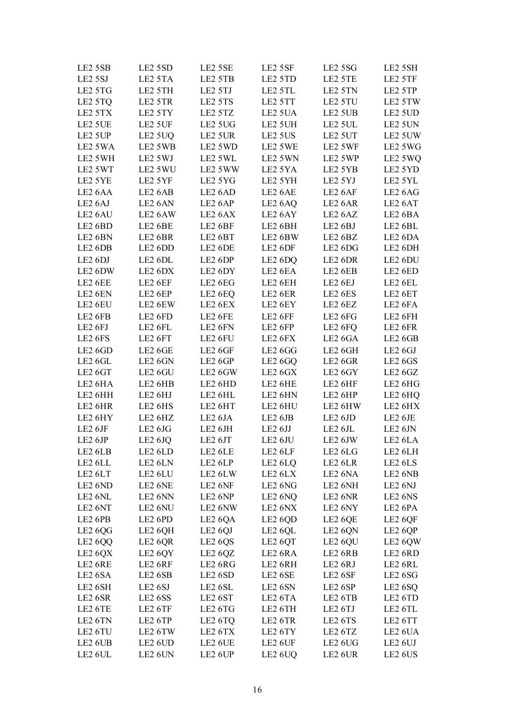| LE2 5SB             | LE2 5SD             | LE2 5SE                         | LE2 5SF             | LE2 5SG             | LE2 5SH             |
|---------------------|---------------------|---------------------------------|---------------------|---------------------|---------------------|
| LE2 5SJ             | LE2 5TA             | LE2 5TB                         | LE2 5TD             | LE2 5TE             | LE2 5TF             |
| LE2 5TG             | LE2 5TH             | LE2 5TJ                         | LE2 5TL             | LE2 5TN             | LE2 5TP             |
| LE <sub>2</sub> 5TQ | LE2 5TR             | LE2 5TS                         | LE2 5TT             | LE2 5TU             | LE2 5TW             |
| LE2 5TX             | LE2 5TY             | LE2 5TZ                         | LE2 5UA             | LE2 5UB             | LE2 5UD             |
| LE2 5UE             | LE2 5UF             | LE2 5UG                         | LE2 5UH             | LE2 5UL             | LE2 5UN             |
| LE2 5UP             | LE2 5UQ             | LE2 5UR                         | LE2 5US             | LE2 5UT             | LE2 5UW             |
| LE2 5WA             | LE2 5WB             | LE2 5WD                         | LE2 5WE             | LE2 5WF             | LE2 5WG             |
| LE2 5WH             | LE2 5WJ             | LE2 5WL                         | LE2 5WN             | LE2 5WP             | LE2 5WQ             |
| LE2 5WT             | LE2 5WU             | LE2 5WW                         | LE2 5YA             | LE2 5YB             | LE2 5YD             |
| LE2 5YE             | LE2 5YF             | LE2 5YG                         | LE2 5YH             | LE2 5YJ             | LE2 5YL             |
| LE <sub>2</sub> 6AA | LE <sub>2</sub> 6AB | LE2 6AD                         | LE2 6AE             | LE2 6AF             | LE <sub>2</sub> 6AG |
| LE <sub>2</sub> 6AJ | LE2 6AN             | LE <sub>2</sub> 6AP             | LE <sub>2</sub> 6AQ | LE2 6AR             | LE2 6AT             |
| LE2 6AU             | LE2 6AW             | LE2 6AX                         | LE2 6AY             | LE <sub>2</sub> 6AZ | LE2 6BA             |
| LE2 6BD             | LE2 6BE             | LE2 6BF                         | LE2 6BH             | LE2 6BJ             | LE2 6BL             |
| LE2 6BN             | LE2 6BR             | LE2 6BT                         | LE2 6BW             | LE2 6BZ             | LE <sub>2</sub> 6DA |
| LE2 6DB             | LE2 6DD             | LE2 6DE                         | LE2 6DF             | LE2 6DG             | LE2 6DH             |
| LE2 6DJ             | LE2 6DL             | LE2 6DP                         | LE <sub>2</sub> 6DQ | LE2 6DR             | LE2 6DU             |
| LE2 6DW             | LE2 6DX             | LE2 6DY                         | LE2 6EA             | LE2 6EB             | LE2 6ED             |
| LE2 6EE             | LE2 6EF             | LE2 6EG                         | LE2 6EH             | LE2 6EJ             | LE2 6EL             |
| LE2 6EN             | LE2 6EP             | LE2 6EQ                         | LE2 6ER             | LE2 6ES             | LE2 6ET             |
| LE2 6EU             | LE2 6EW             | LE2 6EX                         | LE2 6EY             | LE2 6EZ             | LE2 6FA             |
| LE2 6FB             | LE2 6FD             | LE2 6FE                         | LE2 6FF             | LE2 6FG             | LE2 6FH             |
| LE2 6FJ             | LE2 6FL             | LE2 6FN                         | LE2 6FP             | LE <sub>2</sub> 6FQ | LE2 6FR             |
| LE2 6FS             | LE2 6FT             | LE2 6FU                         | LE2 6FX             | LE2 6GA             | LE2 6GB             |
| LE2 6GD             | LE2 6GE             | LE2 6GF                         | LE2 6GG             | LE2 6GH             | LE2 6GJ             |
| LE2 6GL             | LE2 6GN             | LE2 6GP                         | LE <sub>2</sub> 6GQ | LE2 6GR             | LE2 6GS             |
| LE2 6GT             | LE2 6GU             | LE2 6GW                         | LE2 6GX             | LE2 6GY             | LE2 6GZ             |
| LE2 6HA             | LE2 6HB             | LE2 6HD                         | LE2 6HE             | LE2 6HF             | LE2 6HG             |
| LE2 6HH             | LE2 6HJ             | LE2 6HL                         | LE2 6HN             | LE2 6HP             | LE2 6HQ             |
| LE2 6HR             | LE2 6HS             | LE2 6HT                         | LE2 6HU             | LE2 6HW             | LE2 6HX             |
| LE2 6HY             | LE2 6HZ             | LE2 6JA                         | LE2 6JB             | LE2 6JD             | LE2 6JE             |
| LE2 6JF             | LE2 6JG             | $\rm LE2~6JH$                   | LE2 6JJ             | LE2 6JL             | LE2 6JN             |
| LE2 6JP             | LE2 <sub>6JQ</sub>  | LE2 6JT                         | LE2 6JU             | LE2 6JW             | LE2 6LA             |
|                     |                     |                                 |                     |                     |                     |
| LE2 6LB             | LE2 6LD             | LE2 6LE                         | LE2 6LF             | LE2 6LG             | LE2 6LH             |
| LE2 6LL             | LE2 6LN             | LE2 6LP                         | LE2 6LQ             | LE2 6LR             | LE2 6LS             |
| LE2 6LT             | LE2 6LU             | LE2 6LW                         | LE2 6LX             | LE2 6NA             | LE2 6NB             |
| LE2 6ND             | LE2 6NE             | LE2 6NF                         | LE <sub>2</sub> 6NG | LE2 6NH             | LE2 6NJ             |
| LE2 6NL             | LE2 6NN             | LE <sub>2</sub> 6NP             | LE <sub>2</sub> 6NQ | LE <sub>2</sub> 6NR | LE <sub>2</sub> 6NS |
| LE <sub>2</sub> 6NT | LE2 6NU             | LE <sub>2</sub> 6NW             | LE2 6NX             | LE2 6NY             | LE2 6PA             |
| LE2 6PB             | LE2 6PD             | LE <sub>2</sub> 6QA             | LE2 6QD             | LE2 6QE             | LE <sub>2</sub> 6QF |
| LE <sub>2</sub> 6QG | LE2 6QH             | LE2 6QJ                         | LE2 6QL             | LE2 6QN             | LE2 6QP             |
| LE <sub>2</sub> 6QQ | LE2 6QR             | LE <sub>2</sub> 6Q <sub>S</sub> | LE2 6QT             | LE2 6QU             | LE2 6QW             |
| LE <sub>2</sub> 6QX | LE2 6QY             | LE <sub>2</sub> 6Q <sub>Z</sub> | LE2 6RA             | LE2 6RB             | LE2 6RD             |
| LE2 6RE             | LE2 6RF             | LE2 6RG                         | LE2 6RH             | LE2 6RJ             | LE2 6RL             |
| LE <sub>2</sub> 6SA | LE2 6SB             | LE <sub>2</sub> 6SD             | LE2 6SE             | LE2 6SF             | LE <sub>2</sub> 6SG |
| LE2 6SH             | LE <sub>2</sub> 6SJ | LE2 6SL                         | LE2 6SN             | LE2 6SP             | LE <sub>2</sub> 6SQ |
| LE2 6SR             | LE <sub>2</sub> 6SS | LE <sub>2</sub> 6ST             | LE <sub>2</sub> 6TA | LE2 6TB             | LE2 6TD             |
| LE2 6TE             | LE2 6TF             | LE <sub>2</sub> 6TG             | LE2 6TH             | LE <sub>2</sub> 6TJ | LE2 6TL             |
| LE2 6TN             | LE2 6TP             | LE <sub>2</sub> 6TQ             | LE2 6TR             | LE2 6TS             | LE2 6TT             |
| LE <sub>2</sub> 6TU | LE2 6TW             | LE2 6TX                         | LE2 6TY             | LE2 6TZ             | LE <sub>2</sub> 6UA |
| LE <sub>2</sub> 6UB | LE2 6UD             | LE2 6UE                         | LE2 6UF             | LE <sub>2</sub> 6UG | LE2 6UJ             |
| LE2 6UL             | LE2 6UN             | LE2 6UP                         | LE <sub>2</sub> 6UQ | LE2 6UR             | LE <sub>2</sub> 6US |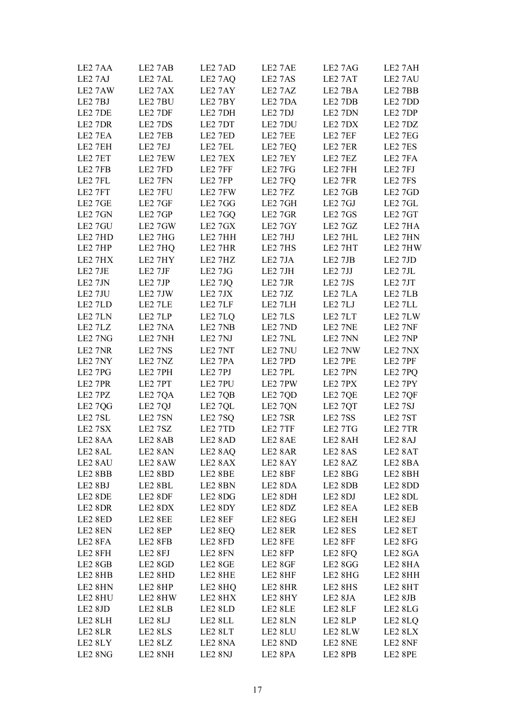| LE2 7AA | LE2 7AB | LE2 7AD             | LE2 7AE | LE27AG  | LE2 7AH |
|---------|---------|---------------------|---------|---------|---------|
| LE2 7AJ | LE27AL  | LE2 7AQ             | LE2 7AS | LE2 7AT | LE2 7AU |
| LE27AW  | LE27AX  | LE2 7AY             | LE2 7AZ | LE2 7BA | LE2 7BB |
| LE2 7BJ | LE2 7BU | LE2 7BY             | LE2 7DA | LE2 7DB | LE2 7DD |
| LE2 7DE | LE2 7DF | LE2 7DH             | LE2 7DJ | LE2 7DN | LE2 7DP |
| LE2 7DR | LE2 7DS | LE2 7DT             | LE2 7DU | LE2 7DX | LE2 7DZ |
| LE2 7EA | LE2 7EB | LE2 7ED             | LE2 7EE | LE2 7EF | LE2 7EG |
| LE2 7EH | LE2 7EJ | LE2 7EL             | LE2 7EQ | LE2 7ER | LE2 7ES |
| LE2 7ET | LE2 7EW | LE2 7EX             | LE2 7EY | LE2 7EZ | LE2 7FA |
| LE2 7FB | LE2 7FD | LE2 7FF             | LE2 7FG | LE2 7FH | LE2 7FJ |
| LE2 7FL | LE2 7FN | LE2 7FP             | LE2 7FQ | LE2 7FR | LE2 7FS |
| LE2 7FT | LE2 7FU | LE2 7FW             | LE2 7FZ | LE2 7GB | LE2 7GD |
| LE2 7GE | LE2 7GF | LE2 7GG             | LE2 7GH | LE2 7GJ | LE2 7GL |
| LE2 7GN | LE2 7GP | LE2 7GQ             | LE2 7GR | LE2 7GS | LE2 7GT |
| LE2 7GU | LE2 7GW | LE2 7GX             | LE2 7GY | LE2 7GZ | LE2 7HA |
| LE2 7HD | LE2 7HG | LE2 7HH             | LE2 7HJ | LE2 7HL | LE2 7HN |
| LE2 7HP | LE2 7HQ | LE2 7HR             | LE2 7HS | LE2 7HT | LE2 7HW |
| LE2 7HX | LE2 7HY | LE2 7HZ             | LE2 7JA | LE2 7JB | LE2 7JD |
| LE2 7JE | LE2 7JF | LE2 7JG             | LE2 7JH | LE2 7JJ | LE2 7JL |
| LE2 7JN | LE2 7JP | LE2 7JQ             | LE2 7JR | LE2 7JS | LE2 7JT |
| LE2 7JU | LE2 7JW | LE2 7JX             | LE2 7JZ | LE2 7LA | LE2 7LB |
| LE2 7LD | LE2 7LE | LE2 7LF             | LE2 7LH | LE2 7LJ | LE2 7LL |
| LE2 7LN | LE2 7LP | LE2 7LQ             | LE2 7LS | LE2 7LT | LE2 7LW |
| LE2 7LZ | LE2 7NA | LE2 7NB             | LE2 7ND | LE2 7NE | LE2 7NF |
| LE2 7NG | LE2 7NH | LE2 7NJ             | LE2 7NL | LE2 7NN | LE2 7NP |
| LE2 7NR | LE2 7NS | LE2 7NT             | LE2 7NU | LE2 7NW | LE2 7NX |
| LE2 7NY | LE2 7NZ | LE2 7PA             | LE2 7PD | LE2 7PE | LE2 7PF |
| LE2 7PG | LE2 7PH | LE2 7PJ             | LE2 7PL | LE2 7PN | LE2 7PQ |
| LE2 7PR | LE2 7PT | LE2 7PU             | LE2 7PW | LE2 7PX | LE2 7PY |
| LE2 7PZ | LE2 7QA | LE2 7QB             | LE2 7QD | LE2 7QE | LE2 7QF |
| LE2 7QG | LE2 7QJ | LE2 7QL             | LE2 7QN | LE2 7QT | LE2 7SJ |
| LE2 7SL | LE2 7SN | LE2 7SQ             | LE2 7SR | LE27SS  | LE2 7ST |
| LE2 7SX | LE2 7SZ | LE2 7TD             | LE2 7TF | LE2 7TG | LE2 7TR |
| LE2 8AA | LE2 8AB | LE2 8AD             | LE2 8AE | LE2 8AH | LE2 8AJ |
| LE2 8AL | LE2 8AN | LE <sub>2</sub> 8AQ | LE2 8AR | LE2 8AS | LE2 8AT |
| LE2 8AU | LE2 8AW | LE2 8AX             | LE2 8AY | LE2 8AZ | LE2 8BA |
| LE2 8BB | LE2 8BD | LE2 8BE             | LE2 8BF | LE2 8BG | LE2 8BH |
| LE2 8BJ | LE2 8BL | LE2 8BN             | LE2 8DA | LE2 8DB | LE2 8DD |
| LE2 8DE | LE2 8DF | LE2 8DG             | LE2 8DH | LE2 8DJ | LE2 8DL |
| LE2 8DR | LE2 8DX | LE2 8DY             | LE2 8DZ | LE2 8EA | LE2 8EB |
| LE2 8ED | LE2 8EE | LE2 8EF             | LE2 8EG | LE2 8EH | LE2 8EJ |
| LE2 8EN | LE2 8EP | LE2 8EQ             | LE2 8ER | LE2 8ES | LE2 8ET |
| LE2 8FA | LE2 8FB | LE2 8FD             | LE2 8FE | LE2 8FF | LE2 8FG |
| LE2 8FH | LE2 8FJ | LE2 8FN             | LE2 8FP | LE2 8FQ | LE2 8GA |
| LE2 8GB | LE2 8GD | LE2 8GE             | LE2 8GF | LE2 8GG | LE2 8HA |
| LE2 8HB | LE2 8HD | LE2 8HE             | LE2 8HF | LE2 8HG | LE2 8HH |
| LE2 8HN | LE2 8HP | LE2 8HQ             | LE2 8HR | LE2 8HS | LE2 8HT |
| LE2 8HU | LE2 8HW | LE2 8HX             | LE2 8HY | LE2 8JA | LE2 8JB |
| LE2 8JD | LE2 8LB | LE2 8LD             | LE2 8LE | LE2 8LF | LE2 8LG |
| LE2 8LH | LE2 8LJ | LE2 8LL             | LE2 8LN | LE2 8LP | LE2 8LQ |
| LE2 8LR | LE2 8LS | LE2 8LT             | LE2 8LU | LE2 8LW | LE2 8LX |
| LE2 8LY | LE2 8LZ | LE2 8NA             | LE2 8ND | LE2 8NE | LE2 8NF |
| LE2 8NG | LE2 8NH | LE2 8NJ             | LE2 8PA | LE2 8PB | LE2 8PE |
|         |         |                     |         |         |         |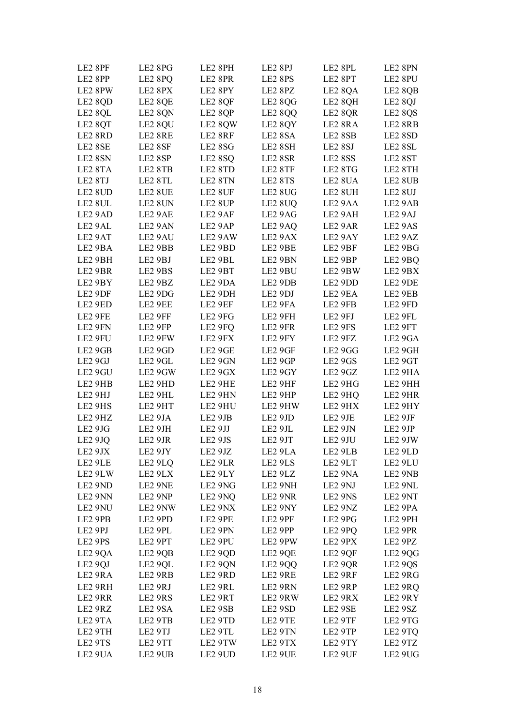| LE2 8PF             | LE2 8PG             | LE2 8PH             | LE2 8PJ             | LE2 8PL | LE2 8PN |
|---------------------|---------------------|---------------------|---------------------|---------|---------|
| LE2 8PP             | LE <sub>2</sub> 8PQ | LE2 8PR             | LE2 8PS             | LE2 8PT | LE2 8PU |
| LE2 8PW             | LE2 8PX             | LE2 8PY             | LE2 8PZ             | LE2 8QA | LE2 8QB |
| LE2 8QD             | LE2 8QE             | LE2 8QF             | LE2 8QG             | LE2 8QH | LE2 8QJ |
| LE2 8QL             | LE2 8QN             | LE2 8QP             | LE2 8QQ             | LE2 8QR | LE2 8QS |
| LE2 8QT             | LE2 8QU             | LE2 8QW             | LE2 8QY             | LE2 8RA | LE2 8RB |
| LE2 8RD             | LE2 8RE             | LE2 8RF             | LE2 8SA             | LE2 8SB | LE2 8SD |
| LE2 8SE             | LE2 8SF             | LE2 8SG             | LE2 8SH             | LE2 8SJ | LE2 8SL |
| LE2 8SN             | LE2 8SP             | LE <sub>2</sub> 8SQ | LE2 8SR             | LE2 8SS | LE2 8ST |
| LE2 8TA             | LE2 8TB             | LE2 8TD             | LE2 8TF             | LE2 8TG | LE2 8TH |
| LE2 8TJ             | LE2 8TL             | LE2 8TN             | LE2 8TS             | LE2 8UA | LE2 8UB |
|                     |                     |                     |                     |         |         |
| LE2 8UD             | LE2 8UE             | LE2 8UF             | LE2 8UG             | LE2 8UH | LE2 8UJ |
| LE2 8UL             | LE2 8UN             | LE2 8UP             | LE2 8UQ             | LE2 9AA | LE2 9AB |
| LE2 9AD             | LE2 9AE             | LE2 9AF             | LE2 9AG             | LE2 9AH | LE2 9AJ |
| LE2 9AL             | LE2 9AN             | LE2 9AP             | LE <sub>2</sub> 9AQ | LE2 9AR | LE2 9AS |
| LE2 9AT             | LE2 9AU             | LE2 9AW             | LE2 9AX             | LE2 9AY | LE2 9AZ |
| LE2 9BA             | LE2 9BB             | LE2 9BD             | LE2 9BE             | LE2 9BF | LE2 9BG |
| LE2 9BH             | LE2 9BJ             | LE2 9BL             | LE2 9BN             | LE2 9BP | LE2 9BQ |
| LE2 9BR             | LE2 9BS             | LE2 9BT             | LE2 9BU             | LE2 9BW | LE2 9BX |
| LE2 9BY             | LE2 9BZ             | LE2 9DA             | LE2 9DB             | LE2 9DD | LE2 9DE |
| LE2 9DF             | LE2 9DG             | LE2 9DH             | LE2 9DJ             | LE2 9EA | LE2 9EB |
| LE2 9ED             | LE2 9EE             | LE2 9EF             | LE2 9FA             | LE2 9FB | LE2 9FD |
| LE2 9FE             | LE2 9FF             | LE2 9FG             | LE2 9FH             | LE2 9FJ | LE2 9FL |
| LE2 9FN             | LE2 9FP             | LE2 9FQ             | LE2 9FR             | LE2 9FS | LE2 9FT |
| LE2 9FU             | LE2 9FW             | LE2 9FX             | LE2 9FY             | LE2 9FZ | LE2 9GA |
| LE2 9GB             | LE2 9GD             | LE2 9GE             | LE2 9GF             | LE2 9GG | LE2 9GH |
| LE2 9GJ             | LE2 9GL             | LE2 9GN             | LE2 9GP             | LE2 9GS | LE2 9GT |
| LE2 9GU             | LE2 9GW             | LE2 9GX             | LE2 9GY             | LE2 9GZ | LE2 9HA |
| LE2 9HB             | LE2 9HD             | LE2 9HE             | LE2 9HF             | LE2 9HG | LE2 9HH |
| LE2 9HJ             | LE2 9HL             | LE2 9HN             | LE2 9HP             | LE2 9HQ | LE2 9HR |
| LE2 9HS             | LE2 9HT             | LE2 9HU             | LE2 9HW             | LE2 9HX | LE2 9HY |
| LE2 9HZ             | LE2 9JA             | LE2 9JB             | LE2 9JD             | LE2 9JE | LE2 9JF |
| LE2 9JG             | LE2 9JH             | LE2 9JJ             | LE2 9JL             | LE2 9JN | LE2 9JP |
| LE2 9JQ             | LE2 9JR             | LE2 9JS             | LE2 9JT             | LE2 9JU | LE2 9JW |
| LE2 9JX             | LE2 9JY             | LE2 9JZ             | LE2 9LA             | LE2 9LB | LE2 9LD |
| LE2 9LE             | LE <sub>2</sub> 9LQ | LE2 9LR             | LE2 9LS             | LE2 9LT | LE2 9LU |
| LE2 9LW             | LE2 9LX             | LE2 9LY             | LE2 9LZ             | LE2 9NA | LE2 9NB |
| LE2 9ND             | LE2 9NE             | LE2 9NG             | LE2 9NH             | LE2 9NJ | LE2 9NL |
| LE2 9NN             | LE2 9NP             | LE2 9NQ             | LE2 9NR             | LE2 9NS | LE2 9NT |
| LE2 9NU             | LE2 9NW             | LE2 9NX             | LE2 9NY             | LE2 9NZ | LE2 9PA |
| LE2 9PB             | LE2 9PD             | LE2 9PE             | LE2 9PF             | LE2 9PG | LE2 9PH |
| LE2 9PJ             | LE2 9PL             | LE2 9PN             | LE2 9PP             | LE2 9PQ | LE2 9PR |
| LE2 9PS             | LE2 9PT             | LE2 9PU             | LE2 9PW             | LE2 9PX | LE2 9PZ |
| LE <sub>2</sub> 9QA | LE2 9QB             | LE2 9QD             | LE2 9QE             | LE2 9QF | LE2 9QG |
| LE2 9QJ             | LE2 9QL             | LE2 9QN             | LE2 9QQ             | LE2 9QR | LE2 9QS |
| LE2 9RA             | LE2 9RB             | LE2 9RD             | LE2 9RE             | LE2 9RF | LE2 9RG |
| LE2 9RH             | LE2 9RJ             | LE2 9RL             | LE2 9RN             | LE2 9RP | LE2 9RQ |
| LE2 9RR             | LE2 9RS             | LE2 9RT             | LE2 9RW             | LE2 9RX | LE2 9RY |
| LE2 9RZ             | LE2 9SA             | LE2 9SB             | LE2 9SD             | LE2 9SE | LE2 9SZ |
| LE2 9TA             | LE2 9TB             | LE2 9TD             | LE2 9TE             | LE2 9TF | LE2 9TG |
| LE2 9TH             | LE2 9TJ             | LE2 9TL             | LE2 9TN             | LE2 9TP | LE2 9TQ |
| LE2 9TS             | LE2 9TT             | LE2 9TW             | LE2 9TX             | LE2 9TY | LE2 9TZ |
| LE2 9UA             | LE2 9UB             | LE2 9UD             | LE2 9UE             | LE2 9UF | LE2 9UG |
|                     |                     |                     |                     |         |         |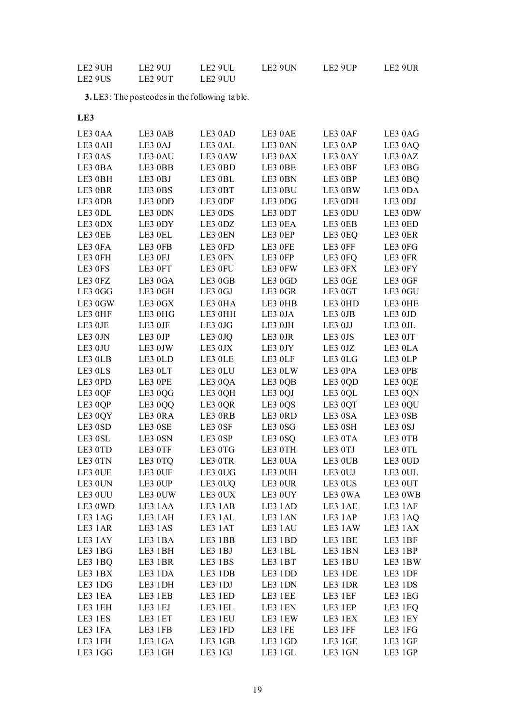| LE2 9UH             | LE2 9UJ             | LE2 9UL | LE <sub>2</sub> 9UN | LE2 9UP | LE <sub>2</sub> 9UR |
|---------------------|---------------------|---------|---------------------|---------|---------------------|
| LE <sub>2</sub> 9US | LE <sub>2</sub> 9UT | LE2 9UU |                     |         |                     |

**3.**LE3: The postcodes in the following table.

| LE3 0AA | LE3 0AB | LE3 0AD | LE3 0AE | LE3 0AF       | LE3 0AG        |
|---------|---------|---------|---------|---------------|----------------|
| LE3 0AH | LE3 0AJ | LE3 0AL | LE3 0AN | LE3 0AP       | LE3 0AQ        |
| LE3 0AS | LE3 0AU | LE3 0AW | LE3 0AX | LE3 0AY       | LE3 0AZ        |
| LE3 0BA | LE3 0BB | LE3 0BD | LE3 OBE | LE3 0BF       | LE3 0BG        |
| LE3 0BH | LE3 0BJ | LE3 0BL | LE3 0BN | LE3 0BP       | LE3 0BQ        |
| LE3 OBR | LE3 0BS | LE3 0BT | LE3 0BU | LE3 0BW       | LE3 0DA        |
| LE3 0DB | LE3 0DD | LE3 0DF | LE3 0DG | LE3 0DH       | LE3 0DJ        |
| LE3 0DL | LE3 0DN | LE3 0DS | LE3 0DT | LE3 0DU       | LE3 0DW        |
| LE3 0DX | LE3 0DY | LE3 0DZ | LE3 0EA | LE3 0EB       | LE3 0ED        |
| LE3 OEE | LE3 0EL | LE3 0EN | LE3 0EP | LE3 0EQ       | LE3 0ER        |
| LE3 OFA | LE3 OFB | LE3 0FD | LE3 OFE | LE3 OFF       | LE3 OFG        |
| LE3 OFH | LE3 OFJ | LE3 0FN | LE3 OFP | LE3 0FQ       | LE3 OFR        |
| LE3 0FS | LE3 0FT | LE3 0FU | LE3 0FW | LE3 0FX       | LE3 0FY        |
| LE3 OFZ | LE3 0GA | LE3 0GB | LE3 0GD | LE3 0GE       | LE3 0GF        |
| LE3 0GG | LE3 0GH | LE3 0GJ | LE3 0GR | LE3 0GT       | LE3 0GU        |
| LE3 0GW | LE3 0GX | LE3 0HA | LE3 0HB | LE3 0HD       | LE3 OHE        |
| LE3 OHF | LE3 0HG | LE3 0HH | LE3 0JA | LE3 0JB       | LE3 0JD        |
| LE3 OJE | LE3 0JF | LE3 0JG | LE3 0JH | LE3 0JJ       | LE3 OJL        |
| LE3 0JN | LE3 0JP | LE3 0JQ | LE3 OJR | LE3 0JS       | LE3 0JT        |
| LE3 0JU | LE3 0JW | LE3 0JX | LE3 0JY | LE3 0JZ       | LE3 OLA        |
| LE3 OLB | LE3 0LD | LE3 OLE | LE3 OLF | LE3 0LG       | LE3 OLP        |
| LE3 0LS | LE3 0LT | LE3 0LU | LE3 0LW | LE3 0PA       | LE3 OPB        |
| LE3 0PD | LE3 OPE | LE3 0QA | LE3 0QB | LE3 0QD       | LE3 0QE        |
| LE3 0QF | LE3 0QG | LE3 0QH | LE3 0QJ | LE3 0QL       | LE3 0QN        |
| LE3 0QP | LE3 0QQ | LE3 0QR | LE3 0QS | LE3 0QT       | LE3 0QU        |
| LE3 0QY | LE3 ORA | LE3 ORB | LE3 0RD | LE3 0SA       | $\rm{LE3}$ 0SB |
| LE3 0SD | LE3 0SE | LE3 0SF | LE3 0SG | LE3 0SH       | LE3 0SJ        |
| LE3 0SL | LE3 0SN | LE3 0SP | LE3 0SQ | LE3 0TA       | LE3 OTB        |
| LE3 0TD | LE3 0TF | LE3 0TG | LE3 0TH | LE3 0TJ       | LE3 OTL        |
| LE3 0TN | LE3 0TQ | LE3 0TR | LE3 OUA | LE3 OUB       | LE3 0UD        |
| LE3 OUE | LE3 OUF | LE3 0UG | LE3 0UH | LE3 0UJ       | LE3 OUL        |
| LE3 0UN | LE3 OUP | LE3 0UQ | LE3 OUR | LE3 0US       | LE3 0UT        |
| LE3 0UU | LE3 0UW | LE3 0UX | LE3 0UY | LE3 0WA       | LE3 0WB        |
| LE3 0WD | LE3 1AA | LE3 1AB | LE3 1AD | LE3 1AE       | LE3 1AF        |
| LE3 1AG | LE3 1AH | LE3 1AL | LE3 1AN | LE3 1AP       | LE3 1AQ        |
| LE3 1AR | LE3 1AS | LE3 1AT | LE3 1AU | LE3 1AW       | LE3 1AX        |
| LE3 1AY | LE3 1BA | LE3 1BB | LE3 1BD | LE3 1BE       | LE3 1BF        |
| LE3 1BG | LE3 1BH | LE3 1BJ | LE3 1BL | LE3 1BN       | LE3 1BP        |
| LE3 1BQ | LE3 1BR | LE3 1BS | LE3 1BT | LE3 1BU       | LE3 1BW        |
| LE3 1BX | LE3 1DA | LE3 1DB | LE3 1DD | LE3 1DE       | LE3 1DF        |
| LE3 1DG | LE3 1DH | LE3 1DJ | LE3 1DN | LE3 1DR       | LE3 1DS        |
| LE3 1EA | LE3 1EB | LE3 1ED | LE3 1EE | LE3 1EF       | LE3 1EG        |
| LE3 1EH | LE3 1EJ | LE3 1EL | LE3 1EN | LE3 1EP       | LE3 1EQ        |
| LE3 1ES | LE3 1ET | LE3 1EU | LE3 1EW | LE3 1EX       | LE3 1EY        |
| LE3 1FA | LE3 1FB | LE3 1FD | LE3 1FE | LE3 1FF       | LE3 1FG        |
| LE3 1FH | LE3 1GA | LE3 1GB | LE3 1GD | LE3 1GE       | LE3 1GF        |
| LE3 1GG | LE3 1GH | LE3 1GJ | LE3 1GL | $\rm LE3~1GN$ | LE3 1GP        |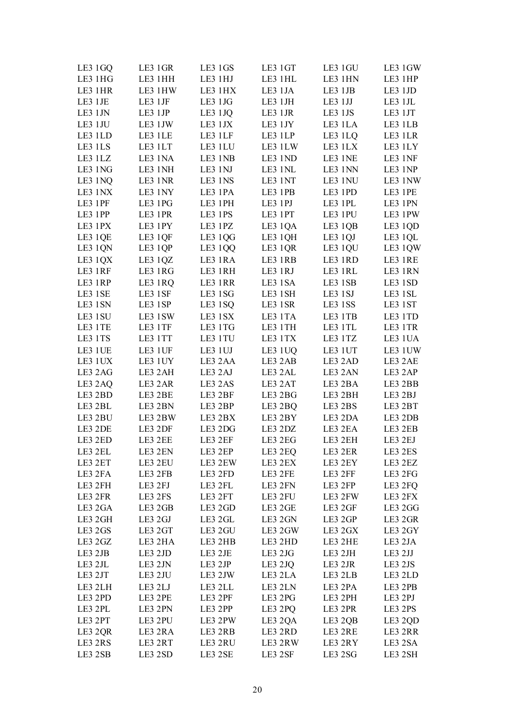| LE3 1GQ | LE3 1GR | LE3 1GS | LE3 1GT | LE3 1GU | LE3 1GW |
|---------|---------|---------|---------|---------|---------|
| LE3 1HG | LE3 1HH | LE3 1HJ | LE3 1HL | LE3 1HN | LE3 1HP |
| LE3 1HR | LE3 1HW | LE3 1HX | LE3 1JA | LE3 1JB | LE3 1JD |
| LE3 1JE | LE3 1JF | LE3 1JG | LE3 1JH | LE3 1JJ | LE3 1JL |
| LE3 1JN | LE3 1JP | LE3 1JQ | LE3 1JR | LE3 1JS | LE3 1JT |
| LE3 1JU | LE3 1JW | LE3 1JX | LE3 1JY | LE3 1LA | LE3 1LB |
| LE3 1LD | LE3 1LE | LE3 1LF | LE3 1LP | LE3 1LQ | LE3 1LR |
| LE3 1LS | LE3 1LT | LE3 1LU | LE3 1LW | LE3 1LX | LE3 1LY |
| LE3 1LZ | LE3 1NA | LE3 1NB | LE3 1ND | LE3 1NE | LE3 1NF |
| LE3 1NG | LE3 1NH | LE3 1NJ | LE3 1NL | LE3 1NN | LE3 1NP |
| LE3 1NQ | LE3 1NR | LE3 1NS | LE3 1NT | LE3 1NU | LE3 1NW |
| LE3 1NX | LE3 1NY | LE3 1PA | LE3 1PB | LE3 1PD | LE3 1PE |
| LE3 1PF | LE3 1PG | LE3 1PH | LE3 1PJ | LE3 1PL | LE3 1PN |
| LE3 1PP | LE3 1PR | LE3 1PS | LE3 1PT | LE3 1PU | LE3 1PW |
| LE3 1PX | LE3 1PY | LE3 1PZ | LE3 1QA | LE3 1QB | LE3 1QD |
| LE3 1QE | LE3 1QF | LE3 1QG | LE3 1QH | LE3 1QJ | LE3 1QL |
| LE3 1QN | LE3 1QP | LE3 1QQ | LE3 1QR | LE3 1QU | LE3 1QW |
|         |         | LE3 1RA |         |         |         |
| LE3 1QX | LE3 1QZ |         | LE3 1RB | LE3 1RD | LE3 1RE |
| LE3 1RF | LE3 1RG | LE3 1RH | LE3 1RJ | LE3 1RL | LE3 1RN |
| LE3 1RP | LE3 1RQ | LE3 1RR | LE3 1SA | LE3 1SB | LE3 1SD |
| LE3 1SE | LE3 1SF | LE3 1SG | LE3 1SH | LE3 1SJ | LE3 1SL |
| LE3 1SN | LE3 1SP | LE3 1SQ | LE3 1SR | LE3 1SS | LE3 1ST |
| LE3 1SU | LE3 1SW | LE3 1SX | LE3 1TA | LE3 1TB | LE3 1TD |
| LE3 1TE | LE3 1TF | LE3 1TG | LE3 1TH | LE3 1TL | LE3 1TR |
| LE3 1TS | LE3 1TT | LE3 1TU | LE3 1TX | LE3 1TZ | LE3 1UA |
| LE3 1UE | LE3 1UF | LE3 1UJ | LE3 1UQ | LE3 1UT | LE3 1UW |
| LE3 1UX | LE3 1UY | LE3 2AA | LE3 2AB | LE3 2AD | LE3 2AE |
| LE3 2AG | LE3 2AH | LE3 2AJ | LE3 2AL | LE3 2AN | LE3 2AP |
| LE3 2AQ | LE3 2AR | LE3 2AS | LE3 2AT | LE3 2BA | LE3 2BB |
| LE3 2BD | LE3 2BE | LE3 2BF | LE3 2BG | LE3 2BH | LE3 2BJ |
| LE3 2BL | LE3 2BN | LE3 2BP | LE3 2BQ | LE3 2BS | LE3 2BT |
| LE3 2BU | LE3 2BW | LE3 2BX | LE3 2BY | LE3 2DA | LE3 2DB |
| LE3 2DE | LE3 2DF | LE3 2DG | LE3 2DZ | LE3 2EA | LE3 2EB |
| LE3 2ED | LE3 2EE | LE3 2EF | LE3 2EG | LE3 2EH | LE3 2EJ |
| LE3 2EL | LE3 2EN | LE3 2EP | LE3 2EQ | LE3 2ER | LE3 2ES |
| LE3 2ET | LE3 2EU | LE3 2EW | LE3 2EX | LE3 2EY | LE3 2EZ |
| LE3 2FA | LE3 2FB | LE3 2FD | LE3 2FE | LE3 2FF | LE3 2FG |
| LE3 2FH | LE3 2FJ | LE3 2FL | LE3 2FN | LE3 2FP | LE3 2FQ |
| LE3 2FR | LE3 2FS | LE3 2FT | LE3 2FU | LE3 2FW | LE3 2FX |
| LE3 2GA | LE3 2GB | LE3 2GD | LE3 2GE | LE3 2GF | LE3 2GG |
| LE3 2GH | LE3 2GJ | LE3 2GL | LE3 2GN | LE3 2GP | LE3 2GR |
| LE3 2GS | LE3 2GT | LE3 2GU | LE3 2GW | LE3 2GX | LE3 2GY |
| LE3 2GZ | LE3 2HA | LE3 2HB | LE3 2HD | LE3 2HE | LE3 2JA |
| LE3 2JB | LE3 2JD | LE3 2JE | LE3 2JG | LE3 2JH | LE3 2JJ |
| LE3 2JL | LE3 2JN | LE3 2JP | LE3 2JQ | LE3 2JR | LE3 2JS |
| LE3 2JT | LE3 2JU | LE3 2JW | LE3 2LA | LE3 2LB | LE3 2LD |
| LE3 2LH | LE3 2LJ | LE3 2LL | LE3 2LN | LE3 2PA | LE3 2PB |
| LE3 2PD | LE3 2PE | LE3 2PF | LE3 2PG | LE3 2PH | LE3 2PJ |
| LE3 2PL | LE3 2PN | LE3 2PP | LE3 2PQ | LE3 2PR | LE3 2PS |
| LE3 2PT | LE3 2PU | LE3 2PW | LE3 2QA | LE3 2QB | LE3 2QD |
| LE3 2QR | LE3 2RA | LE3 2RB | LE3 2RD | LE3 2RE | LE3 2RR |
| LE3 2RS | LE3 2RT | LE3 2RU | LE3 2RW | LE3 2RY | LE3 2SA |
| LE3 2SB | LE3 2SD | LE3 2SE | LE3 2SF | LE3 2SG | LE3 2SH |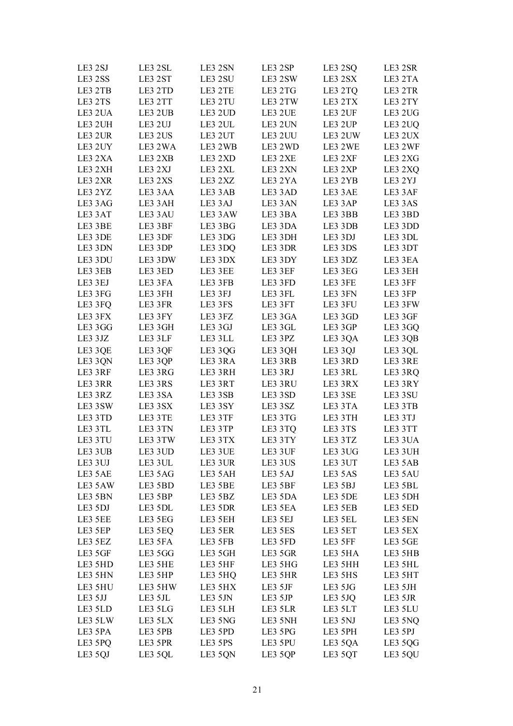| LE3 2SJ | LE3 2SL | LE3 2SN | LE3 2SP | LE3 2SQ | LE3 2SR |
|---------|---------|---------|---------|---------|---------|
| LE3 2SS | LE3 2ST | LE3 2SU | LE3 2SW | LE3 2SX | LE3 2TA |
| LE3 2TB | LE3 2TD | LE3 2TE | LE3 2TG | LE3 2TQ | LE3 2TR |
| LE3 2TS | LE3 2TT | LE3 2TU | LE3 2TW | LE3 2TX | LE3 2TY |
| LE3 2UA | LE3 2UB | LE3 2UD | LE3 2UE | LE3 2UF | LE3 2UG |
| LE3 2UH | LE3 2UJ | LE3 2UL | LE3 2UN | LE3 2UP | LE3 2UQ |
| LE3 2UR | LE3 2US | LE3 2UT | LE3 2UU | LE3 2UW | LE3 2UX |
| LE3 2UY | LE3 2WA | LE3 2WB | LE3 2WD | LE3 2WE | LE3 2WF |
| LE3 2XA | LE3 2XB | LE3 2XD | LE3 2XE | LE3 2XF | LE3 2XG |
| LE3 2XH | LE3 2XJ | LE3 2XL | LE3 2XN | LE3 2XP | LE3 2XQ |
| LE3 2XR | LE3 2XS | LE3 2XZ | LE3 2YA | LE3 2YB | LE3 2YJ |
| LE3 2YZ | LE3 3AA | LE3 3AB | LE3 3AD | LE3 3AE | LE3 3AF |
| LE3 3AG | LE3 3AH | LE3 3AJ | LE3 3AN | LE3 3AP | LE3 3AS |
| LE3 3AT | LE3 3AU | LE3 3AW | LE3 3BA | LE3 3BB | LE3 3BD |
| LE3 3BE | LE3 3BF | LE3 3BG | LE3 3DA | LE3 3DB | LE3 3DD |
| LE3 3DE | LE3 3DF | LE3 3DG | LE3 3DH | LE3 3DJ | LE3 3DL |
| LE3 3DN | LE3 3DP | LE3 3DQ | LE3 3DR | LE3 3DS | LE3 3DT |
| LE3 3DU | LE3 3DW | LE3 3DX | LE3 3DY | LE3 3DZ | LE3 3EA |
| LE3 3EB | LE3 3ED | LE3 3EE | LE3 3EF | LE3 3EG | LE3 3EH |
| LE3 3EJ | LE3 3FA | LE3 3FB | LE3 3FD | LE3 3FE | LE3 3FF |
| LE3 3FG | LE3 3FH | LE3 3FJ | LE3 3FL | LE3 3FN | LE3 3FP |
| LE3 3FQ | LE3 3FR | LE3 3FS | LE3 3FT | LE3 3FU | LE3 3FW |
| LE3 3FX | LE3 3FY | LE3 3FZ | LE3 3GA | LE3 3GD | LE3 3GF |
| LE3 3GG | LE3 3GH | LE3 3GJ | LE3 3GL | LE3 3GP | LE3 3GQ |
| LE3 3JZ | LE3 3LF | LE3 3LL | LE3 3PZ | LE3 3QA | LE3 3QB |
| LE3 3QE | LE3 3QF | LE3 3QG | LE3 3QH | LE3 3QJ | LE3 3QL |
| LE3 3QN | LE3 3QP | LE3 3RA | LE3 3RB | LE3 3RD | LE3 3RE |
| LE3 3RF | LE3 3RG | LE3 3RH | LE3 3RJ | LE3 3RL | LE3 3RQ |
| LE3 3RR | LE3 3RS | LE3 3RT | LE3 3RU | LE3 3RX | LE3 3RY |
| LE3 3RZ | LE3 3SA | LE3 3SB | LE3 3SD | LE3 3SE | LE3 3SU |
| LE3 3SW | LE3 3SX | LE3 3SY | LE3 3SZ | LE3 3TA | LE3 3TB |
| LE3 3TD | LE3 3TE | LE3 3TF | LE3 3TG | LE3 3TH | LE3 3TJ |
| LE3 3TL | LE3 3TN | LE3 3TP | LE3 3TQ | LE3 3TS | LE3 3TT |
| LE3 3TU | LE3 3TW | LE3 3TX | LE3 3TY | LE3 3TZ | LE3 3UA |
| LE3 3UB | LE3 3UD | LE3 3UE | LE3 3UF | LE3 3UG | LE3 3UH |
| LE3 3UJ | LE3 3UL | LE3 3UR | LE3 3US | LE3 3UT | LE3 5AB |
| LE3 5AE | LE3 5AG | LE3 5AH | LE3 5AJ | LE3 5AS | LE3 5AU |
| LE3 5AW | LE3 5BD | LE3 5BE | LE3 5BF | LE3 5BJ | LE3 5BL |
| LE3 5BN | LE3 5BP | LE3 5BZ | LE3 5DA | LE3 5DE | LE3 5DH |
| LE3 5DJ | LE3 5DL | LE3 5DR | LE3 5EA | LE3 5EB | LE3 5ED |
| LE3 5EE | LE3 5EG | LE3 5EH | LE3 5EJ | LE3 5EL | LE3 5EN |
| LE3 5EP | LE3 5EQ | LE3 5ER | LE3 5ES | LE3 5ET | LE3 5EX |
| LE3 5EZ | LE3 5FA | LE3 5FB | LE3 5FD | LE3 5FF | LE3 5GE |
| LE3 5GF | LE3 5GG | LE3 5GH | LE3 5GR | LE3 5HA | LE3 5HB |
| LE3 5HD | LE3 5HE | LE3 5HF | LE3 5HG | LE3 5HH | LE3 5HL |
| LE3 5HN | LE3 5HP | LE3 5HQ | LE3 5HR | LE3 5HS | LE3 5HT |
| LE3 5HU | LE3 5HW | LE3 5HX | LE3 5JF | LE3 5JG | LE3 5JH |
| LE3 5JJ | LE3 5JL | LE3 5JN | LE3 5JP | LE3 5JQ | LE3 5JR |
| LE3 5LD | LE3 5LG | LE3 5LH | LE3 5LR | LE3 5LT | LE3 5LU |
| LE3 5LW | LE3 5LX | LE3 5NG | LE3 5NH | LE3 5NJ | LE3 5NQ |
| LE3 5PA | LE3 5PB | LE3 5PD | LE3 5PG | LE3 5PH | LE3 5PJ |
| LE3 5PQ | LE3 5PR | LE3 5PS | LE3 5PU | LE3 5QA | LE3 5QG |
| LE3 5QJ | LE3 5QL | LE3 5QN | LE3 5QP | LE3 5QT | LE3 5QU |
|         |         |         |         |         |         |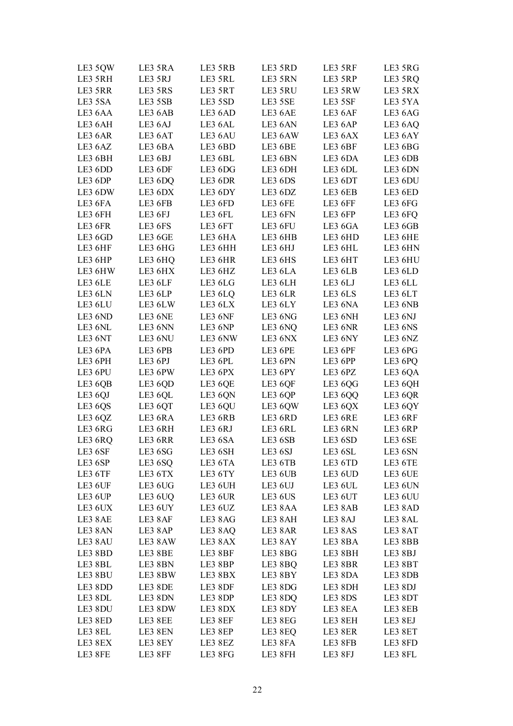| LE3 5QW            | LE3 5RA            | LE3 5RB            | LE3 5RD            | LE3 5RF            | LE3 5RG            |
|--------------------|--------------------|--------------------|--------------------|--------------------|--------------------|
| LE3 5RH            | LE3 5RJ            | LE3 5RL            | LE3 5RN            | LE3 5RP            | LE3 5RQ            |
| LE3 5RR            | LE3 5RS            | LE3 5RT            | LE3 5RU            | LE3 5RW            | LE3 5RX            |
| LE3 5SA            | LE3 5SB            | LE3 5SD            | LE3 5SE            | LE3 5SF            | LE3 5YA            |
| LE3 6AA            | LE3 6AB            | LE3 6AD            | LE3 6AE            | LE3 6AF            | LE3 6AG            |
| LE3 6AH            | LE3 6AJ            | LE3 6AL            | LE3 6AN            | LE3 6AP            | LE3 6AQ            |
| LE3 6AR            | LE3 6AT            | LE3 6AU            | LE3 6AW            | LE3 6AX            | LE3 6AY            |
| LE3 6AZ            | LE3 6BA            | LE3 6BD            | LE3 6BE            | LE3 6BF            | LE3 6BG            |
| LE3 6BH            | LE3 6BJ            | LE3 6BL            | LE3 6BN            | LE3 6DA            | LE3 6DB            |
| LE3 6DD            | LE3 6DF            | LE3 6DG            | LE3 6DH            | LE3 6DL            | LE3 6DN            |
| LE3 6DP            | LE3 6DQ            | LE3 6DR            | LE3 6DS            | LE3 6DT            | LE3 6DU            |
| LE3 6DW            | LE3 6DX            | LE3 6DY            | LE3 6DZ            | LE3 6EB            | LE3 6ED            |
| LE3 6FA            | LE3 6FB            | LE3 6FD            | LE3 6FE            | LE3 6FF            | LE3 6FG            |
| LE3 6FH            | LE3 6FJ            | LE3 6FL            | LE3 6FN            | LE3 6FP            | LE3 6FQ            |
| LE3 6FR            | LE3 6FS            | LE3 6FT            | LE3 6FU            | LE3 6GA            | LE3 6GB            |
| LE3 6GD            | LE3 6GE            | LE3 6HA            | LE3 6HB            | LE3 6HD            | LE3 6HE            |
| LE3 6HF            | LE3 6HG            | LE3 6HH            | LE3 6HJ            | LE3 6HL            | LE3 6HN            |
| LE3 6HP            | LE3 6HQ            | LE3 6HR            | LE3 6HS            | LE3 6HT            | LE3 6HU            |
| LE3 6HW            | LE3 6HX            | LE3 6HZ            | LE3 6LA            | LE3 6LB            | LE3 6LD            |
| LE3 6LE            | LE3 6LF            | LE3 6LG            | LE3 6LH            | LE3 6LJ            | LE3 6LL            |
| LE3 6LN            | LE3 6LP            | LE3 6LQ            | LE3 6LR            | LE3 6LS            | LE3 6LT            |
| LE3 6LU            | LE3 6LW            | LE3 6LX            | LE3 6LY            | LE3 6NA            | LE3 6NB            |
| LE3 6ND            | LE3 6NE            | LE3 6NF            | LE3 6NG            | LE3 6NH            | LE3 6NJ            |
| LE3 6NL            | LE3 6NN            | LE3 6NP            | LE3 6NQ            | LE3 6NR            | LE3 6NS            |
| LE3 6NT            | LE3 6NU            | LE3 6NW            | LE3 6NX            | LE3 6NY            | LE3 6NZ            |
| LE3 6PA            | LE3 6PB            | LE3 6PD            | LE3 6PE            | LE3 6PF            | LE3 6PG            |
| LE3 6PH            | LE3 6PJ            | LE3 6PL            | LE3 6PN            | LE3 6PP            | LE3 6PQ            |
| LE3 6PU            | LE3 6PW            | LE3 6PX            | LE3 6PY            | LE3 6PZ            | LE3 6QA            |
| LE3 6QB            | LE3 6QD            | LE3 6QE            | LE3 6QF            | LE3 6QG            | LE3 6QH            |
| LE3 6QJ            | LE3 6QL            | LE3 6QN            | LE3 6QP            | LE3 6QQ            | LE3 6QR            |
| LE3 6QS            | LE3 6QT            | LE3 6QU            | LE3 6QW            | LE3 6QX            | LE3 6QY            |
| LE3 6QZ            | LE3 6RA            | LE3 6RB            | LE3 6RD            | LE3 6RE            | LE3 6RF            |
| LE3 6RG            | LE3 6RH            | LE3 6RJ            | LE3 6RL            | LE3 6RN            | LE3 6RP            |
| LE3 6RQ            | LE3 6RR            | LE3 6SA            | LE3 6SB            | LE3 6SD            | LE3 6SE            |
| LE3 6SF            | LE3 6SG            | LE3 6SH            | LE3 6SJ            | LE3 6SL            | LE3 6SN            |
| LE3 6SP            | LE3 6SQ            | LE3 6TA            | LE3 6TB            | LE3 6TD            | LE3 6TE            |
| LE3 6TF            | LE3 6TX            | LE3 6TY            | LE3 6UB            | LE3 6UD            | LE3 6UE            |
| LE3 6UF            | LE3 6UG            | LE3 6UH            | LE3 6UJ            | LE3 6UL            | LE3 6UN            |
| LE3 6UP            | LE3 6UQ            | LE3 6UR            | LE3 6US            | LE3 6UT            | LE3 6UU            |
| LE3 6UX            | LE3 6UY            | LE3 6UZ            | LE3 8AA            | LE3 8AB            | LE3 8AD            |
|                    |                    |                    |                    |                    |                    |
| LE3 8AE<br>LE3 8AN | LE3 8AF            | LE3 8AG            | LE3 8AH            | LE3 8AJ            | LE3 8AL            |
|                    | LE3 8AP<br>LE3 8AW | LE3 8AQ<br>LE3 8AX | LE3 8AR<br>LE3 8AY | LE3 8AS<br>LE3 8BA | LE3 8AT<br>LE3 8BB |
| LE3 8AU            |                    |                    |                    |                    |                    |
| LE3 8BD            | LE3 8BE            | LE3 8BF            | LE3 8BG            | LE3 8BH            | LE3 8BJ            |
| LE3 8BL            | LE3 8BN            | LE3 8BP            | LE3 8BQ            | LE3 8BR            | LE3 8BT            |
| LE3 8BU            | LE3 8BW            | LE3 8BX            | LE3 8BY            | LE3 8DA            | LE3 8DB            |
| LE3 8DD            | LE3 8DE            | LE3 8DF            | LE3 8DG            | LE3 8DH            | LE3 8DJ            |
| LE3 8DL            | LE3 8DN            | LE3 8DP            | LE3 8DQ            | LE3 8DS            | LE3 8DT            |
| LE3 8DU            | LE3 8DW            | LE3 8DX            | LE3 8DY            | LE3 8EA            | LE3 8EB            |
| LE3 8ED            | LE3 8EE            | LE3 8EF            | LE3 8EG            | LE3 8EH            | LE3 8EJ            |
| LE3 8EL            | LE3 8EN            | LE3 8EP            | LE3 8EQ            | LE3 8ER            | LE3 8ET            |
| LE3 8EX            | LE3 8EY            | LE3 8EZ            | LE3 8FA            | LE3 8FB            | LE3 8FD            |
| LE3 8FE            | LE3 8FF            | LE3 8FG            | LE3 8FH            | LE3 8FJ            | LE3 8FL            |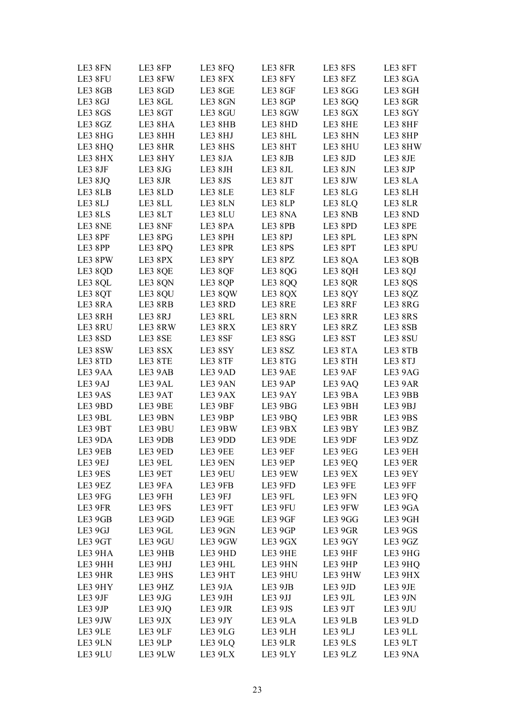| LE3 8FN | LE3 8FP | LE3 8FQ | LE3 8FR | LE3 8FS | LE3 8FT |
|---------|---------|---------|---------|---------|---------|
| LE3 8FU | LE3 8FW | LE3 8FX | LE3 8FY | LE3 8FZ | LE3 8GA |
| LE3 8GB | LE3 8GD | LE3 8GE | LE3 8GF | LE3 8GG | LE3 8GH |
| LE3 8GJ | LE3 8GL | LE3 8GN | LE3 8GP | LE3 8GQ | LE3 8GR |
| LE3 8GS | LE3 8GT | LE3 8GU | LE3 8GW | LE3 8GX | LE3 8GY |
| LE3 8GZ | LE3 8HA | LE3 8HB | LE3 8HD | LE3 8HE | LE3 8HF |
| LE3 8HG | LE3 8HH | LE3 8HJ | LE3 8HL | LE3 8HN | LE3 8HP |
| LE3 8HQ | LE3 8HR | LE3 8HS | LE3 8HT | LE3 8HU | LE3 8HW |
| LE3 8HX | LE3 8HY | LE3 8JA | LE3 8JB | LE3 8JD | LE3 8JE |
| LE3 8JF | LE3 8JG | LE3 8JH | LE3 8JL | LE3 8JN | LE3 8JP |
| LE3 8JQ | LE3 8JR | LE3 8JS | LE3 8JT | LE3 8JW | LE3 8LA |
| LE3 8LB | LE3 8LD | LE3 8LE | LE3 8LF | LE3 8LG | LE3 8LH |
| LE3 8LJ | LE3 8LL | LE3 8LN | LE3 8LP | LE3 8LQ | LE3 8LR |
| LE3 8LS | LE3 8LT | LE3 8LU | LE3 8NA | LE3 8NB | LE3 8ND |
| LE3 8NE | LE3 8NF | LE3 8PA | LE3 8PB | LE3 8PD | LE3 8PE |
| LE3 8PF | LE3 8PG | LE3 8PH | LE3 8PJ | LE3 8PL | LE3 8PN |
| LE3 8PP | LE3 8PQ | LE3 8PR | LE3 8PS | LE3 8PT | LE3 8PU |
| LE3 8PW | LE3 8PX | LE3 8PY | LE3 8PZ | LE3 8QA | LE3 8QB |
| LE3 8QD | LE3 8QE | LE3 8QF | LE3 8QG | LE3 8QH | LE3 8QJ |
| LE3 8QL | LE3 8QN | LE3 8QP | LE3 8QQ | LE3 8QR | LE3 8QS |
| LE3 8QT | LE3 8QU | LE3 8QW | LE3 8QX | LE3 8QY | LE3 8QZ |
| LE3 8RA | LE3 8RB | LE3 8RD | LE3 8RE | LE3 8RF | LE3 8RG |
| LE3 8RH | LE3 8RJ | LE3 8RL | LE3 8RN | LE3 8RR | LE3 8RS |
| LE3 8RU | LE3 8RW | LE3 8RX | LE3 8RY | LE3 8RZ | LE3 8SB |
| LE3 8SD | LE3 8SE | LE3 8SF | LE3 8SG | LE3 8ST | LE3 8SU |
| LE3 8SW | LE3 8SX | LE3 8SY | LE3 8SZ | LE3 8TA | LE3 8TB |
| LE3 8TD | LE3 8TE | LE3 8TF | LE3 8TG | LE3 8TH | LE3 8TJ |
| LE3 9AA | LE3 9AB | LE3 9AD | LE3 9AE | LE3 9AF | LE3 9AG |
| LE3 9AJ | LE3 9AL | LE3 9AN | LE3 9AP | LE3 9AQ | LE3 9AR |
| LE3 9AS | LE3 9AT | LE3 9AX | LE3 9AY | LE3 9BA | LE3 9BB |
| LE3 9BD | LE3 9BE | LE3 9BF | LE3 9BG | LE3 9BH | LE3 9BJ |
| LE3 9BL | LE3 9BN | LE3 9BP | LE3 9BQ | LE3 9BR | LE3 9BS |
| LE3 9BT | LE3 9BU | LE3 9BW | LE3 9BX | LE3 9BY | LE3 9BZ |
| LE3 9DA | LE3 9DB | LE3 9DD | LE3 9DE | LE3 9DF | LE3 9DZ |
| LE3 9EB | LE3 9ED | LE3 9EE | LE3 9EF | LE3 9EG | LE3 9EH |
| LE3 9EJ | LE3 9EL | LE3 9EN | LE3 9EP | LE3 9EQ | LE3 9ER |
| LE3 9ES | LE3 9ET | LE3 9EU | LE3 9EW | LE3 9EX | LE3 9EY |
| LE3 9EZ | LE3 9FA | LE3 9FB | LE3 9FD | LE3 9FE | LE3 9FF |
| LE3 9FG | LE3 9FH | LE3 9FJ | LE3 9FL | LE3 9FN | LE3 9FQ |
| LE3 9FR | LE3 9FS | LE3 9FT | LE3 9FU | LE3 9FW | LE3 9GA |
| LE3 9GB | LE3 9GD | LE3 9GE | LE3 9GF | LE3 9GG | LE3 9GH |
| LE3 9GJ | LE3 9GL | LE3 9GN | LE3 9GP | LE3 9GR | LE3 9GS |
| LE3 9GT | LE3 9GU | LE3 9GW | LE3 9GX | LE3 9GY | LE3 9GZ |
| LE3 9HA | LE3 9HB | LE3 9HD | LE3 9HE | LE3 9HF | LE3 9HG |
| LE3 9HH | LE3 9HJ | LE3 9HL | LE3 9HN | LE3 9HP | LE3 9HQ |
| LE3 9HR | LE3 9HS | LE3 9HT | LE3 9HU | LE3 9HW | LE3 9HX |
| LE3 9HY | LE3 9HZ | LE3 9JA | LE3 9JB | LE3 9JD | LE3 9JE |
| LE3 9JF | LE3 9JG | LE3 9JH | LE3 9JJ | LE3 9JL | LE3 9JN |
| LE3 9JP | LE3 9JQ | LE3 9JR | LE3 9JS | LE3 9JT | LE3 9JU |
| LE3 9JW | LE3 9JX | LE3 9JY | LE3 9LA | LE3 9LB | LE3 9LD |
| LE3 9LE | LE3 9LF | LE3 9LG | LE3 9LH | LE3 9LJ | LE3 9LL |
| LE3 9LN | LE3 9LP | LE3 9LQ | LE3 9LR | LE3 9LS | LE3 9LT |
| LE3 9LU | LE3 9LW | LE3 9LX | LE3 9LY | LE3 9LZ | LE3 9NA |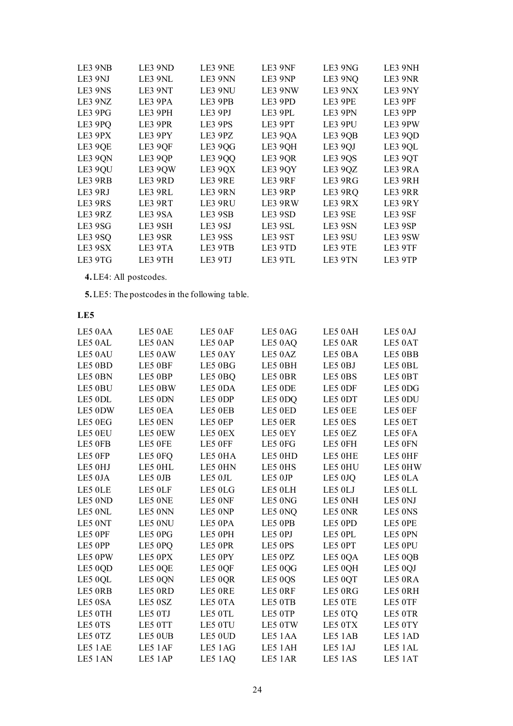| LE3 9NB | LE3 9ND | LE3 9NE | LE3 9NF | LE3 9NG | LE3 9NH |
|---------|---------|---------|---------|---------|---------|
| LE3 9NJ | LE3 9NL | LE3 9NN | LE3 9NP | LE3 9NQ | LE3 9NR |
| LE3 9NS | LE3 9NT | LE3 9NU | LE3 9NW | LE3 9NX | LE3 9NY |
| LE3 9NZ | LE3 9PA | LE3 9PB | LE3 9PD | LE3 9PE | LE3 9PF |
| LE3 9PG | LE3 9PH | LE3 9PJ | LE3 9PL | LE3 9PN | LE3 9PP |
| LE3 9PQ | LE3 9PR | LE3 9PS | LE3 9PT | LE3 9PU | LE3 9PW |
| LE3 9PX | LE3 9PY | LE3 9PZ | LE3 9QA | LE3 9QB | LE3 9QD |
| LE3 9QE | LE3 9QF | LE3 9QG | LE3 9QH | LE3 9QJ | LE3 9QL |
| LE3 9QN | LE3 9QP | LE3 9QQ | LE3 9QR | LE3 9QS | LE3 9QT |
| LE3 9QU | LE3 9QW | LE3 9QX | LE3 9QY | LE3 9QZ | LE3 9RA |
| LE3 9RB | LE3 9RD | LE3 9RE | LE3 9RF | LE3 9RG | LE3 9RH |
| LE3 9RJ | LE3 9RL | LE3 9RN | LE3 9RP | LE3 9RQ | LE3 9RR |
| LE3 9RS | LE3 9RT | LE3 9RU | LE3 9RW | LE3 9RX | LE3 9RY |
| LE3 9RZ | LE3 9SA | LE3 9SB | LE3 9SD | LE3 9SE | LE3 9SF |
| LE3 9SG | LE3 9SH | LE3 9SJ | LE3 9SL | LE3 9SN | LE3 9SP |
| LE3 9SQ | LE3 9SR | LE3 9SS | LE3 9ST | LE3 9SU | LE3 9SW |
| LE3 9SX | LE3 9TA | LE3 9TB | LE3 9TD | LE3 9TE | LE3 9TF |
| LE3 9TG | LE3 9TH | LE3 9TJ | LE3 9TL | LE3 9TN | LE3 9TP |

**4.**LE4: All postcodes.

**5.** LE5: The postcodes in the following table.

| LE5 0AA | LE5 0AE | LE5 0AF | LE5 0AG | LE5 0AH | LE5 0AJ |
|---------|---------|---------|---------|---------|---------|
| LE5 0AL | LE5 0AN | LE5 0AP | LE5 0AQ | LE5 0AR | LE5 0AT |
| LE5 0AU | LE5 0AW | LE5 0AY | LE5 0AZ | LE5 0BA | LE5 0BB |
| LE5 0BD | LE5 0BF | LE5 0BG | LE5 0BH | LE5 0BJ | LE5 0BL |
| LE5 0BN | LE5 0BP | LE5 0BQ | LE5 OBR | LE5 0BS | LE5 0BT |
| LE5 0BU | LE5 0BW | LE5 0DA | LE5 0DE | LE5 0DF | LE5 0DG |
| LE5 0DL | LE5 0DN | LE5 0DP | LE5 0DQ | LE5 0DT | LE5 0DU |
| LE5 0DW | LE5 0EA | LE5 0EB | LE5 0ED | LE5 OEE | LE5 0EF |
| LE5 0EG | LE5 0EN | LE5 0EP | LE5 0ER | LE5 0ES | LE5 0ET |
| LE5 0EU | LE5 0EW | LE5 0EX | LE5 0EY | LE5 0EZ | LE5 0FA |
| LE5 OFB | LE5 OFE | LE5 OFF | LE5 0FG | LE5 0FH | LE5 0FN |
| LE5 0FP | LE5 0FQ | LE5 0HA | LE5 0HD | LE5 0HE | LE5 0HF |
| LE5 0HJ | LE5 0HL | LE5 0HN | LE5 0HS | LE5 0HU | LE5 0HW |
| LE5 0JA | LE5 0JB | LE5 OJL | LE5 0JP | LE5 0JQ | LE5 0LA |
| LE5 OLE | LE5 0LF | LE5 0LG | LE5 0LH | LE5 0LJ | LE5 OLL |
| LE5 0ND | LE5 ONE | LE5 0NF | LE5 0NG | LE5 0NH | LE5 0NJ |
| LE5 0NL | LE5 0NN | LE5 0NP | LE5 0NQ | LE5 0NR | LE5 0NS |
| LE5 0NT | LE5 0NU | LE5 0PA | LE5 OPB | LE5 0PD | LE5 OPE |
| LE5 OPF | LE5 0PG | LE5 0PH | LE5 0PJ | LE5 OPL | LE5 0PN |
| LE5 0PP | LE5 0PQ | LE5 OPR | LE5 0PS | LE5 0PT | LE5 0PU |
| LE5 0PW | LE5 0PX | LE5 0PY | LE5 0PZ | LE5 0QA | LE5 0QB |
| LE5 0QD | LE5 0QE | LE5 0QF | LE5 0QG | LE5 0QH | LE5 0QJ |
| LE5 0QL | LE5 0QN | LE5 0QR | LE5 0QS | LE5 0QT | LE5 ORA |
| LE5 ORB | LE5 ORD | LE5 ORE | LE5 ORF | LE5 ORG | LE5 0RH |
| LE5 0SA | LE5 0SZ | LE5 0TA | LE5 0TB | LE5 OTE | LE5 0TF |
| LE5 0TH | LE5 0TJ | LE5 OTL | LE5 0TP | LE5 0TQ | LE5 0TR |
| LE5 0TS | LE5 0TT | LE5 0TU | LE5 0TW | LE5 0TX | LE5 0TY |
| LE5 0TZ | LE5 0UB | LE5 0UD | LE5 1AA | LE5 1AB | LE5 1AD |
| LE5 1AE | LE5 1AF | LE5 1AG | LE5 1AH | LE5 1AJ | LE5 1AL |
| LE5 1AN | LE5 1AP | LE5 1AQ | LE5 1AR | LE5 1AS | LE5 1AT |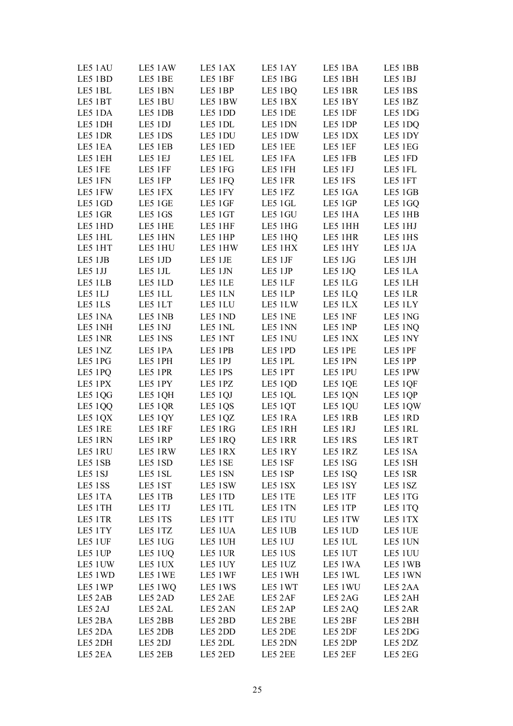| LE5 1AU | LE5 1AW | LE5 1AX | LE5 1AY | LE5 1BA | LE5 1BB |
|---------|---------|---------|---------|---------|---------|
| LE5 1BD | LE5 1BE | LE5 1BF | LE5 1BG | LE5 1BH | LE5 1BJ |
| LE5 1BL | LE5 1BN | LE5 1BP | LE5 1BQ | LE5 1BR | LE5 1BS |
| LE5 1BT | LE5 1BU | LE5 1BW | LE5 1BX | LE5 1BY | LE5 1BZ |
| LE5 1DA | LE5 1DB | LE5 1DD | LE5 1DE | LE5 1DF | LE5 1DG |
| LE5 1DH | LE5 1DJ | LE5 1DL | LE5 1DN | LE5 1DP | LE5 1DQ |
| LE5 1DR | LE5 1DS | LE5 1DU | LE5 1DW | LE5 1DX | LE5 1DY |
| LE5 1EA | LE5 1EB | LE5 1ED | LE5 1EE | LE5 1EF | LE5 1EG |
| LE5 1EH | LE5 1EJ | LE5 1EL | LE5 1FA | LE5 1FB | LE5 1FD |
| LE5 1FE | LE5 1FF | LE5 1FG | LE5 1FH | LE5 1FJ | LE5 1FL |
| LE5 1FN | LE5 1FP | LE5 1FQ | LE5 1FR | LE5 1FS | LE5 1FT |
| LE5 1FW | LE5 1FX | LE5 1FY | LE5 1FZ | LE5 1GA | LE5 1GB |
| LE5 1GD | LE5 1GE | LE5 1GF | LE5 1GL | LE5 1GP | LE5 1GQ |
| LE5 1GR | LE5 1GS | LE5 1GT | LE5 1GU | LE5 1HA | LE5 1HB |
| LE5 1HD | LE5 1HE | LE5 1HF | LE5 1HG | LE5 1HH | LE5 1HJ |
| LE5 1HL | LE5 1HN | LE5 1HP | LE5 1HQ | LE5 1HR | LE5 1HS |
| LE5 1HT | LE5 1HU | LE5 1HW | LE5 1HX | LE5 1HY | LE5 1JA |
|         |         |         |         |         |         |
| LE5 1JB | LE5 1JD | LE5 1JE | LE5 1JF | LE5 1JG | LE5 1JH |
| LE5 1JJ | LE5 1JL | LE5 1JN | LE5 1JP | LE5 1JQ | LE5 1LA |
| LE5 1LB | LE5 1LD | LE5 1LE | LE5 1LF | LE5 1LG | LE5 1LH |
| LE5 1LJ | LE5 1LL | LE5 1LN | LE5 1LP | LE5 1LQ | LE5 1LR |
| LE5 1LS | LE5 1LT | LE5 1LU | LE5 1LW | LE5 1LX | LE5 1LY |
| LE5 1NA | LE5 1NB | LE5 1ND | LE5 1NE | LE5 1NF | LE5 1NG |
| LE5 1NH | LE5 1NJ | LE5 1NL | LE5 1NN | LE5 1NP | LE5 1NQ |
| LE5 1NR | LE5 1NS | LE5 1NT | LE5 1NU | LE5 1NX | LE5 1NY |
| LE5 1NZ | LE5 1PA | LE5 1PB | LE5 1PD | LE5 1PE | LE5 1PF |
| LE5 1PG | LE5 1PH | LE5 1PJ | LE5 1PL | LE5 1PN | LE5 1PP |
| LE5 1PQ | LE5 1PR | LE5 1PS | LE5 1PT | LE5 1PU | LE5 1PW |
| LE5 1PX | LE5 1PY | LE5 1PZ | LE5 1QD | LE5 1QE | LE5 1QF |
| LE5 1QG | LE5 1QH | LE5 1QJ | LE5 1QL | LE5 1QN | LE5 1QP |
| LE5 1QQ | LE5 1QR | LE5 1QS | LE5 1QT | LE5 1QU | LE5 1QW |
| LE5 1QX | LE5 1QY | LE5 1QZ | LE5 1RA | LE5 1RB | LE5 1RD |
| LE5 1RE | LE5 1RF | LE5 1RG | LE5 1RH | LE5 1RJ | LE5 1RL |
| LE5 1RN | LE5 1RP | LE5 1RQ | LE5 1RR | LE5 1RS | LE5 1RT |
| LE5 1RU | LE5 1RW | LE5 1RX | LE5 1RY | LE5 1RZ | LE5 1SA |
| LE5 1SB | LE5 1SD | LE5 1SE | LE5 1SF | LE5 1SG | LE5 1SH |
| LE5 1SJ | LE5 1SL | LE5 1SN | LE5 1SP | LE5 1SQ | LE5 1SR |
| LE5 1SS | LE5 1ST | LE5 1SW | LE5 1SX | LE5 1SY | LE5 1SZ |
| LE5 1TA | LE5 1TB | LE5 1TD | LE5 1TE | LE5 1TF | LE5 1TG |
| LE5 1TH | LE5 1TJ | LE5 1TL | LE5 1TN | LE5 1TP | LE5 1TQ |
| LE5 1TR | LE5 1TS | LE5 1TT | LE5 1TU | LE5 1TW | LE5 1TX |
| LE5 1TY | LE5 1TZ | LE5 1UA | LE5 1UB | LE5 1UD | LE5 1UE |
| LE5 1UF | LE5 1UG | LE5 1UH | LE5 1UJ | LE5 1UL | LE5 1UN |
| LE5 1UP | LE5 1UQ | LE5 1UR | LE5 1US | LE5 1UT | LE5 1UU |
| LE5 1UW | LE5 1UX | LE5 1UY | LE5 1UZ | LE5 1WA | LE5 1WB |
| LE5 1WD | LE5 1WE | LE5 1WF | LE5 1WH | LE5 1WL | LE5 1WN |
| LE5 1WP | LE5 1WQ | LE5 1WS | LE5 1WT | LE5 1WU | LE5 2AA |
| LE5 2AB | LE5 2AD | LE5 2AE | LE5 2AF | LE5 2AG | LE5 2AH |
| LE5 2AJ | LE5 2AL | LE5 2AN | LE5 2AP | LE5 2AQ | LE5 2AR |
| LE5 2BA | LE5 2BB | LE5 2BD | LE5 2BE | LE5 2BF | LE5 2BH |
| LE5 2DA | LE5 2DB | LE5 2DD | LE5 2DE | LE5 2DF | LE5 2DG |
| LE5 2DH | LE5 2DJ | LE5 2DL | LE5 2DN | LE5 2DP | LE5 2DZ |
| LE5 2EA | LE5 2EB | LE5 2ED | LE5 2EE | LE5 2EF | LE5 2EG |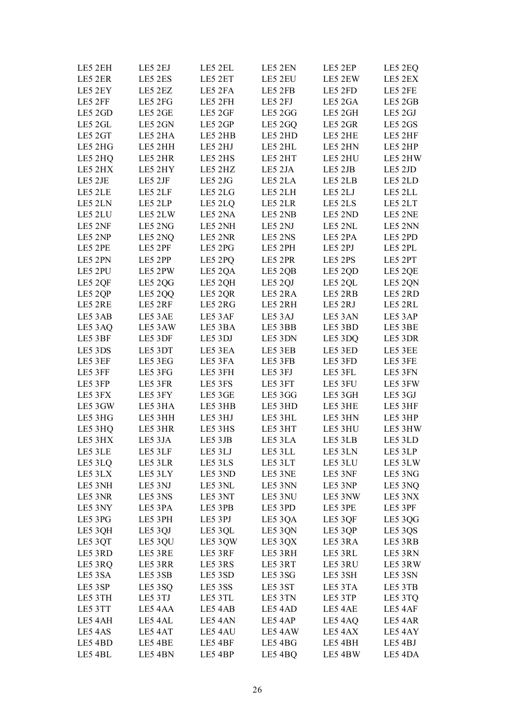| LE5 2EH | LE5 2EJ | LE5 2EL | LE5 2EN | LE5 2EP | LE5 2EQ |
|---------|---------|---------|---------|---------|---------|
| LE5 2ER | LE5 2ES | LE5 2ET | LE5 2EU | LE5 2EW | LE5 2EX |
| LE5 2EY | LE5 2EZ | LE5 2FA | LE5 2FB | LE5 2FD | LE5 2FE |
| LE5 2FF | LE5 2FG | LE5 2FH | LE5 2FJ | LE5 2GA | LE5 2GB |
| LE5 2GD | LE5 2GE | LE5 2GF | LE5 2GG | LE5 2GH | LE5 2GJ |
| LE5 2GL | LE5 2GN | LE5 2GP | LE5 2GQ | LE5 2GR | LE5 2GS |
| LE5 2GT | LE5 2HA | LE5 2HB | LE5 2HD | LE5 2HE | LE5 2HF |
| LE5 2HG | LE5 2HH | LE5 2HJ | LE5 2HL | LE5 2HN | LE5 2HP |
| LE5 2HQ | LE5 2HR | LE5 2HS | LE5 2HT | LE5 2HU | LE5 2HW |
| LE5 2HX | LE5 2HY | LE5 2HZ | LE5 2JA | LE5 2JB | LE5 2JD |
| LE5 2JE | LE5 2JF | LE5 2JG | LE5 2LA | LE5 2LB | LE5 2LD |
| LE5 2LE | LE5 2LF | LE5 2LG | LE5 2LH | LE5 2LJ | LE5 2LL |
| LE5 2LN | LE5 2LP | LE5 2LQ | LE5 2LR | LE5 2LS | LE5 2LT |
| LE5 2LU | LE5 2LW | LE5 2NA | LE5 2NB | LE5 2ND | LE5 2NE |
| LE5 2NF | LE5 2NG | LE5 2NH | LE5 2NJ | LE5 2NL | LE5 2NN |
| LE5 2NP | LE5 2NQ | LE5 2NR | LE5 2NS | LE5 2PA | LE5 2PD |
| LE5 2PE | LE5 2PF | LE5 2PG | LE5 2PH | LE5 2PJ | LE5 2PL |
| LE5 2PN | LE5 2PP | LE5 2PQ | LE5 2PR | LE5 2PS | LE5 2PT |
| LE5 2PU | LE5 2PW | LE5 2QA | LE5 2QB | LE5 2QD | LE5 2QE |
| LE5 2QF | LE5 2QG | LE5 2QH | LE5 2QJ | LE5 2QL | LE5 2QN |
| LE5 2QP | LE5 2QQ | LE5 2QR | LE5 2RA | LE5 2RB | LE5 2RD |
| LE5 2RE | LE5 2RF | LE5 2RG | LE5 2RH | LE5 2RJ | LE5 2RL |
| LE5 3AB | LE5 3AE | LE5 3AF | LE5 3AJ | LE5 3AN | LE5 3AP |
| LE5 3AQ | LE5 3AW | LE5 3BA | LE5 3BB | LE5 3BD | LE5 3BE |
| LE5 3BF | LE5 3DF | LE5 3DJ | LE5 3DN | LE5 3DQ | LE5 3DR |
| LE5 3DS | LE5 3DT | LE5 3EA | LE5 3EB | LE5 3ED | LE5 3EE |
| LE5 3EF | LE5 3EG | LE5 3FA | LE5 3FB | LE5 3FD | LE5 3FE |
| LE5 3FF | LE5 3FG | LE5 3FH | LE5 3FJ | LE5 3FL | LE5 3FN |
| LE5 3FP | LE5 3FR | LE5 3FS | LE5 3FT | LE5 3FU | LE5 3FW |
| LE5 3FX | LE5 3FY | LE5 3GE | LE5 3GG | LE5 3GH | LE5 3GJ |
| LE5 3GW | LE5 3HA | LE5 3HB | LE5 3HD | LE5 3HE | LE5 3HF |
| LE5 3HG | LE5 3HH | LE5 3HJ | LE5 3HL | LE5 3HN | LE5 3HP |
| LE5 3HQ | LE5 3HR | LE5 3HS | LE5 3HT | LE5 3HU | LE5 3HW |
| LE5 3HX | LE5 3JA | LE5 3JB | LE5 3LA | LE5 3LB | LE5 3LD |
| LE5 3LE | LE5 3LF | LE5 3LJ | LE5 3LL | LE5 3LN | LE5 3LP |
| LE5 3LQ | LE5 3LR | LE5 3LS | LE5 3LT | LE5 3LU | LE5 3LW |
| LE5 3LX | LE5 3LY | LE5 3ND | LE5 3NE | LE5 3NF | LE5 3NG |
| LE5 3NH | LE5 3NJ | LE5 3NL | LE5 3NN | LE5 3NP | LE5 3NQ |
| LE5 3NR | LE5 3NS | LE5 3NT | LE5 3NU | LE5 3NW | LE5 3NX |
| LE5 3NY | LE5 3PA | LE5 3PB | LE5 3PD | LE5 3PE | LE5 3PF |
| LE5 3PG | LE5 3PH | LE5 3PJ | LE5 3QA | LE5 3QF | LE5 3QG |
| LE5 3QH | LE5 3QJ | LE5 3QL | LE5 3QN | LE5 3QP | LE5 3QS |
| LE5 3QT | LE5 3QU | LE5 3QW | LE5 3QX | LE5 3RA | LE5 3RB |
| LE5 3RD | LE5 3RE | LE5 3RF | LE5 3RH | LE5 3RL | LE5 3RN |
| LE5 3RQ | LE5 3RR | LE5 3RS | LE5 3RT | LE5 3RU | LE5 3RW |
| LE5 3SA | LE5 3SB | LE5 3SD | LE5 3SG | LE5 3SH | LE5 3SN |
| LE5 3SP | LE5 3SQ | LE5 3SS | LE5 3ST | LE5 3TA | LE5 3TB |
| LE5 3TH | LE5 3TJ | LE5 3TL | LE5 3TN | LE5 3TP | LE5 3TQ |
| LE5 3TT | LE5 4AA | LE5 4AB | LE5 4AD | LE5 4AE | LE5 4AF |
| LE5 4AH | LE5 4AL | LE5 4AN | LE5 4AP | LE5 4AQ | LE5 4AR |
| LE5 4AS | LE5 4AT | LE5 4AU | LE5 4AW | LE5 4AX | LE5 4AY |
| LE5 4BD | LE5 4BE | LE5 4BF | LE5 4BG | LE5 4BH | LE5 4BJ |
| LE5 4BL | LE5 4BN | LE5 4BP | LE5 4BQ | LE5 4BW | LE5 4DA |
|         |         |         |         |         |         |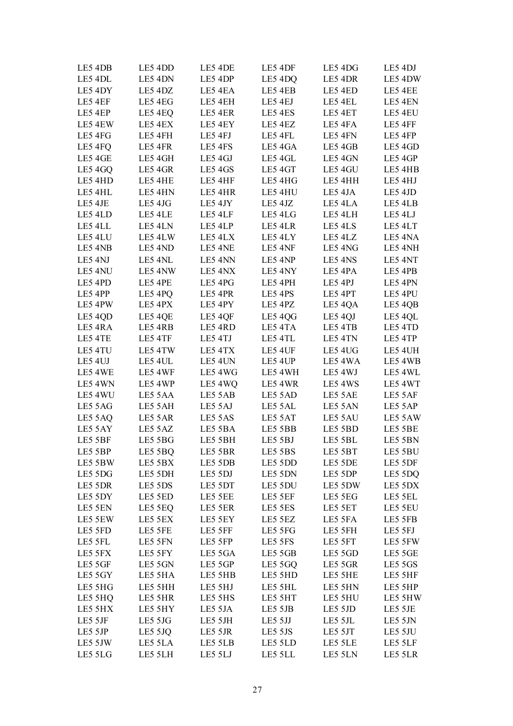| LE5 4DB | LE5 4DD            | LE5 4DE | LE5 4DF | LE5 4DG | LE5 4DJ |
|---------|--------------------|---------|---------|---------|---------|
| LE5 4DL | LE5 4DN            | LE5 4DP | LE5 4DQ | LE5 4DR | LE5 4DW |
| LE5 4DY | LE5 4DZ            | LE5 4EA | LE5 4EB | LE5 4ED | LE5 4EE |
| LE5 4EF | LE5 4EG            | LE5 4EH | LE5 4EJ | LE5 4EL | LE5 4EN |
| LE5 4EP | LE5 4EQ            | LE5 4ER | LE5 4ES | LE5 4ET | LE5 4EU |
| LE5 4EW | LE5 4EX            | LE5 4EY | LE5 4EZ | LE5 4FA | LE5 4FF |
| LE5 4FG | LE5 4FH            | LE5 4FJ | LE5 4FL | LE5 4FN | LE5 4FP |
| LE5 4FQ | LE5 4FR            | LE5 4FS | LE5 4GA | LE5 4GB | LE5 4GD |
| LE5 4GE | LE5 4GH            | LE5 4GJ | LE5 4GL | LE5 4GN | LE5 4GP |
| LE5 4GQ | LE5 4GR            | LE5 4GS | LE5 4GT | LE5 4GU | LE5 4HB |
| LE5 4HD | LE5 4HE            | LE5 4HF | LE5 4HG | LE5 4HH | LE5 4HJ |
| LE5 4HL | LE5 4HN            | LE5 4HR | LE5 4HU | LE5 4JA | LE5 4JD |
| LE5 4JE | LE5 4JG            | LE5 4JY | LE5 4JZ | LE5 4LA | LE5 4LB |
| LE5 4LD | LE5 4LE            | LE5 4LF | LE5 4LG | LE5 4LH | LE5 4LJ |
| LE5 4LL |                    | LE5 4LP | LE5 4LR | LE5 4LS | LE5 4LT |
| LE5 4LU | LE5 4LN<br>LE5 4LW | LE5 4LX | LE5 4LY | LE5 4LZ | LE5 4NA |
|         |                    | LE5 4NE | LE5 4NF | LE5 4NG |         |
| LE5 4NB | LE5 4ND            |         |         |         | LE5 4NH |
| LE5 4NJ | LE5 4NL            | LE5 4NN | LE5 4NP | LE5 4NS | LE5 4NT |
| LE5 4NU | LE5 4NW            | LE5 4NX | LE5 4NY | LE5 4PA | LE5 4PB |
| LE5 4PD | LE5 4PE            | LE5 4PG | LE5 4PH | LE5 4PJ | LE5 4PN |
| LE5 4PP | LE5 4PQ            | LE5 4PR | LE5 4PS | LE5 4PT | LE5 4PU |
| LE5 4PW | LE5 4PX            | LE5 4PY | LE5 4PZ | LE5 4QA | LE5 4QB |
| LE5 4QD | LE5 4QE            | LE5 4QF | LE5 4QG | LE5 4QJ | LE5 4QL |
| LE5 4RA | LE5 4RB            | LE5 4RD | LE5 4TA | LE5 4TB | LE5 4TD |
| LE5 4TE | LE5 4TF            | LE5 4TJ | LE5 4TL | LE5 4TN | LE5 4TP |
| LE5 4TU | LE5 4TW            | LE5 4TX | LE5 4UF | LE5 4UG | LE5 4UH |
| LE5 4UJ | LE5 4UL            | LE5 4UN | LE5 4UP | LE5 4WA | LE5 4WB |
| LE5 4WE | LE5 4WF            | LE5 4WG | LE5 4WH | LE5 4WJ | LE5 4WL |
| LE5 4WN | LE5 4WP            | LE5 4WQ | LE5 4WR | LE5 4WS | LE5 4WT |
| LE5 4WU | LE5 5AA            | LE5 5AB | LE5 5AD | LE5 5AE | LE5 5AF |
| LE5 5AG | LE5 5AH            | LE5 5AJ | LE5 5AL | LE5 5AN | LE5 5AP |
| LE5 5AQ | LE5 5AR            | LE5 5AS | LE5 5AT | LE5 5AU | LE5 5AW |
| LE5 5AY | LE5 5AZ            | LE5 5BA | LE5 5BB | LE5 5BD | LE5 5BE |
| LE5 5BF | LE5 5BG            | LE5 5BH | LE5 5BJ | LE5 5BL | LE5 5BN |
| LE5 5BP | LE5 5BQ            | LE5 5BR | LE5 5BS | LE5 5BT | LE5 5BU |
| LE5 5BW | LE5 5BX            | LE5 5DB | LE5 5DD | LE5 5DE | LE5 5DF |
| LE5 5DG | LE5 5DH            | LE5 5DJ | LE5 5DN | LE5 5DP | LE5 5DQ |
| LE5 5DR | LE5 5DS            | LE5 5DT | LE5 5DU | LE5 5DW | LE5 5DX |
| LE5 5DY | LE5 5ED            | LE5 5EE | LE5 5EF | LE5 5EG | LE5 5EL |
| LE5 5EN | LE5 5EQ            | LE5 5ER | LE5 5ES | LE5 5ET | LE5 5EU |
| LE5 5EW | LE5 5EX            | LE5 5EY | LE5 5EZ | LE5 5FA | LE5 5FB |
| LE5 5FD | LE5 5FE            | LE5 5FF | LE5 5FG | LE5 5FH | LE5 5FJ |
| LE5 5FL | LE5 5FN            | LE5 5FP | LE5 5FS | LE5 5FT | LE5 5FW |
| LE5 5FX | LE5 5FY            | LE5 5GA | LE5 5GB | LE5 5GD | LE5 5GE |
| LE5 5GF | LE5 5GN            | LE5 5GP | LE5 5GQ | LE5 5GR | LE5 5GS |
| LE5 5GY | LE5 5HA            | LE5 5HB | LE5 5HD | LE5 5HE | LE5 5HF |
| LE5 5HG | LE5 5HH            | LE5 5HJ | LE5 5HL | LE5 5HN | LE5 5HP |
| LE5 5HQ | LE5 5HR            | LE5 5HS | LE5 5HT | LE5 5HU | LE5 5HW |
| LE5 5HX | LE5 5HY            | LE5 5JA | LE5 5JB | LE5 5JD | LE5 5JE |
| LE5 5JF | LE5 5JG            | LE5 5JH | LE5 5JJ | LE5 5JL | LE5 5JN |
| LE5 5JP | LE5 5JQ            | LE5 5JR | LE5 5JS | LE5 5JT | LE5 5JU |
| LE5 5JW | LE5 5LA            | LE5 5LB | LE5 5LD | LE5 5LE | LE5 5LF |
| LE5 5LG | LE5 5LH            | LE5 5LJ | LE5 5LL | LE5 5LN | LE5 5LR |
|         |                    |         |         |         |         |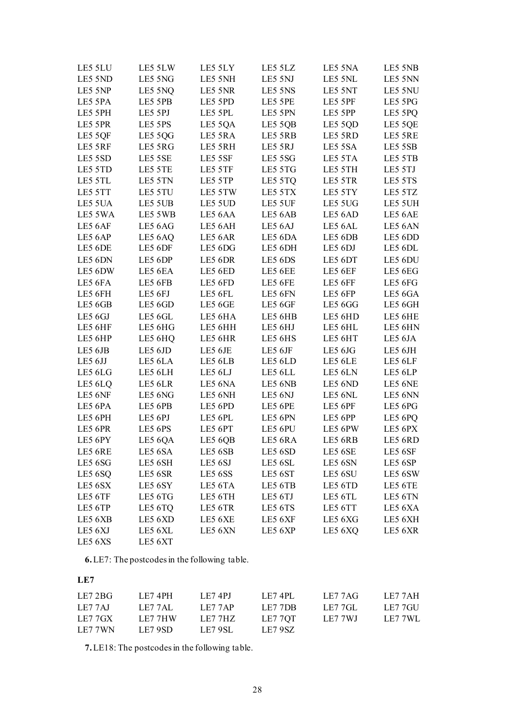| LE5 5LU | LE5 5LW | LE5 5LY | LE5 5LZ            | LE5 5NA | LE5 5NB |
|---------|---------|---------|--------------------|---------|---------|
| LE5 5ND | LE5 5NG | LE5 5NH | LE5 5NJ            | LE5 5NL | LE5 5NN |
| LE5 5NP | LE5 5NQ | LE5 5NR | LE5 5NS            | LE5 5NT | LE5 5NU |
| LE5 5PA | LE5 5PB | LE5 5PD | LE5 5PE            | LE5 5PF | LE5 5PG |
| LE5 5PH | LE5 5PJ | LE5 5PL | LE5 5PN            | LE5 5PP | LE5 5PQ |
| LE5 5PR | LE5 5PS | LE5 5QA | LE5 5QB            | LE5 5QD | LE5 5QE |
| LE5 5QF | LE5 5QG | LE5 5RA | LE5 5RB            | LE5 5RD | LE5 5RE |
| LE5 5RF | LE5 5RG | LE5 5RH | LE5 5RJ            | LE5 5SA | LE5 5SB |
| LE5 5SD | LE5 5SE | LE5 5SF | LE5 5SG            | LE5 5TA | LE5 5TB |
| LE5 5TD | LE5 5TE | LE5 5TF | LE5 5TG            | LE5 5TH | LE5 5TJ |
| LE5 5TL | LE5 5TN | LE5 5TP | LE5 5TQ            | LE5 5TR | LE5 5TS |
| LE5 5TT | LE5 5TU | LE5 5TW | LE5 5TX            | LE5 5TY | LE5 5TZ |
| LE5 5UA | LE5 5UB | LE5 5UD | LE5 5UF            | LE5 5UG | LE5 5UH |
| LE5 5WA | LE5 5WB | LE5 6AA | LE5 6AB            | LE5 6AD | LE5 6AE |
| LE5 6AF | LE5 6AG | LE5 6AH | LE5 <sub>6AJ</sub> | LE5 6AL | LE5 6AN |
| LE5 6AP | LE5 6AQ | LE5 6AR | LE5 6DA            | LE5 6DB | LE5 6DD |
| LE5 6DE | LE5 6DF | LE5 6DG | LE5 6DH            | LE5 6DJ | LE5 6DL |
| LE5 6DN | LE5 6DP | LE5 6DR | LE5 6DS            | LE5 6DT | LE5 6DU |
| LE5 6DW | LE5 6EA | LE5 6ED | LE5 6EE            | LE5 6EF | LE5 6EG |
| LE5 6FA | LE5 6FB | LE5 6FD | LE5 6FE            | LE5 6FF | LE5 6FG |
| LE5 6FH | LE5 6FJ | LE5 6FL | LE5 6FN            | LE5 6FP | LE5 6GA |
| LE5 6GB | LE5 6GD | LE5 6GE | LE5 6GF            | LE5 6GG | LE5 6GH |
| LE5 6GJ | LE5 6GL | LE5 6HA | LE5 6HB            | LE5 6HD | LE5 6HE |
| LE5 6HF | LE5 6HG | LE5 6HH | LE5 6HJ            | LE5 6HL | LE5 6HN |
| LE5 6HP | LE5 6HQ | LE5 6HR | LE5 6HS            | LE5 6HT | LE5 6JA |
| LE5 6JB | LE5 6JD | LE5 6JE | LE5 6JF            | LE5 6JG | LE5 6JH |
| LE5 6JJ | LE5 6LA | LE5 6LB | LE5 6LD            | LE5 6LE | LE5 6LF |
| LE5 6LG | LE5 6LH | LE5 6LJ | LE5 6LL            | LE5 6LN | LE5 6LP |
| LE5 6LQ | LE5 6LR | LE5 6NA | LE5 6NB            | LE5 6ND | LE5 6NE |
| LE5 6NF | LE5 6NG | LE5 6NH | LE5 6NJ            | LE5 6NL | LE5 6NN |
| LE5 6PA | LE5 6PB | LE5 6PD | LE5 6PE            | LE5 6PF | LE5 6PG |
| LE5 6PH | LE5 6PJ | LE5 6PL | LE5 6PN            | LE5 6PP | LE5 6PQ |
| LE5 6PR | LE5 6PS | LE5 6PT | LE5 6PU            | LE5 6PW | LE5 6PX |
| LE5 6PY | LE5 6QA | LE5 6QB | LE5 6RA            | LE5 6RB | LE5 6RD |
| LE5 6RE | LE5 6SA | LE5 6SB | LE5 6SD            | LE5 6SE | LE5 6SF |
| LE5 6SG | LE5 6SH | LE5 6SJ | LE5 6SL            | LE5 6SN | LE5 6SP |
| LE5 6SQ | LE5 6SR | LE5 6SS | LE5 6ST            | LE5 6SU | LE5 6SW |
| LE5 6SX | LE5 6SY | LE5 6TA | LE5 6TB            | LE5 6TD | LE5 6TE |
| LE5 6TF | LE5 6TG | LE5 6TH | LE5 6TJ            | LE5 6TL | LE5 6TN |
| LE5 6TP | LE5 6TQ | LE5 6TR | LE5 6TS            | LE5 6TT | LE5 6XA |
| LE5 6XB | LE5 6XD | LE5 6XE | LE5 6XF            | LE5 6XG | LE5 6XH |
| LE5 6XJ | LE5 6XL | LE5 6XN | LE5 6XP            | LE5 6XQ | LE5 6XR |
| LE5 6XS | LE5 6XT |         |                    |         |         |

**6.**LE7: The postcodes in the following table.

| LE7     |         |                |          |         |         |
|---------|---------|----------------|----------|---------|---------|
| LE7 2BG | LE7 4PH | <b>LE7 4PJ</b> | -LE7-4PL | LE7 7AG | LE7 7AH |
| LE7 7AJ | LE7 7AL | LE7 7AP        | LE7 7DB  | LE7 7GL | LE7 7GU |
| LE7 7GX | LE7 7HW | LE7 7HZ        | LE7 7OT  | LE7 7WJ | LE7 7WL |
| LE7 7WN | LE7 9SD | LE7 9SL        | LE7 9SZ  |         |         |

**7.**LE18: The postcodes in the following table.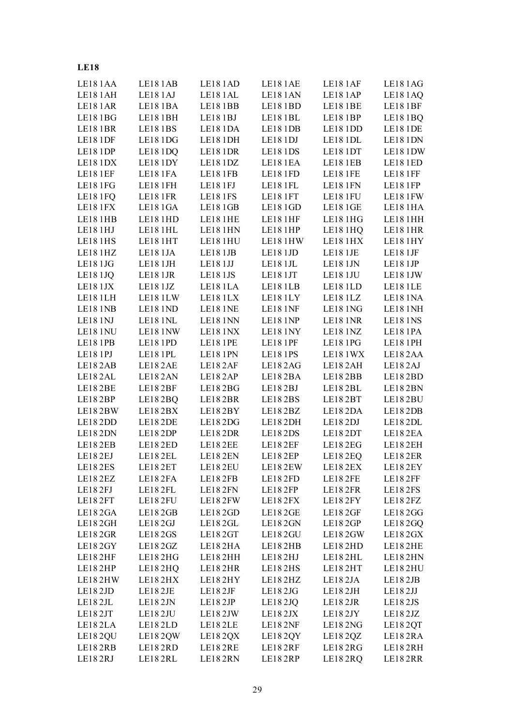| LE181AA | LE181AB         | LE181AD        | LE181AE         | LE181AF         | LE181AG        |
|---------|-----------------|----------------|-----------------|-----------------|----------------|
| LE181AH | LE181AJ         | LE181AL        | LE181AN         | LE181AP         | LE181AQ        |
| LE181AR | LE181BA         | LE181BB        | LE181BD         | LE181BE         | LE181BF        |
| LE181BG | LE181BH         | LE181BJ        | LE181BL         | LE181BP         | LE181BQ        |
| LE181BR | <b>LE181BS</b>  | LE181DA        | LE181DB         | LE18 1DD        | LE18 1DE       |
| LE181DF | LE181DG         | LE181DH        | LE181DJ         | LE18 1DL        | LE18 1DN       |
| LE181DP | LE181DQ         | LE181DR        | <b>LE181DS</b>  | LE18 1DT        | LE181DW        |
| LE181DX | LE181DY         | LE181DZ        | LE181EA         | LE181EB         | LE181ED        |
| LE181EF | LE181FA         | LE181FB        | LE181FD         | LE181FE         | LE181FF        |
| LE181FG | LE181FH         | LE181FJ        | LE181FL         | LE181FN         | LE181FP        |
| LE181FQ | LE181FR         | <b>LE181FS</b> | LE181FT         | LE181FU         | LE181FW        |
| LE181FX | LE181GA         | LE181GB        | LE18 1GD        | LE181GE         | LE181HA        |
| LE181HB | LE181HD         | LE181HE        | LE181HF         | LE181HG         | LE181HH        |
| LE181HJ | LE181HL         | LE181HN        | LE181HP         | LE181HQ         | LE181HR        |
| LE181HS | LE181HT         | LE181HU        | LE181HW         | LE181HX         | LE181HY        |
| LE181HZ | LE18 1JA        | LE181JB        | LE181JD         | LE181JE         | LE181JF        |
| LE181JG | LE181JH         | LE181JJ        | LE181JL         | LE181JN         | LE181JP        |
| LE181JQ | LE181JR         | LE181JS        | LE181JT         | LE181JU         | LE181JW        |
| LE181JX | LE18 1JZ        | LE181LA        | LE181LB         | LE181LD         | LE181LE        |
| LE181LH | LE181LW         | LE181LX        | LE181LY         | LE181LZ         | LE181NA        |
| LE181NB | LE18 1ND        | LE18 1NE       | <b>LE18 1NF</b> | <b>LE18 1NG</b> | LE181NH        |
| LE181NJ | <b>LE18 1NL</b> | LE181NN        | <b>LE18 1NP</b> | <b>LE18 1NR</b> | <b>LE181NS</b> |
| LE181NU | LE18 1NW        | LE181NX        | LE18 1NY        | <b>LE18 1NZ</b> | LE181PA        |
| LE181PB | LE18 1PD        | LE181PE        | LE181PF         | LE181PG         | LE18 1PH       |
| LE181PJ | LE181PL         | LE181PN        | <b>LE181PS</b>  | LE181WX         | LE182AA        |
| LE182AB | LE182AE         | LE182AF        | LE182AG         | LE182AH         | LE182AJ        |
| LE182AL | LE182AN         | LE182AP        | LE182BA         | LE182BB         | LE182BD        |
| LE182BE | LE182BF         | LE182BG        | LE182BJ         | LE182BL         | LE182BN        |
| LE182BP | LE182BQ         | LE182BR        | LE182BS         | LE182BT         | LE182BU        |
| LE182BW | LE182BX         | LE182BY        | LE182BZ         | LE182DA         | LE182DB        |
| LE182DD | LE182DE         | LE182DG        | LE182DH         | LE182DJ         | LE182DL        |
| LE182DN | LE182DP         | LE182DR        | LE182DS         | LE182DT         | LE182EA        |
| LE182EB | LE182ED         | LE182EE        | LE182EF         | LE182EG         | LE182EH        |
| LE182EJ | LE182EL         | LE182EN        | LE182EP         | LE182EQ         | LE182ER        |
| LE182ES | LE182ET         | LE182EU        | LE182EW         | LE182EX         | LE182EY        |
| LE182EZ | LE182FA         | LE182FB        | LE182FD         | LE182FE         | LE182FF        |
| LE182FJ | LE182FL         | LE182FN        | LE182FP         | LE182FR         | LE182FS        |
| LE182FT | LE182FU         | LE182FW        | LE182FX         | LE182FY         | LE182FZ        |
| LE182GA | LE182GB         | LE182GD        | <b>LE182GE</b>  | <b>LE182GF</b>  | LE182GG        |
| LE182GH | LE182GJ         | LE182GL        | <b>LE182GN</b>  | LE182GP         | LE182GQ        |
| LE182GR | LE182GS         | LE182GT        | LE182GU         | LE182GW         | LE182GX        |
| LE182GY | LE182GZ         | LE182HA        | LE182HB         | LE182HD         | LE182HE        |
| LE182HF | LE182HG         | LE182HH        | LE182HJ         | LE182HL         | LE182HN        |
| LE182HP | LE182HQ         | LE182HR        | LE182HS         | LE182HT         | LE182HU        |
| LE182HW | LE182HX         | LE182HY        | LE182HZ         | LE182JA         | LE182JB        |
| LE182JD | LE182JE         | LE182JF        | LE182JG         | LE182JH         | LE182JJ        |
| LE182JL | LE182JN         | LE182JP        | LE182JQ         | LE182JR         | LE182JS        |
| LE182JT | LE182JU         | LE182JW        | LE182JX         | LE182JY         | LE182JZ        |
| LE182LA | LE182LD         | LE182LE        | LE182NF         | LE182NG         | LE182QT        |
| LE182QU | LE182QW         | LE182QX        | LE182QY         | LE182QZ         | LE182RA        |
| LE182RB | LE182RD         | LE182RE        | LE182RF         | LE182RG         | LE182RH        |
| LE182RJ | LE182RL         | LE182RN        | LE182RP         | LE182RQ         | LE182RR        |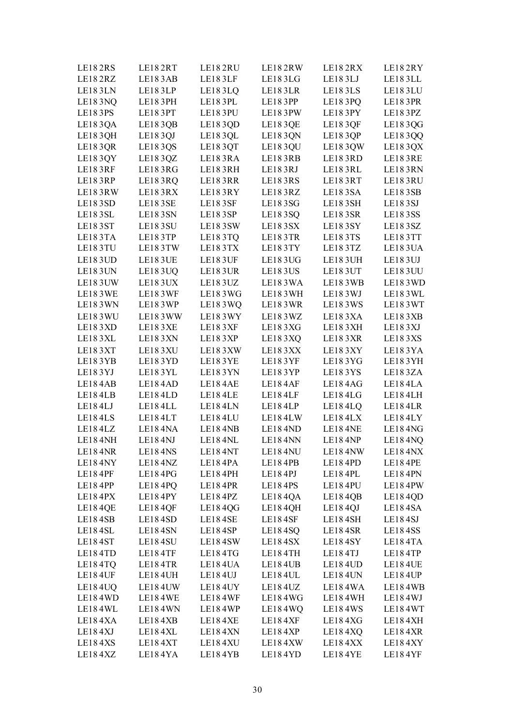| LE182RS<br>LE182RZ  | LE182RT<br>LE183AB  | LE182RU<br>LE183LF | LE182RW<br>LE183LG  | LE182RX<br>LE183LJ  | LE182RY<br>LE183LL |
|---------------------|---------------------|--------------------|---------------------|---------------------|--------------------|
| LE183LN             |                     |                    |                     | LE183LS             |                    |
|                     | LE183LP             | LE183LQ            | LE183LR             |                     | LE183LU            |
| LE183NQ             | LE183PH             | LE183PL            | LE183PP             | LE183PQ             | LE183PR            |
| LE183PS             | LE183PT             | LE183PU            | LE183PW             | LE183PY             | LE183PZ            |
| LE183QA             | LE183QB             | LE183QD            | LE183QE             | LE183QF             | LE183QG            |
| LE183QH             | LE183QJ             | LE183QL            | LE183QN             | LE183QP             | LE183QQ            |
| LE183QR             | LE183QS             | LE183QT            | LE183QU             | LE183QW             | LE183QX            |
| LE183QY             | LE183QZ             | LE183RA            | <b>LE183RB</b>      | LE183RD             | LE183RE            |
| <b>LE183RF</b>      | LE183RG             | LE183RH            | LE183RJ             | LE183RL             | LE183RN            |
| LE183RP             | LE183RQ             | LE183RR            | <b>LE183RS</b>      | LE183RT             | LE183RU            |
| LE183RW             | LE183RX             | LE183RY            | LE183RZ             | LE183SA             | LE183SB            |
| LE183SD             | <b>LE183SE</b>      | <b>LE183SF</b>     | LE183SG             | <b>LE183SH</b>      | LE18 3SJ           |
| LE183SL             | LE183SN             | LE183SP            | LE183SQ             | LE183SR             | LE183SS            |
| LE183ST             | <b>LE183SU</b>      | LE183SW            | LE183SX             | <b>LE183SY</b>      | LE183SZ            |
| LE183TA             | LE183TP             | LE183TQ            | LE183TR             | LE183TS             | LE183TT            |
| LE183TU             | LE183TW             | LE183TX            | LE183TY             | LE183TZ             | LE183UA            |
| <b>LE183UD</b>      | LE183UE             | LE183UF            | LE183UG             | <b>LE183UH</b>      | LE183UJ            |
| LE183UN             | <b>LE183UQ</b>      | LE183UR            | LE183US             | LE183UT             | LE183UU            |
| LE183UW             | LE183UX             | LE183UZ            | LE183WA             | LE183WB             | LE183WD            |
| <b>LE183WE</b>      | <b>LE183WF</b>      | LE183WG            | LE183WH             | LE183WJ             | LE183WL            |
| LE183WN             | LE183WP             | LE183WQ            | LE183WR             | LE183WS             | LE183WT            |
| LE183WU             | LE183WW             | LE183WY            | LE183WZ             | LE183XA             | LE183XB            |
| LE183XD             | LE183XE             | LE183XF            | LE183XG             | LE183XH             | LE183XJ            |
| LE183XL             | LE183XN             | LE183XP            | LE183XQ             | LE183XR             | LE183XS            |
| LE183XT             | LE183XU             | LE183XW            | LE183XX             | LE183XY             | LE183YA            |
| LE183YB             | LE183YD             | LE183YE            | LE183YF             | LE183YG             | LE183YH            |
| LE183YJ             | LE183YL             | LE183YN            | LE183YP             | LE183YS             | LE183ZA            |
| LE184AB             | LE184AD             | LE184AE            | LE184AF             | LE184AG             | LE184LA            |
| LE184LB             | LE184LD             | LE184LE            | LE184LF             | LE184LG             | LE184LH            |
| LE184LJ             | LE184LL             | LE184LN            | LE184LP             | LE184LQ             | LE184LR            |
| LE184LS             | LE184LT             | LE184LU            | LE184LW             | LE184LX             | LE184LY            |
| LE184LZ             | LE184NA             | LE184NB            | LE18 <sub>4ND</sub> | LE18 <sub>4NE</sub> | LE184NG            |
| LE184NH             | LE18 <sub>4NJ</sub> | LE184NL            | LE184NN             | LE18 <sub>4NP</sub> | LE184NQ            |
| LE184NR             | LE184NS             | LE184NT            | LE184NU             | LE184NW             | LE184NX            |
| LE184NY             | LE184NZ             | LE184PA            | LE184PB             | LE184PD             | LE184PE            |
| LE184PF             | LE184PG             | LE184PH            | LE184PJ             | LE184PL             | LE184PN            |
| LE18 <sub>4PP</sub> | LE184PQ             | <b>LE184PR</b>     | LE184PS             | LE184PU             | LE184PW            |
| LE184PX             | LE184PY             | LE184PZ            | LE184QA             | LE184QB             | LE184QD            |
| LE184QE             | LE184QF             | LE184QG            | LE184QH             | LE184QJ             | LE184SA            |
| LE184SB             | LE184SD             | LE184SE            | LE184SF             | LE184SH             | LE184SJ            |
| LE184SL             | LE184SN             | LE184SP            | LE184SQ             | LE184SR             | LE184SS            |
| LE184ST             | LE184SU             | LE184SW            | LE184SX             | LE184SY             | LE184TA            |
| LE184TD             | LE184TF             | LE184TG            | LE184TH             | LE184TJ             | LE184TP            |
| LE184TQ             | LE184TR             | LE184UA            | LE184UB             | LE184UD             | LE184UE            |
| <b>LE184UF</b>      | LE184UH             | LE184UJ            | LE184UL             | LE184UN             | LE184UP            |
| LE184UQ             | LE184UW             | LE184UY            | LE184UZ             | LE184WA             | LE184WB            |
| LE184WD             | LE184WE             | LE184WF            | LE184WG             | LE184WH             | LE184WJ            |
| LE184WL             | LE184WN             | LE184WP            | LE184WQ             | LE184WS             | LE184WT            |
| LE184XA             | LE184XB             | LE184XE            | LE184XF             | LE184XG             | LE184XH            |
| LE184XJ             | LE184XL             | LE184XN            | LE184XP             | <b>LE184XQ</b>      | LE184XR            |
| LE184XS             | LE184XT             | LE184XU            | LE184XW             | LE184XX             | LE184XY            |
| LE184XZ             | LE184YA             | LE184YB            | LE184YD             | LE184YE             | LE184YF            |
|                     |                     |                    |                     |                     |                    |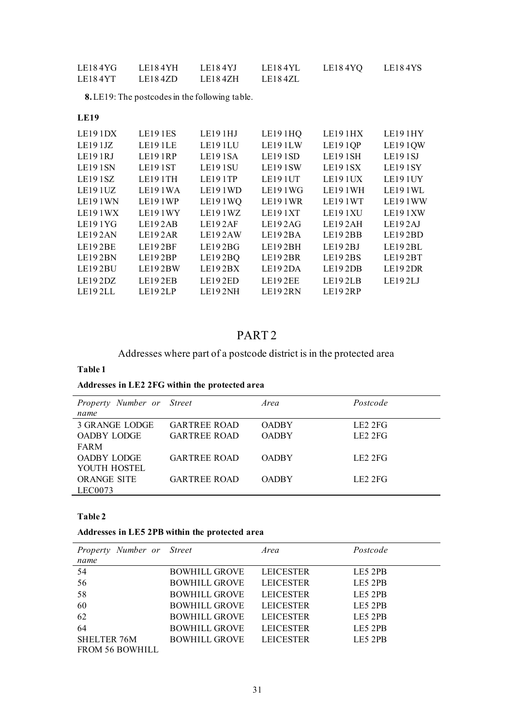| LE184YG | <b>LE18 4 YH</b> | LE184YJ | LE18 4YL | LE184YQ | LE184YS |
|---------|------------------|---------|----------|---------|---------|
| LE184YT | LE184ZD          | LE184ZH | LE184ZL  |         |         |

**8.**LE19: The postcodes in the following table.

### **LE19**

| LE191DX | <b>LE191ES</b>       | LE191HJ              | LE191HQ              | LE191HX        | LE191HY              |
|---------|----------------------|----------------------|----------------------|----------------|----------------------|
| LE191JZ | LE191LE              | LE <sub>19</sub> 1LU | LE191LW              | <b>LE191QP</b> | LE191QW              |
| LE191RJ | <b>LE191RP</b>       | LE <sub>19</sub> 1SA | LE191SD              | LE191SH        | LE191SI              |
| LE191SN | LE191ST              | LE191SU              | LE191SW              | <b>LE191SX</b> | LE191SY              |
| LE191SZ | LE191TH              | LE191TP              | LE19 1UT             | LE191UX        | LE191UY              |
| LE191UZ | LE191WA              | LE191WD              | LE19 1 WG            | <b>LE191WH</b> | LE191WL              |
| LE191WN | LE <sub>19</sub> 1WP | LE191WQ              | LE <sub>19</sub> 1WR | LE191WT        | LE191WW              |
| LE191WX | <b>LE191WY</b>       | LE191WZ              | LE191XT              | LE191XU        | LE191XW              |
| LE191YG | LE192AB              | LE192AF              | LE192AG              | LE192AH        | LE <sub>192</sub> AJ |
| LE192AN | LE192AR              | LE192AW              | LE192BA              | LE192BB        | LE192BD              |
| LE192BE | LE192BF              | LE192BG              | LE192BH              | LE192BJ        | LE192BL              |
| LE192BN | LE192BP              | LE192BQ              | LE192BR              | <b>LE192BS</b> | LE192BT              |
| LE192BU | LE192BW              | LE192BX              | LE192DA              | LE192DB        | LE192DR              |
| LE192DZ | LE192EB              | LE192ED              | LE192EE              | LE192LB        | LE192LJ              |
| LE192LL | LE192LP              | LE192NH              | LE192RN              | LE192RP        |                      |
|         |                      |                      |                      |                |                      |

# PART 2

Addresses where part of a postcode district is in the protected area

### **Table 1**

# **Addresses in LE2 2FG within the protected area**

| Property Number or Street |                     | Area         | Postcode            |
|---------------------------|---------------------|--------------|---------------------|
| name                      |                     |              |                     |
| 3 GRANGE LODGE            | <b>GARTREE ROAD</b> | <b>OADRY</b> | LE22FE              |
| OADBY LODGE               | <b>GARTREE ROAD</b> | <b>OADRY</b> | LE22FE              |
| <b>FARM</b>               |                     |              |                     |
| <b>OADBY LODGE</b>        | <b>GARTREE ROAD</b> | <b>OADRY</b> | LE22FE              |
| YOUTH HOSTEL              |                     |              |                     |
| <b>ORANGE SITE</b>        | <b>GARTREE ROAD</b> | <b>OADRY</b> | LE <sub>2</sub> 2FG |
| LECO073                   |                     |              |                     |

### **Table 2**

### **Addresses in LE5 2PB within the protected area**

| Property Number or<br>name | <i>Street</i>        | Area             | Postcode |
|----------------------------|----------------------|------------------|----------|
|                            |                      |                  |          |
| 54                         | <b>BOWHILL GROVE</b> | <b>LEICESTER</b> | LE5 2PB  |
| 56                         | <b>BOWHILL GROVE</b> | <b>LEICESTER</b> | LE5 2PB  |
| 58                         | <b>BOWHILL GROVE</b> | <b>LEICESTER</b> | LE5 2PB  |
| 60                         | <b>BOWHILL GROVE</b> | <b>LEICESTER</b> | LE5 2PB  |
| 62                         | <b>BOWHILL GROVE</b> | <b>LEICESTER</b> | LE5 2PB  |
| 64                         | <b>BOWHILL GROVE</b> | <b>LEICESTER</b> | LE5 2PB  |
| <b>SHELTER 76M</b>         | <b>BOWHILL GROVE</b> | <b>LEICESTER</b> | LE5 2PB  |
| <b>FROM 56 BOWHILL</b>     |                      |                  |          |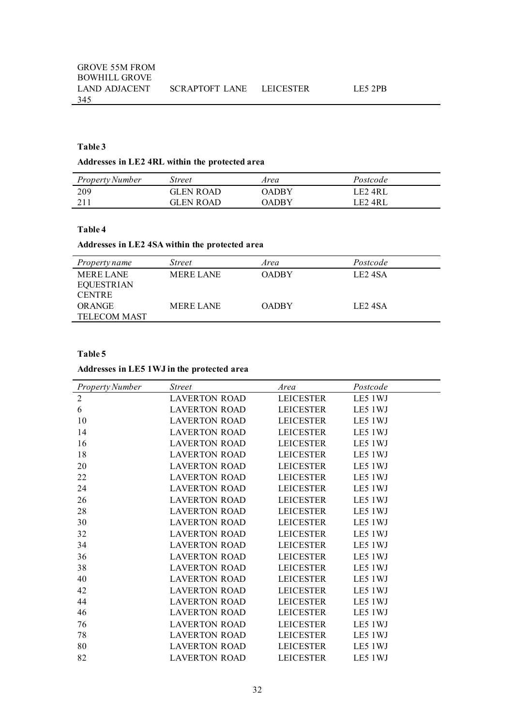### **Table 3**

### **Addresses in LE2 4RL within the protected area**

| <b>Property Number</b> | Street    | Area  | Postcode       |  |
|------------------------|-----------|-------|----------------|--|
| 209                    | GLEN ROAD | NADRY | LE2 4RL        |  |
| 211                    | GLEN ROAD | NADRY | <b>LE2 4RL</b> |  |

### **Table 4**

### **Addresses in LE2 4SA within the protected area**

| <i>Property name</i> | <i>Street</i>    | Area         | Postcode            |
|----------------------|------------------|--------------|---------------------|
| <b>MERE LANE</b>     | <b>MERE LANE</b> | <b>OADBY</b> | LE <sub>2</sub> 4SA |
| <b>EQUESTRIAN</b>    |                  |              |                     |
| <b>CENTRE</b>        |                  |              |                     |
| <b>OR ANGE</b>       | <b>MERE LANE</b> | <b>OADBY</b> | LE <sub>2</sub> 4SA |
| <b>TELECOM MAST</b>  |                  |              |                     |
|                      |                  |              |                     |

### **Table 5**

### **Addresses in LE5 1WJ in the protected area**

| <b>Street</b>        | Area             | Postcode |
|----------------------|------------------|----------|
| <b>LAVERTON ROAD</b> | <b>LEICESTER</b> | LE5 1WJ  |
| <b>LAVERTON ROAD</b> | <b>LEICESTER</b> | LE5 1WJ  |
| <b>LAVERTON ROAD</b> | <b>LEICESTER</b> | LE5 1WJ  |
| <b>LAVERTON ROAD</b> | <b>LEICESTER</b> | LE5 1WJ  |
| <b>LAVERTON ROAD</b> | <b>LEICESTER</b> | LE5 1WJ  |
| <b>LAVERTON ROAD</b> | <b>LEICESTER</b> | LE5 1WJ  |
| <b>LAVERTON ROAD</b> | <b>LEICESTER</b> | LE5 1WJ  |
| <b>LAVERTON ROAD</b> | <b>LEICESTER</b> | LE5 1WJ  |
| <b>LAVERTON ROAD</b> | <b>LEICESTER</b> | LE5 1WJ  |
| <b>LAVERTON ROAD</b> | <b>LEICESTER</b> | LE5 1WJ  |
| <b>LAVERTON ROAD</b> | <b>LEICESTER</b> | LE5 1WJ  |
| <b>LAVERTON ROAD</b> | <b>LEICESTER</b> | LE5 1WJ  |
| <b>LAVERTON ROAD</b> | <b>LEICESTER</b> | LE5 1WJ  |
| <b>LAVERTON ROAD</b> | <b>LEICESTER</b> | LE5 1WJ  |
| <b>LAVERTON ROAD</b> | <b>LEICESTER</b> | LE5 1WJ  |
| <b>LAVERTON ROAD</b> | <b>LEICESTER</b> | LE5 1WJ  |
| <b>LAVERTON ROAD</b> | <b>LEICESTER</b> | LE5 1WJ  |
| <b>LAVERTON ROAD</b> | <b>LEICESTER</b> | LE5 1WJ  |
| <b>LAVERTON ROAD</b> | <b>LEICESTER</b> | LE5 1WJ  |
| <b>LAVERTON ROAD</b> | <b>LEICESTER</b> | LE5 1WJ  |
| <b>LAVERTON ROAD</b> | <b>LEICESTER</b> | LE5 1WJ  |
| <b>LAVERTON ROAD</b> | <b>LEICESTER</b> | LE5 1WJ  |
| <b>LAVERTON ROAD</b> | <b>LEICESTER</b> | LE5 1WJ  |
| <b>LAVERTON ROAD</b> | <b>LEICESTER</b> | LE5 1WJ  |
|                      |                  |          |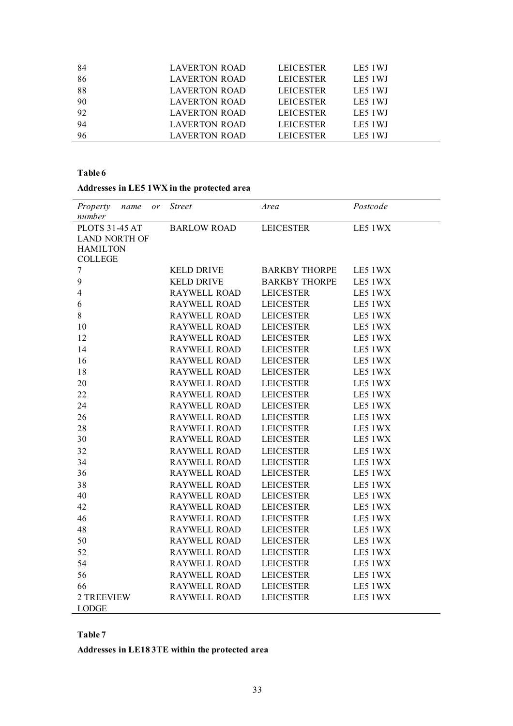| -84 | LAVERTON ROAD        | <b>LEICESTER</b> | LE5 1WJ |
|-----|----------------------|------------------|---------|
| 86  | <b>LAVERTON ROAD</b> | <b>LEICESTER</b> | LE5 1WJ |
| 88  | LAVERTON ROAD        | <b>LEICESTER</b> | LE5 1WJ |
| 90  | LAVERTON ROAD        | <b>LEICESTER</b> | LE5 1WJ |
| 92  | LAVERTON ROAD        | <b>LEICESTER</b> | LE5 1WJ |
| 94  | <b>LAVERTON ROAD</b> | <b>LEICESTER</b> | LE5 1WJ |
| 96  | <b>LAVERTON ROAD</b> | <b>LEICESTER</b> | LE5 1WJ |

### **Table 6**

# **Addresses in LE5 1WX in the protected area**

| Property<br>name<br>or<br>number | <b>Street</b>       | Area                 | Postcode |
|----------------------------------|---------------------|----------------------|----------|
| <b>PLOTS 31-45 AT</b>            | <b>BARLOW ROAD</b>  | <b>LEICESTER</b>     | LE5 1WX  |
| <b>LAND NORTH OF</b>             |                     |                      |          |
| <b>HAMILTON</b>                  |                     |                      |          |
| <b>COLLEGE</b>                   |                     |                      |          |
| $\overline{7}$                   | <b>KELD DRIVE</b>   | <b>BARKBY THORPE</b> | LE5 1WX  |
| 9                                | <b>KELD DRIVE</b>   | <b>BARKBY THORPE</b> | LE5 1WX  |
| $\overline{4}$                   | <b>RAYWELL ROAD</b> | <b>LEICESTER</b>     | LE5 1WX  |
| 6                                | RAYWELL ROAD        | <b>LEICESTER</b>     | LE5 1WX  |
| 8                                | <b>RAYWELL ROAD</b> | <b>LEICESTER</b>     | LE5 1WX  |
| 10                               | <b>RAYWELL ROAD</b> | <b>LEICESTER</b>     | LE5 1WX  |
| 12                               | <b>RAYWELL ROAD</b> | <b>LEICESTER</b>     | LE5 1WX  |
| 14                               | <b>RAYWELL ROAD</b> | <b>LEICESTER</b>     | LE5 1WX  |
| 16                               | <b>RAYWELL ROAD</b> | <b>LEICESTER</b>     | LE5 1WX  |
| 18                               | <b>RAYWELL ROAD</b> | <b>LEICESTER</b>     | LE5 1WX  |
| 20                               | RAYWELL ROAD        | <b>LEICESTER</b>     | LE5 1WX  |
| 22                               | <b>RAYWELL ROAD</b> | <b>LEICESTER</b>     | LE5 1WX  |
| 24                               | <b>RAYWELL ROAD</b> | <b>LEICESTER</b>     | LE5 1WX  |
| 26                               | <b>RAYWELL ROAD</b> | <b>LEICESTER</b>     | LE5 1WX  |
| 28                               | <b>RAYWELL ROAD</b> | <b>LEICESTER</b>     | LE5 1WX  |
| 30                               | <b>RAYWELL ROAD</b> | <b>LEICESTER</b>     | LE5 1WX  |
| 32                               | <b>RAYWELL ROAD</b> | <b>LEICESTER</b>     | LE5 1WX  |
| 34                               | <b>RAYWELL ROAD</b> | <b>LEICESTER</b>     | LE5 1WX  |
| 36                               | <b>RAYWELL ROAD</b> | <b>LEICESTER</b>     | LE5 1WX  |
| 38                               | <b>RAYWELL ROAD</b> | <b>LEICESTER</b>     | LE5 1WX  |
| 40                               | <b>RAYWELL ROAD</b> | <b>LEICESTER</b>     | LE5 1WX  |
| 42                               | <b>RAYWELL ROAD</b> | <b>LEICESTER</b>     | LE5 1WX  |
| 46                               | <b>RAYWELL ROAD</b> | <b>LEICESTER</b>     | LE5 1WX  |
| 48                               | <b>RAYWELL ROAD</b> | <b>LEICESTER</b>     | LE5 1WX  |
| 50                               | <b>RAYWELL ROAD</b> | <b>LEICESTER</b>     | LE5 1WX  |
| 52                               | <b>RAYWELL ROAD</b> | <b>LEICESTER</b>     | LE5 1WX  |
| 54                               | <b>RAYWELL ROAD</b> | <b>LEICESTER</b>     | LE5 1WX  |
| 56                               | <b>RAYWELL ROAD</b> | <b>LEICESTER</b>     | LE5 1WX  |
| 66                               | <b>RAYWELL ROAD</b> | <b>LEICESTER</b>     | LE5 1WX  |
| 2 TREEVIEW                       | <b>RAYWELL ROAD</b> | <b>LEICESTER</b>     | LE5 1WX  |
| <b>LODGE</b>                     |                     |                      |          |

### **Table 7**

**Addresses in LE18 3TE within the protected area**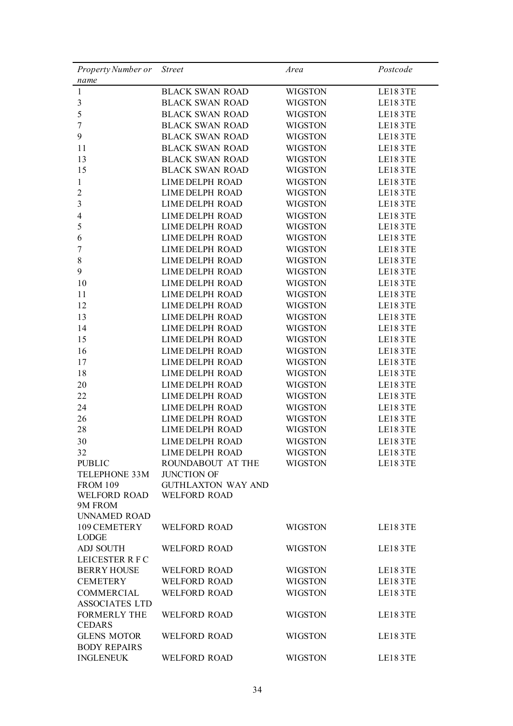| Property Number or                         | <b>Street</b>             | Area           | Postcode |
|--------------------------------------------|---------------------------|----------------|----------|
| name                                       |                           |                |          |
| 1                                          | <b>BLACK SWAN ROAD</b>    | <b>WIGSTON</b> | LE183TE  |
| $\mathfrak{Z}$                             | <b>BLACK SWAN ROAD</b>    | <b>WIGSTON</b> | LE183TE  |
| 5                                          | <b>BLACK SWAN ROAD</b>    | <b>WIGSTON</b> | LE183TE  |
| $\boldsymbol{7}$                           | <b>BLACK SWAN ROAD</b>    | <b>WIGSTON</b> | LE183TE  |
| 9                                          | <b>BLACK SWAN ROAD</b>    | <b>WIGSTON</b> | LE183TE  |
| 11                                         | <b>BLACK SWAN ROAD</b>    | <b>WIGSTON</b> | LE183TE  |
| 13                                         | <b>BLACK SWAN ROAD</b>    | <b>WIGSTON</b> | LE183TE  |
| 15                                         | <b>BLACK SWAN ROAD</b>    | <b>WIGSTON</b> | LE183TE  |
| 1                                          | <b>LIME DELPH ROAD</b>    | <b>WIGSTON</b> | LE183TE  |
| $\overline{c}$                             | <b>LIME DELPH ROAD</b>    | <b>WIGSTON</b> | LE183TE  |
| 3                                          | <b>LIME DELPH ROAD</b>    | <b>WIGSTON</b> | LE183TE  |
| $\overline{4}$                             | <b>LIME DELPH ROAD</b>    | <b>WIGSTON</b> | LE183TE  |
| 5                                          | <b>LIME DELPH ROAD</b>    | <b>WIGSTON</b> | LE183TE  |
| 6                                          | <b>LIME DELPH ROAD</b>    | <b>WIGSTON</b> | LE183TE  |
| 7                                          | <b>LIME DELPH ROAD</b>    | <b>WIGSTON</b> | LE183TE  |
| 8                                          | <b>LIME DELPH ROAD</b>    | <b>WIGSTON</b> | LE183TE  |
| 9                                          | <b>LIME DELPH ROAD</b>    | <b>WIGSTON</b> | LE183TE  |
| 10                                         | <b>LIME DELPH ROAD</b>    | <b>WIGSTON</b> | LE183TE  |
| 11                                         | <b>LIME DELPH ROAD</b>    | <b>WIGSTON</b> | LE183TE  |
| 12                                         | <b>LIME DELPH ROAD</b>    | <b>WIGSTON</b> | LE183TE  |
| 13                                         | <b>LIME DELPH ROAD</b>    | <b>WIGSTON</b> | LE183TE  |
| 14                                         | <b>LIME DELPH ROAD</b>    | <b>WIGSTON</b> | LE183TE  |
| 15                                         | <b>LIME DELPH ROAD</b>    | <b>WIGSTON</b> | LE183TE  |
| 16                                         | <b>LIME DELPH ROAD</b>    | <b>WIGSTON</b> | LE183TE  |
| 17                                         | <b>LIME DELPH ROAD</b>    | <b>WIGSTON</b> | LE183TE  |
| 18                                         | <b>LIME DELPH ROAD</b>    | <b>WIGSTON</b> | LE183TE  |
| 20                                         | <b>LIME DELPH ROAD</b>    | <b>WIGSTON</b> | LE183TE  |
| 22                                         | <b>LIME DELPH ROAD</b>    | <b>WIGSTON</b> | LE183TE  |
| 24                                         | <b>LIME DELPH ROAD</b>    | <b>WIGSTON</b> | LE183TE  |
| 26                                         | <b>LIME DELPH ROAD</b>    | <b>WIGSTON</b> | LE183TE  |
| 28                                         | <b>LIME DELPH ROAD</b>    | <b>WIGSTON</b> | LE183TE  |
| 30                                         | <b>LIME DELPH ROAD</b>    | <b>WIGSTON</b> | LE183TE  |
| 32                                         | LIME DELPH ROAD           | WIGSTON        | LE183TE  |
| <b>PUBLIC</b>                              | ROUNDABOUT AT THE         | <b>WIGSTON</b> | LE183TE  |
| <b>TELEPHONE 33M</b>                       | <b>JUNCTION OF</b>        |                |          |
| <b>FROM 109</b>                            | <b>GUTHLAXTON WAY AND</b> |                |          |
| <b>WELFORD ROAD</b>                        | <b>WELFORD ROAD</b>       |                |          |
| 9M FROM                                    |                           |                |          |
| <b>UNNAMED ROAD</b>                        |                           |                |          |
| 109 CEMETERY                               | <b>WELFORD ROAD</b>       | <b>WIGSTON</b> | LE183TE  |
| <b>LODGE</b>                               |                           |                |          |
| <b>ADJ SOUTH</b>                           | <b>WELFORD ROAD</b>       | <b>WIGSTON</b> | LE183TE  |
| LEICESTER R F C                            |                           |                |          |
| <b>BERRY HOUSE</b>                         | <b>WELFORD ROAD</b>       | <b>WIGSTON</b> | LE183TE  |
| <b>CEMETERY</b>                            | <b>WELFORD ROAD</b>       | <b>WIGSTON</b> | LE183TE  |
| <b>COMMERCIAL</b><br><b>ASSOCIATES LTD</b> | <b>WELFORD ROAD</b>       | <b>WIGSTON</b> | LE183TE  |
| <b>FORMERLY THE</b><br><b>CEDARS</b>       | <b>WELFORD ROAD</b>       | <b>WIGSTON</b> | LE183TE  |
| <b>GLENS MOTOR</b><br><b>BODY REPAIRS</b>  | <b>WELFORD ROAD</b>       | <b>WIGSTON</b> | LE183TE  |
| <b>INGLENEUK</b>                           | <b>WELFORD ROAD</b>       | <b>WIGSTON</b> | LE183TE  |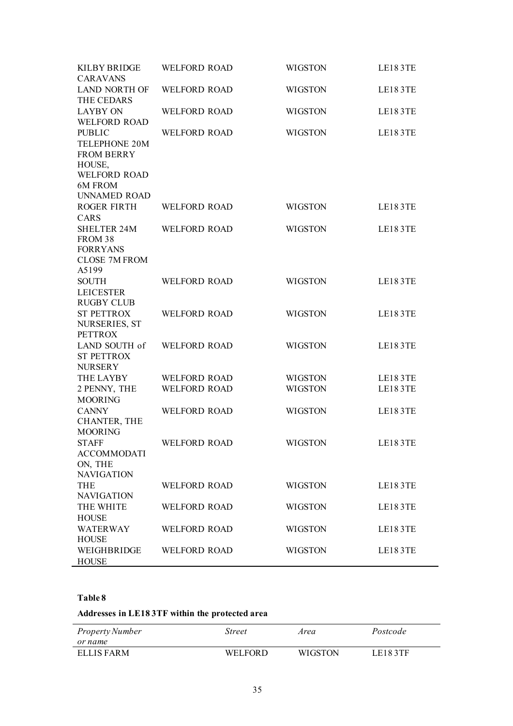| LE183TE |
|---------|
|         |
| LE183TE |
| LE183TE |
|         |
|         |
|         |
| LE183TE |
|         |
| LE183TE |
|         |
|         |
| LE183TE |
| LE183TE |
|         |
| LE183TE |
|         |
| LE183TE |
| LE183TE |
| LE183TE |
|         |
| LE183TE |
|         |
| LE183TE |
| LE183TE |
|         |
| LE183TE |
| LE183TE |
|         |

# **Table 8**

## **Addresses in LE18 3TF within the protected area**

| Property Number<br>or name | <i>Street</i> | Area           | Postcode |
|----------------------------|---------------|----------------|----------|
| ELLIS FARM                 | WEI FOR D     | <b>WIGSTON</b> | LE183TF  |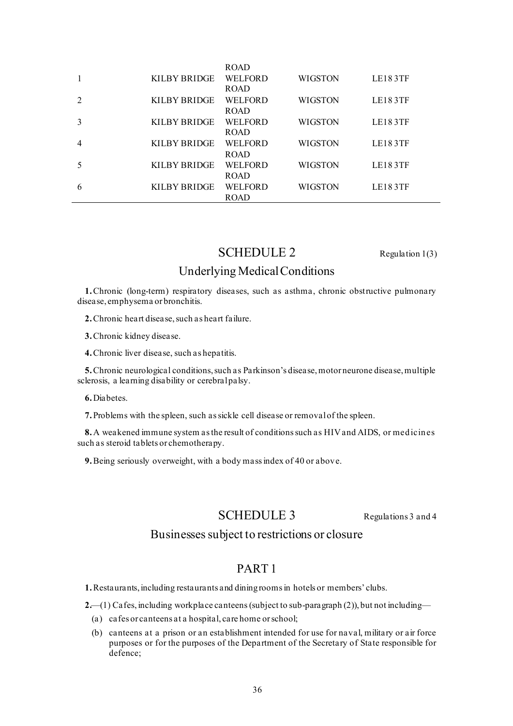|   |              | <b>ROAD</b>    |                |                |
|---|--------------|----------------|----------------|----------------|
|   | KILBY BRIDGE | <b>WELFORD</b> | <b>WIGSTON</b> | <b>LE183TF</b> |
|   |              | <b>ROAD</b>    |                |                |
|   | KILBY BRIDGE | <b>WELFORD</b> | <b>WIGSTON</b> | <b>LE183TF</b> |
|   |              | <b>ROAD</b>    |                |                |
|   | KILBY BRIDGE | <b>WELFORD</b> | <b>WIGSTON</b> | LE183TF        |
|   |              | <b>ROAD</b>    |                |                |
| 4 | KILBY BRIDGE | <b>WELFORD</b> | <b>WIGSTON</b> | <b>LE183TF</b> |
|   |              | <b>ROAD</b>    |                |                |
|   | KILBY BRIDGE | <b>WELFORD</b> | <b>WIGSTON</b> | <b>LE183TF</b> |
|   |              | <b>ROAD</b>    |                |                |
| 6 | KILBY BRIDGE | <b>WELFORD</b> | <b>WIGSTON</b> | <b>LE183TF</b> |
|   |              | <b>ROAD</b>    |                |                |

# SCHEDULE 2 Regulation 1(3)

# Underlying Medical Conditions

**1.**Chronic (long-term) respiratory diseases, such as asthma, chronic obstructive pulmonary disease, emphysema or bronchitis.

**2.**Chronic heart disease, such as heart failure.

**3.**Chronic kidney disease.

**4.**Chronic liver disease, such as hepatitis.

**5.**Chronic neurological conditions, such as Parkinson's disease, motor neurone disease, multiple sclerosis, a learning disability or cerebral palsy.

**6.**Diabetes.

**7.**Problems with the spleen, such as sickle cell disease or removal of the spleen.

**8.**A weakened immune system as the result of conditions such as HIV and AIDS, or medicines such as steroid tablets or chemotherapy.

**9.**Being seriously overweight, with a body mass index of 40 or above.

## SCHEDULE 3 Regulations 3 and 4

# Businesses subject to restrictions or closure

# PART 1

**1.**Restaurants,including restaurants and dining roomsin hotels or members' clubs.

2.—(1) Cafes, including workplace canteens (subject to sub-paragraph (2)), but not including—

- (a) cafes or canteens at a hospital, care home or school;
- (b) canteens at a prison or an establishment intended for use for naval, military or air force purposes or for the purposes of the Department of the Secretary of State responsible for defence;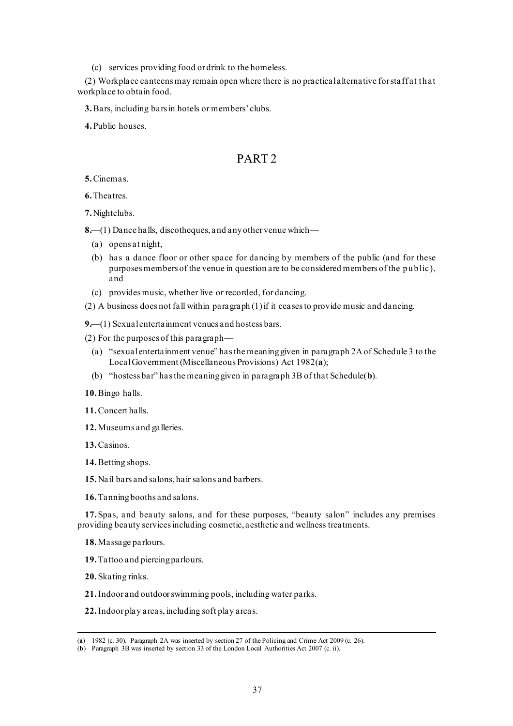(c) services providing food or drink to the homeless.

(2) Workplace canteens may remain open where there is no practical alternative for sta ff at that workplace to obtain food.

**3.**Bars, including bars in hotels or members' clubs.

**4.**Public houses.

# PART 2

**5.**Cinemas.

**6.**Theatres.

**7.**Nightclubs.

**8.**—(1) Dance halls, discotheques, and any other venue which—

- (a) opens at night,
- (b) has a dance floor or other space for dancing by members of the public (and for these purposes members of the venue in question are to be considered members of the public), and
- (c) provides music, whether live or recorded, for dancing.

(2) A business does not fall within paragraph (1) if it ceases to provide music and dancing.

**9.**—(1) Sexual entertainment venues and hostess bars.

- (2) For the purposes of this paragraph—
	- (a) "sexual entertainment venue" has the meaning given in paragraph 2A of Schedule 3 to the Local Government (Miscellaneous Provisions) Act 1982(**a**);
	- (b) "hostess bar" has the meaning given in paragraph 3B of that Schedule(**b**).
- **10.**Bingo halls.
- **11.**Concert halls.
- **12.**Museums and galleries.
- **13.**Casinos.

**14.**Betting shops.

- **15.**Nail bars and salons, hair salons and barbers.
- **16.**Tanning booths and salons.

**17.**Spas, and beauty salons, and for these purposes, "beauty salon" includes any premises providing beauty services including cosmetic, aesthetic and wellness treatments.

**18.**Massage parlours.

- **19.**Tattoo and piercing parlours.
- **20.**Skating rinks.
- **21.**Indoor and outdoor swimming pools, including water parks.
- **22.**Indoor play areas, including soft play areas.

<sup>(</sup>**a**) 1982 (c. 30). Paragraph 2A was inserted by section 27 of the Policing and Crime Act 2009 (c. 26).

<sup>(</sup>**b**) Paragraph 3B was inserted by section 33 of the London Local Authorities Act 2007 (c. ii).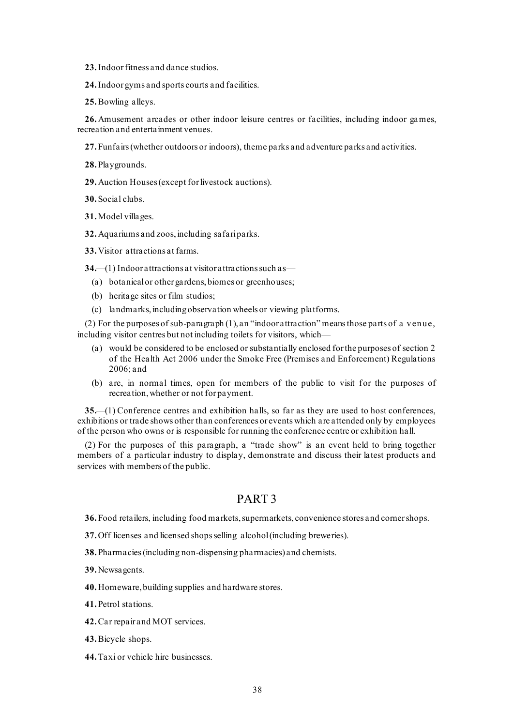- **23.**Indoor fitness and dance studios.
- **24.**Indoor gyms and sports courts and facilities.
- **25.**Bowling alleys.

**26.**Amusement arcades or other indoor leisure centres or facilities, including indoor games, recreation and entertainment venues.

- **27.**Funfairs (whether outdoors or indoors), theme parks and adventure parks and activities.
- **28.**Playgrounds.
- **29.**Auction Houses (except for livestock auctions).
- **30.**Social clubs.
- **31.**Model villages.
- **32.**Aquariums and zoos, including safari parks.
- **33.**Visitor attractions at farms.

**34.**—(1) Indoor attractions at visitor attractions such as—

- (a) botanical or other gardens, biomes or greenhouses;
- (b) heritage sites or film studios;
- (c) landmarks, including observation wheels or viewing platforms.

(2) For the purposes of sub-paragraph (1), an "indoor attraction" means those parts of a venue, including visitor centres but not including toilets for visitors, which—

- (a) would be considered to be enclosed or substantially enclosed for the purposes of section 2 of the Health Act 2006 under the Smoke Free (Premises and Enforcement) Regulations 2006; and
- (b) are, in normal times, open for members of the public to visit for the purposes of recreation, whether or not for payment.

**35.**—(1) Conference centres and exhibition halls, so far as they are used to host conferences, exhibitions or trade shows other than conferences or events which are attended only by employees of the person who owns or is responsible for running the conference centre or exhibition hall.

(2) For the purposes of this paragraph, a "trade show" is an event held to bring together members of a particular industry to display, demonstrate and discuss their latest products and services with members of the public.

### PART 3

**36.**Food retailers, including food markets, supermarkets, convenience stores and corner shops.

- **37.**Off licenses and licensed shops selling alcohol (including breweries).
- **38.**Pharmacies (including non-dispensing pharmacies) and chemists.
- **39.**Newsagents.
- **40.**Homeware, building supplies and hardware stores.

**41.**Petrol stations.

- **42.**Car repair and MOT services.
- **43.**Bicycle shops.
- **44.**Taxi or vehicle hire businesses.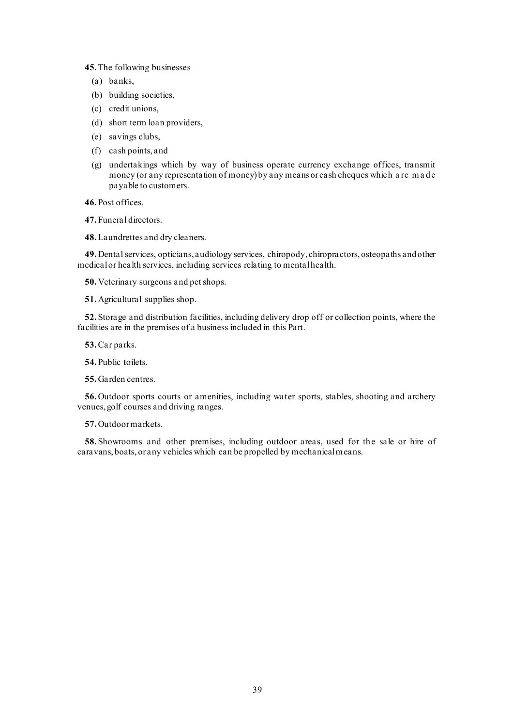**45.**The following businesses—

- (a) banks,
- (b) building societies,
- (c) credit unions,
- (d) short term loan providers,
- (e) savings clubs,
- (f) cash points, and
- (g) undertakings which by way of business operate currency exchange offices, transmit money (or any representation of money) by any means or cash cheques which a re m a de payable to customers.

**46.**Post offices.

**47.**Funeral directors.

**48.**Laundrettes and dry cleaners.

**49.**Dental services, opticians, audiology services, chiropody, chiropractors, osteopaths and other medical or health services, including services relating to mentalhealth.

**50.**Veterinary surgeons and pet shops.

**51.**Agricultural supplies shop.

**52.**Storage and distribution facilities, including delivery drop off or collection points, where the facilities are in the premises of a business included in this Part.

**53.**Car parks.

**54.**Public toilets.

**55.**Garden centres.

**56.**Outdoor sports courts or amenities, including water sports, stables, shooting and archery venues, golf courses and driving ranges.

**57.**Outdoor markets.

**58.**Showrooms and other premises, including outdoor areas, used for the sale or hire of caravans, boats, or any vehicles which can be propelled by mechanical means.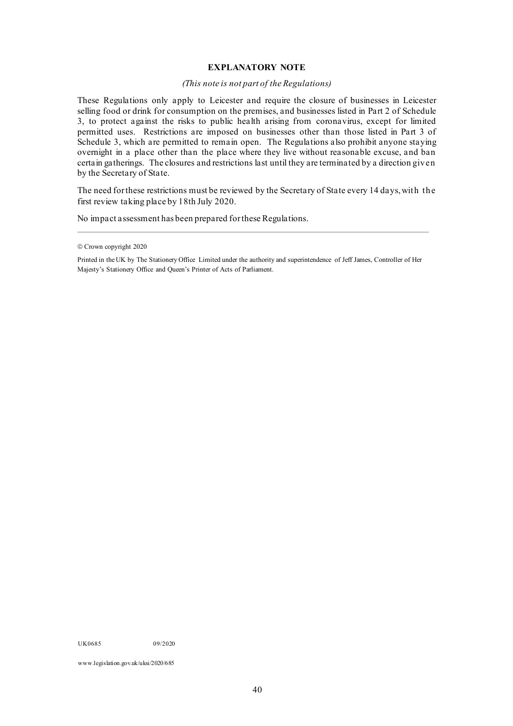#### **EXPLANATORY NOTE**

#### *(This note is not part of the Regulations)*

These Regulations only apply to Leicester and require the closure of businesses in Leicester selling food or drink for consumption on the premises, and businesses listed in Part 2 of Schedule 3, to protect against the risks to public health arising from coronavirus, except for limited permitted uses. Restrictions are imposed on businesses other than those listed in Part 3 of Schedule 3, which are permitted to remain open. The Regulations also prohibit anyone staying overnight in a place other than the place where they live without reasonable excuse, and ban certain gatherings. The closures and restrictions last until they are terminated by a direction given by the Secretary of State.

The need for these restrictions must be reviewed by the Secretary of State every 14 days, with the first review taking place by 18th July 2020.

No impact assessment has been prepared for these Regulations.

 $\mathcal{L}_\mathcal{L} = \{ \mathcal{L}_\mathcal{L} = \{ \mathcal{L}_\mathcal{L} = \{ \mathcal{L}_\mathcal{L} = \{ \mathcal{L}_\mathcal{L} = \{ \mathcal{L}_\mathcal{L} = \{ \mathcal{L}_\mathcal{L} = \{ \mathcal{L}_\mathcal{L} = \{ \mathcal{L}_\mathcal{L} = \{ \mathcal{L}_\mathcal{L} = \{ \mathcal{L}_\mathcal{L} = \{ \mathcal{L}_\mathcal{L} = \{ \mathcal{L}_\mathcal{L} = \{ \mathcal{L}_\mathcal{L} = \{ \mathcal{L}_\mathcal{$ 

UK0685 09/2020

www.legislation.gov.uk/uksi/2020/685

<sup>©</sup> Crown copyright 2020

Printed in the UK by The Stationery Office Limited under the authority and superintendence of Jeff James, Controller of Her Majesty's Stationery Office and Queen's Printer of Acts of Parliament.